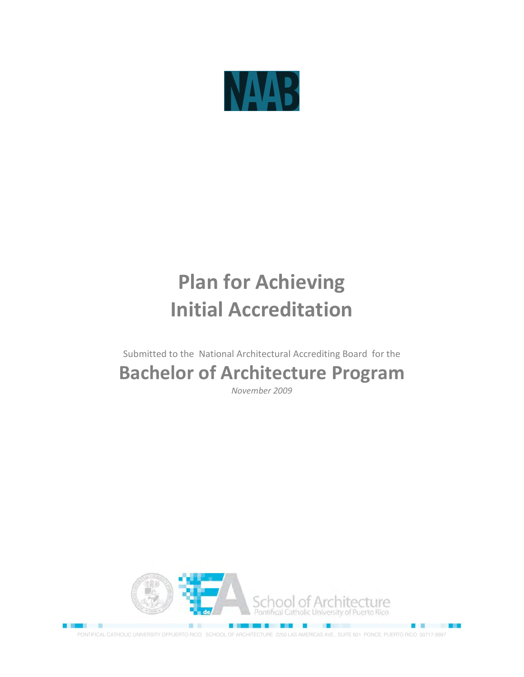

# **Plan for Achieving Initial Accreditation**

Submitted to the National Architectural Accrediting Board for the

# **Bachelor of Architecture Program**

*November 2009*



PONTIFICAL CATHOLIC UNIVERSITY OFPUERTO RICO SCHOOL OF ARCHITECTURE 2250 LAS AMERICAS AVE., SUITE 601 PONCE, PUERTO RICO 00717-9997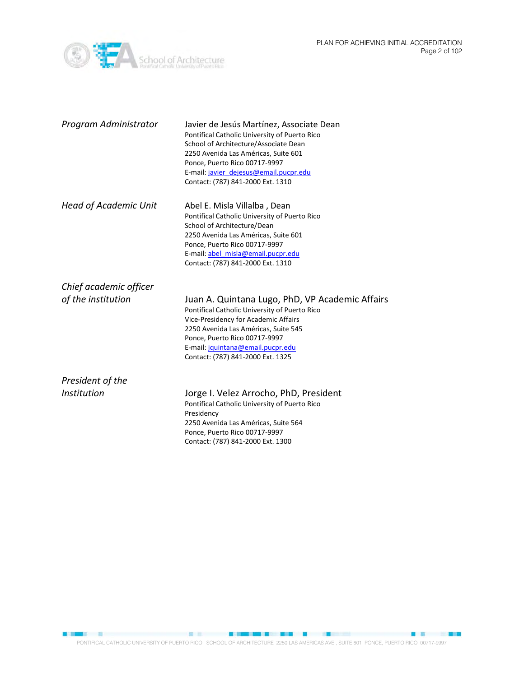PLAN FOR ACHIEVING INITIAL ACCREDITATION Page 2 of 102



| Program Administrator        | Javier de Jesús Martínez, Associate Dean<br>Pontifical Catholic University of Puerto Rico<br>School of Architecture/Associate Dean<br>2250 Avenida Las Américas, Suite 601<br>Ponce, Puerto Rico 00717-9997<br>E-mail: javier dejesus@email.pucpr.edu<br>Contact: (787) 841-2000 Ext. 1310  |
|------------------------------|---------------------------------------------------------------------------------------------------------------------------------------------------------------------------------------------------------------------------------------------------------------------------------------------|
| <b>Head of Academic Unit</b> | Abel E. Misla Villalba, Dean<br>Pontifical Catholic University of Puerto Rico<br>School of Architecture/Dean<br>2250 Avenida Las Américas, Suite 601<br>Ponce, Puerto Rico 00717-9997<br>E-mail: abel_misla@email.pucpr.edu<br>Contact: (787) 841-2000 Ext. 1310                            |
| Chief academic officer       |                                                                                                                                                                                                                                                                                             |
| of the institution           | Juan A. Quintana Lugo, PhD, VP Academic Affairs<br>Pontifical Catholic University of Puerto Rico<br>Vice-Presidency for Academic Affairs<br>2250 Avenida Las Américas, Suite 545<br>Ponce, Puerto Rico 00717-9997<br>E-mail: jquintana@email.pucpr.edu<br>Contact: (787) 841-2000 Ext. 1325 |
| President of the             |                                                                                                                                                                                                                                                                                             |
| Institution                  | Jorge I. Velez Arrocho, PhD, President<br>Pontifical Catholic University of Puerto Rico<br>Presidency<br>2250 Avenida Las Américas, Suite 564<br>Ponce, Puerto Rico 00717-9997<br>Contact: (787) 841-2000 Ext. 1300                                                                         |

**CONSTRUCTION CONTINUES INTO A REPORT OF A STATE OF A REPORT OF A STATE OF A REPORT OF A STATE OF A REPORT OF A** PONTIFICAL CATHOLIC UNIVERSITY OF PUERTO RICO SCHOOL OF ARCHITECTURE 2250 LAS AMERICAS AVE., SUITE 601 PONCE, PUERTO RICO 00717-9997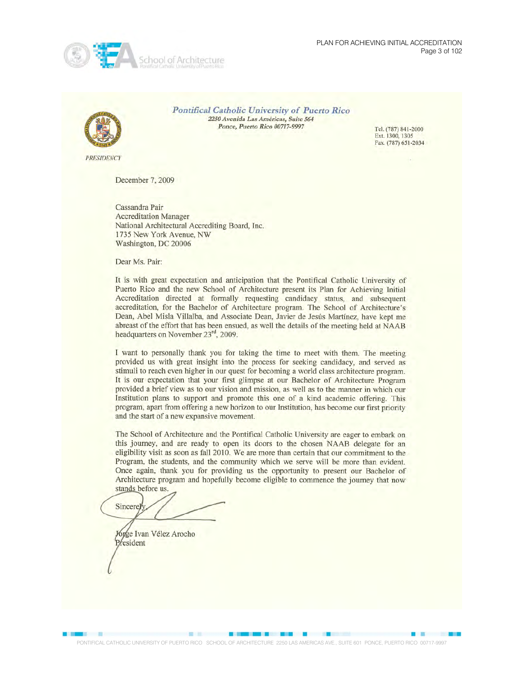



**Pontifical Catholic University of Puerto Rico** 2250 Avenida Las Américas, Suite 564 Ponce, Puerto Rico 00717-9997

Tel. (787) 841-2000 Ext. 1300, 1305 Fax. (787) 651-2034

**PRESIDENCY** 

December 7, 2009

Cassandra Pair **Accreditation Manager** National Architectural Accrediting Board, Inc. 1735 New York Avenue, NW Washington, DC 20006

Dear Ms. Pair:

It is with great expectation and anticipation that the Pontifical Catholic University of Puerto Rico and the new School of Architecture present its Plan for Achieving Initial Accreditation directed at formally requesting candidacy status, and subsequent accreditation, for the Bachelor of Architecture program. The School of Architecture's Dean, Abel Misla Villalba, and Associate Dean, Javier de Jesús Martínez, have kept me abreast of the effort that has been ensued, as well the details of the meeting held at NAAB headquarters on November 23rd, 2009.

I want to personally thank you for taking the time to meet with them. The meeting provided us with great insight into the process for seeking candidacy, and served as stimuli to reach even higher in our quest for becoming a world class architecture program. It is our expectation that your first glimpse at our Bachelor of Architecture Program provided a brief view as to our vision and mission, as well as to the manner in which our Institution plans to support and promote this one of a kind academic offering. This program, apart from offering a new horizon to our Institution, has become our first priority and the start of a new expansive movement.

The School of Architecture and the Pontifical Catholic University are eager to embark on this journey, and are ready to open its doors to the chosen NAAB delegate for an eligibility visit as soon as fall 2010. We are more than certain that our commitment to the Program, the students, and the community which we serve will be more than evident. Once again, thank you for providing us the opportunity to present our Bachelor of Architecture program and hopefully become eligible to commence the journey that now stands before us.

Sincere]

Jórge Ivan Vélez Arocho President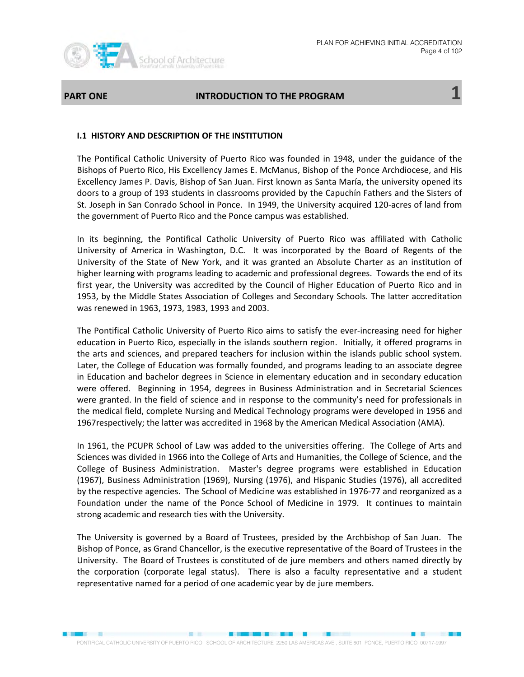

#### **PART ONE GET ALL CONDUCTION TO THE PROGRAM**

#### **I.1 HISTORY AND DESCRIPTION OF THE INSTITUTION**

The Pontifical Catholic University of Puerto Rico was founded in 1948, under the guidance of the Bishops of Puerto Rico, His Excellency James E. McManus, Bishop of the Ponce Archdiocese, and His Excellency James P. Davis, Bishop of San Juan. First known as Santa María, the university opened its doors to a group of 193 students in classrooms provided by the Capuchín Fathers and the Sisters of St. Joseph in San Conrado School in Ponce. In 1949, the University acquired 120-acres of land from the government of Puerto Rico and the Ponce campus was established.

In its beginning, the Pontifical Catholic University of Puerto Rico was affiliated with Catholic University of America in Washington, D.C. It was incorporated by the Board of Regents of the University of the State of New York, and it was granted an Absolute Charter as an institution of higher learning with programs leading to academic and professional degrees. Towards the end of its first year, the University was accredited by the Council of Higher Education of Puerto Rico and in 1953, by the Middle States Association of Colleges and Secondary Schools. The latter accreditation was renewed in 1963, 1973, 1983, 1993 and 2003.

The Pontifical Catholic University of Puerto Rico aims to satisfy the ever-increasing need for higher education in Puerto Rico, especially in the islands southern region. Initially, it offered programs in the arts and sciences, and prepared teachers for inclusion within the islands public school system. Later, the College of Education was formally founded, and programs leading to an associate degree in Education and bachelor degrees in Science in elementary education and in secondary education were offered. Beginning in 1954, degrees in Business Administration and in Secretarial Sciences were granted. In the field of science and in response to the community's need for professionals in the medical field, complete Nursing and Medical Technology programs were developed in 1956 and 1967respectively; the latter was accredited in 1968 by the American Medical Association (AMA).

In 1961, the PCUPR School of Law was added to the universities offering. The College of Arts and Sciences was divided in 1966 into the College of Arts and Humanities, the College of Science, and the College of Business Administration. Master's degree programs were established in Education (1967), Business Administration (1969), Nursing (1976), and Hispanic Studies (1976), all accredited by the respective agencies. The School of Medicine was established in 1976-77 and reorganized as a Foundation under the name of the Ponce School of Medicine in 1979. It continues to maintain strong academic and research ties with the University.

The University is governed by a Board of Trustees, presided by the Archbishop of San Juan. The Bishop of Ponce, as Grand Chancellor, is the executive representative of the Board of Trustees in the University. The Board of Trustees is constituted of de jure members and others named directly by the corporation (corporate legal status). There is also a faculty representative and a student representative named for a period of one academic year by de jure members.

**SECTION**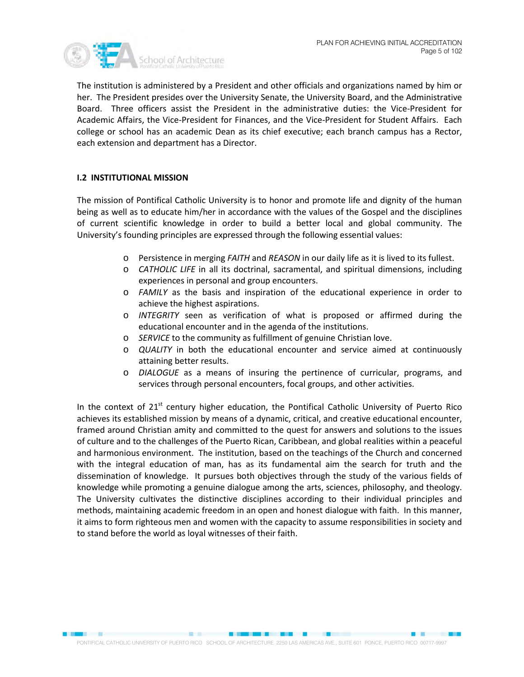

The institution is administered by a President and other officials and organizations named by him or her. The President presides over the University Senate, the University Board, and the Administrative Board. Three officers assist the President in the administrative duties: the Vice-President for Academic Affairs, the Vice-President for Finances, and the Vice-President for Student Affairs. Each college or school has an academic Dean as its chief executive; each branch campus has a Rector, each extension and department has a Director.

#### **I.2 INSTITUTIONAL MISSION**

The mission of Pontifical Catholic University is to honor and promote life and dignity of the human being as well as to educate him/her in accordance with the values of the Gospel and the disciplines of current scientific knowledge in order to build a better local and global community. The University's founding principles are expressed through the following essential values:

- o Persistence in merging *FAITH* and *REASON* in our daily life as it is lived to its fullest.
- o *CATHOLIC LIFE* in all its doctrinal, sacramental, and spiritual dimensions, including experiences in personal and group encounters.
- o *FAMILY* as the basis and inspiration of the educational experience in order to achieve the highest aspirations.
- o *INTEGRITY* seen as verification of what is proposed or affirmed during the educational encounter and in the agenda of the institutions.
- o *SERVICE* to the community as fulfillment of genuine Christian love.
- o *QUALITY* in both the educational encounter and service aimed at continuously attaining better results.
- o *DIALOGUE* as a means of insuring the pertinence of curricular, programs, and services through personal encounters, focal groups, and other activities.

In the context of  $21<sup>st</sup>$  century higher education, the Pontifical Catholic University of Puerto Rico achieves its established mission by means of a dynamic, critical, and creative educational encounter, framed around Christian amity and committed to the quest for answers and solutions to the issues of culture and to the challenges of the Puerto Rican, Caribbean, and global realities within a peaceful and harmonious environment. The institution, based on the teachings of the Church and concerned with the integral education of man, has as its fundamental aim the search for truth and the dissemination of knowledge. It pursues both objectives through the study of the various fields of knowledge while promoting a genuine dialogue among the arts, sciences, philosophy, and theology. The University cultivates the distinctive disciplines according to their individual principles and methods, maintaining academic freedom in an open and honest dialogue with faith. In this manner, it aims to form righteous men and women with the capacity to assume responsibilities in society and to stand before the world as loyal witnesses of their faith.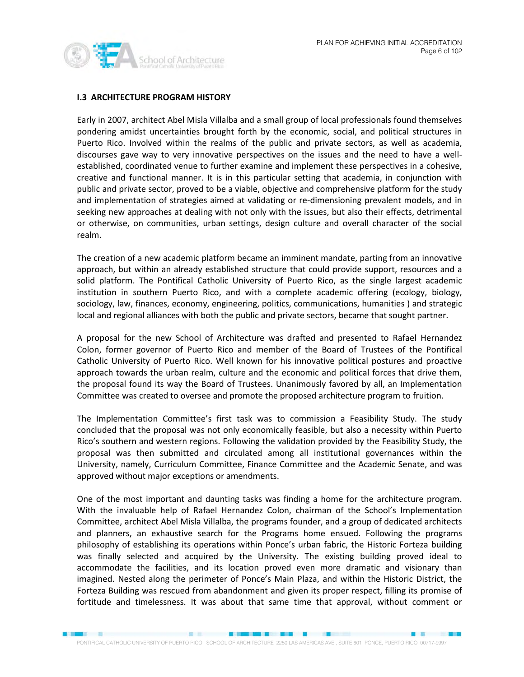

#### **I.3 ARCHITECTURE PROGRAM HISTORY**

Early in 2007, architect Abel Misla Villalba and a small group of local professionals found themselves pondering amidst uncertainties brought forth by the economic, social, and political structures in Puerto Rico. Involved within the realms of the public and private sectors, as well as academia, discourses gave way to very innovative perspectives on the issues and the need to have a wellestablished, coordinated venue to further examine and implement these perspectives in a cohesive, creative and functional manner. It is in this particular setting that academia, in conjunction with public and private sector, proved to be a viable, objective and comprehensive platform for the study and implementation of strategies aimed at validating or re-dimensioning prevalent models, and in seeking new approaches at dealing with not only with the issues, but also their effects, detrimental or otherwise, on communities, urban settings, design culture and overall character of the social realm.

The creation of a new academic platform became an imminent mandate, parting from an innovative approach, but within an already established structure that could provide support, resources and a solid platform. The Pontifical Catholic University of Puerto Rico, as the single largest academic institution in southern Puerto Rico, and with a complete academic offering (ecology, biology, sociology, law, finances, economy, engineering, politics, communications, humanities ) and strategic local and regional alliances with both the public and private sectors, became that sought partner.

A proposal for the new School of Architecture was drafted and presented to Rafael Hernandez Colon, former governor of Puerto Rico and member of the Board of Trustees of the Pontifical Catholic University of Puerto Rico. Well known for his innovative political postures and proactive approach towards the urban realm, culture and the economic and political forces that drive them, the proposal found its way the Board of Trustees. Unanimously favored by all, an Implementation Committee was created to oversee and promote the proposed architecture program to fruition.

The Implementation Committee's first task was to commission a Feasibility Study. The study concluded that the proposal was not only economically feasible, but also a necessity within Puerto Rico's southern and western regions. Following the validation provided by the Feasibility Study, the proposal was then submitted and circulated among all institutional governances within the University, namely, Curriculum Committee, Finance Committee and the Academic Senate, and was approved without major exceptions or amendments.

One of the most important and daunting tasks was finding a home for the architecture program. With the invaluable help of Rafael Hernandez Colon, chairman of the School's Implementation Committee, architect Abel Misla Villalba, the programs founder, and a group of dedicated architects and planners, an exhaustive search for the Programs home ensued. Following the programs philosophy of establishing its operations within Ponce's urban fabric, the Historic Forteza building was finally selected and acquired by the University. The existing building proved ideal to accommodate the facilities, and its location proved even more dramatic and visionary than imagined. Nested along the perimeter of Ponce's Main Plaza, and within the Historic District, the Forteza Building was rescued from abandonment and given its proper respect, filling its promise of fortitude and timelessness. It was about that same time that approval, without comment or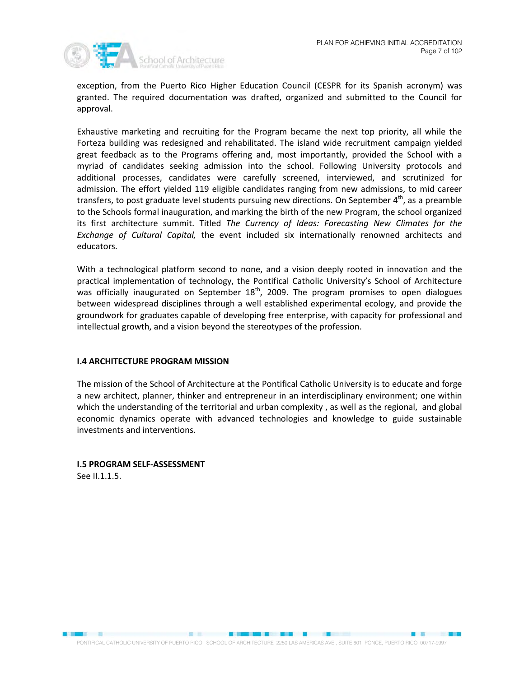

exception, from the Puerto Rico Higher Education Council (CESPR for its Spanish acronym) was granted. The required documentation was drafted, organized and submitted to the Council for approval.

Exhaustive marketing and recruiting for the Program became the next top priority, all while the Forteza building was redesigned and rehabilitated. The island wide recruitment campaign yielded great feedback as to the Programs offering and, most importantly, provided the School with a myriad of candidates seeking admission into the school. Following University protocols and additional processes, candidates were carefully screened, interviewed, and scrutinized for admission. The effort yielded 119 eligible candidates ranging from new admissions, to mid career transfers, to post graduate level students pursuing new directions. On September  $4^{\text{th}}$ , as a preamble to the Schools formal inauguration, and marking the birth of the new Program, the school organized its first architecture summit. Titled *The Currency of Ideas: Forecasting New Climates for the Exchange of Cultural Capital,* the event included six internationally renowned architects and educators.

With a technological platform second to none, and a vision deeply rooted in innovation and the practical implementation of technology, the Pontifical Catholic University's School of Architecture was officially inaugurated on September  $18<sup>th</sup>$ , 2009. The program promises to open dialogues between widespread disciplines through a well established experimental ecology, and provide the groundwork for graduates capable of developing free enterprise, with capacity for professional and intellectual growth, and a vision beyond the stereotypes of the profession.

#### **I.4 ARCHITECTURE PROGRAM MISSION**

The mission of the School of Architecture at the Pontifical Catholic University is to educate and forge a new architect, planner, thinker and entrepreneur in an interdisciplinary environment; one within which the understanding of the territorial and urban complexity , as well as the regional, and global economic dynamics operate with advanced technologies and knowledge to guide sustainable investments and interventions.

# **I.5 PROGRAM SELF-ASSESSMENT**

See II.1.1.5.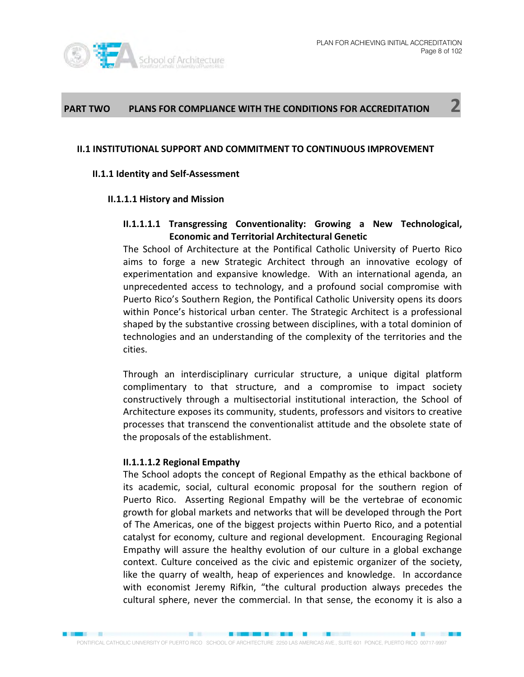

# **PART TWO PLANS FOR COMPLIANCE WITH THE CONDITIONS FOR ACCREDITATION 2**

#### **II.1 INSTITUTIONAL SUPPORT AND COMMITMENT TO CONTINUOUS IMPROVEMENT**

#### **II.1.1 Identity and Self-Assessment**

#### **II.1.1.1 History and Mission**

#### **II.1.1.1.1 Transgressing Conventionality: Growing a New Technological, Economic and Territorial Architectural Genetic**

The School of Architecture at the Pontifical Catholic University of Puerto Rico aims to forge a new Strategic Architect through an innovative ecology of experimentation and expansive knowledge. With an international agenda, an unprecedented access to technology, and a profound social compromise with Puerto Rico's Southern Region, the Pontifical Catholic University opens its doors within Ponce's historical urban center. The Strategic Architect is a professional shaped by the substantive crossing between disciplines, with a total dominion of technologies and an understanding of the complexity of the territories and the cities.

Through an interdisciplinary curricular structure, a unique digital platform complimentary to that structure, and a compromise to impact society constructively through a multisectorial institutional interaction, the School of Architecture exposes its community, students, professors and visitors to creative processes that transcend the conventionalist attitude and the obsolete state of the proposals of the establishment.

#### **II.1.1.1.2 Regional Empathy**

The School adopts the concept of Regional Empathy as the ethical backbone of its academic, social, cultural economic proposal for the southern region of Puerto Rico. Asserting Regional Empathy will be the vertebrae of economic growth for global markets and networks that will be developed through the Port of The Americas, one of the biggest projects within Puerto Rico, and a potential catalyst for economy, culture and regional development. Encouraging Regional Empathy will assure the healthy evolution of our culture in a global exchange context. Culture conceived as the civic and epistemic organizer of the society, like the quarry of wealth, heap of experiences and knowledge. In accordance with economist Jeremy Rifkin, "the cultural production always precedes the cultural sphere, never the commercial. In that sense, the economy it is also a

■ 图 图 图 图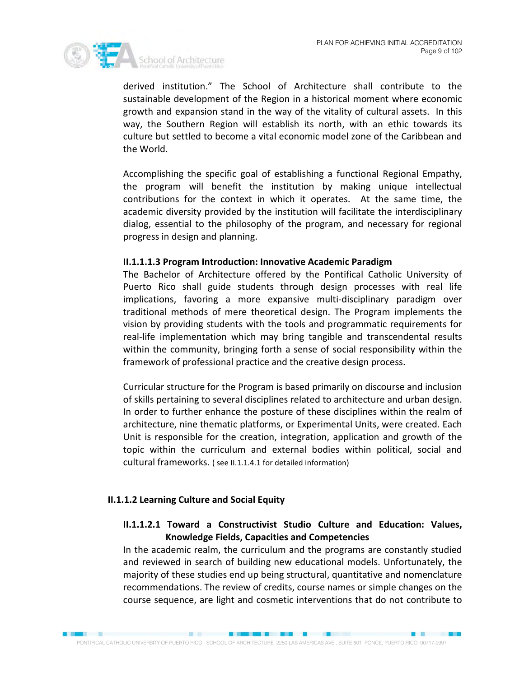

derived institution." The School of Architecture shall contribute to the sustainable development of the Region in a historical moment where economic growth and expansion stand in the way of the vitality of cultural assets. In this way, the Southern Region will establish its north, with an ethic towards its culture but settled to become a vital economic model zone of the Caribbean and the World.

Accomplishing the specific goal of establishing a functional Regional Empathy, the program will benefit the institution by making unique intellectual contributions for the context in which it operates. At the same time, the academic diversity provided by the institution will facilitate the interdisciplinary dialog, essential to the philosophy of the program, and necessary for regional progress in design and planning.

#### **II.1.1.1.3 Program Introduction: Innovative Academic Paradigm**

The Bachelor of Architecture offered by the Pontifical Catholic University of Puerto Rico shall guide students through design processes with real life implications, favoring a more expansive multi-disciplinary paradigm over traditional methods of mere theoretical design. The Program implements the vision by providing students with the tools and programmatic requirements for real-life implementation which may bring tangible and transcendental results within the community, bringing forth a sense of social responsibility within the framework of professional practice and the creative design process.

Curricular structure for the Program is based primarily on discourse and inclusion of skills pertaining to several disciplines related to architecture and urban design. In order to further enhance the posture of these disciplines within the realm of architecture, nine thematic platforms, or Experimental Units, were created. Each Unit is responsible for the creation, integration, application and growth of the topic within the curriculum and external bodies within political, social and cultural frameworks. ( see II.1.1.4.1 for detailed information)

### **II.1.1.2 Learning Culture and Social Equity**

**EXPERIENCE** 

# **II.1.1.2.1 Toward a Constructivist Studio Culture and Education: Values, Knowledge Fields, Capacities and Competencies**

In the academic realm, the curriculum and the programs are constantly studied and reviewed in search of building new educational models. Unfortunately, the majority of these studies end up being structural, quantitative and nomenclature recommendations. The review of credits, course names or simple changes on the course sequence, are light and cosmetic interventions that do not contribute to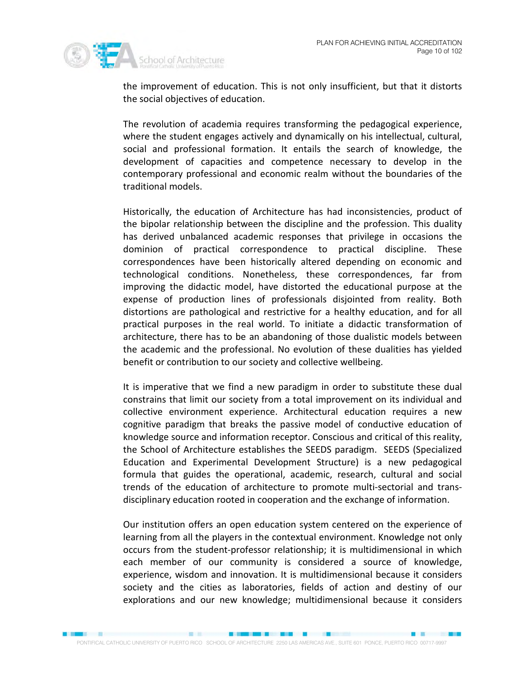

the improvement of education. This is not only insufficient, but that it distorts the social objectives of education.

The revolution of academia requires transforming the pedagogical experience, where the student engages actively and dynamically on his intellectual, cultural, social and professional formation. It entails the search of knowledge, the development of capacities and competence necessary to develop in the contemporary professional and economic realm without the boundaries of the traditional models.

Historically, the education of Architecture has had inconsistencies, product of the bipolar relationship between the discipline and the profession. This duality has derived unbalanced academic responses that privilege in occasions the dominion of practical correspondence to practical discipline. These correspondences have been historically altered depending on economic and technological conditions. Nonetheless, these correspondences, far from improving the didactic model, have distorted the educational purpose at the expense of production lines of professionals disjointed from reality. Both distortions are pathological and restrictive for a healthy education, and for all practical purposes in the real world. To initiate a didactic transformation of architecture, there has to be an abandoning of those dualistic models between the academic and the professional. No evolution of these dualities has yielded benefit or contribution to our society and collective wellbeing.

It is imperative that we find a new paradigm in order to substitute these dual constrains that limit our society from a total improvement on its individual and collective environment experience. Architectural education requires a new cognitive paradigm that breaks the passive model of conductive education of knowledge source and information receptor. Conscious and critical of this reality, the School of Architecture establishes the SEEDS paradigm. SEEDS (Specialized Education and Experimental Development Structure) is a new pedagogical formula that guides the operational, academic, research, cultural and social trends of the education of architecture to promote multi-sectorial and transdisciplinary education rooted in cooperation and the exchange of information.

Our institution offers an open education system centered on the experience of learning from all the players in the contextual environment. Knowledge not only occurs from the student-professor relationship; it is multidimensional in which each member of our community is considered a source of knowledge, experience, wisdom and innovation. It is multidimensional because it considers society and the cities as laboratories, fields of action and destiny of our explorations and our new knowledge; multidimensional because it considers

**EX 2009**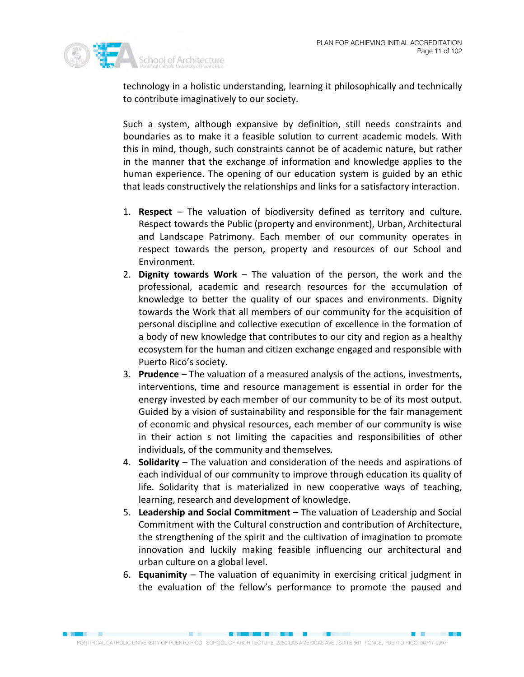

technology in a holistic understanding, learning it philosophically and technically to contribute imaginatively to our society.

Such a system, although expansive by definition, still needs constraints and boundaries as to make it a feasible solution to current academic models. With this in mind, though, such constraints cannot be of academic nature, but rather in the manner that the exchange of information and knowledge applies to the human experience. The opening of our education system is guided by an ethic that leads constructively the relationships and links for a satisfactory interaction.

- 1. **Respect**  The valuation of biodiversity defined as territory and culture. Respect towards the Public (property and environment), Urban, Architectural and Landscape Patrimony. Each member of our community operates in respect towards the person, property and resources of our School and Environment.
- 2. **Dignity towards Work** The valuation of the person, the work and the professional, academic and research resources for the accumulation of knowledge to better the quality of our spaces and environments. Dignity towards the Work that all members of our community for the acquisition of personal discipline and collective execution of excellence in the formation of a body of new knowledge that contributes to our city and region as a healthy ecosystem for the human and citizen exchange engaged and responsible with Puerto Rico's society.
- 3. **Prudence**  The valuation of a measured analysis of the actions, investments, interventions, time and resource management is essential in order for the energy invested by each member of our community to be of its most output. Guided by a vision of sustainability and responsible for the fair management of economic and physical resources, each member of our community is wise in their action s not limiting the capacities and responsibilities of other individuals, of the community and themselves.
- 4. **Solidarity**  The valuation and consideration of the needs and aspirations of each individual of our community to improve through education its quality of life. Solidarity that is materialized in new cooperative ways of teaching, learning, research and development of knowledge.
- 5. **Leadership and Social Commitment** The valuation of Leadership and Social Commitment with the Cultural construction and contribution of Architecture, the strengthening of the spirit and the cultivation of imagination to promote innovation and luckily making feasible influencing our architectural and urban culture on a global level.
- 6. **Equanimity** The valuation of equanimity in exercising critical judgment in the evaluation of the fellow's performance to promote the paused and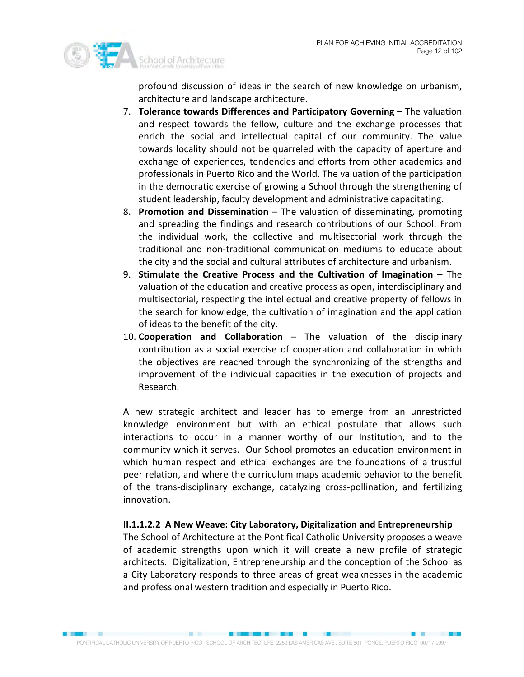

profound discussion of ideas in the search of new knowledge on urbanism, architecture and landscape architecture.

- 7. **Tolerance towards Differences and Participatory Governing The valuation** and respect towards the fellow, culture and the exchange processes that enrich the social and intellectual capital of our community. The value towards locality should not be quarreled with the capacity of aperture and exchange of experiences, tendencies and efforts from other academics and professionals in Puerto Rico and the World. The valuation of the participation in the democratic exercise of growing a School through the strengthening of student leadership, faculty development and administrative capacitating.
- 8. **Promotion and Dissemination** The valuation of disseminating, promoting and spreading the findings and research contributions of our School. From the individual work, the collective and multisectorial work through the traditional and non-traditional communication mediums to educate about the city and the social and cultural attributes of architecture and urbanism.
- 9. **Stimulate the Creative Process and the Cultivation of Imagination –** The valuation of the education and creative process as open, interdisciplinary and multisectorial, respecting the intellectual and creative property of fellows in the search for knowledge, the cultivation of imagination and the application of ideas to the benefit of the city.
- 10. **Cooperation and Collaboration** The valuation of the disciplinary contribution as a social exercise of cooperation and collaboration in which the objectives are reached through the synchronizing of the strengths and improvement of the individual capacities in the execution of projects and Research.

A new strategic architect and leader has to emerge from an unrestricted knowledge environment but with an ethical postulate that allows such interactions to occur in a manner worthy of our Institution, and to the community which it serves. Our School promotes an education environment in which human respect and ethical exchanges are the foundations of a trustful peer relation, and where the curriculum maps academic behavior to the benefit of the trans-disciplinary exchange, catalyzing cross-pollination, and fertilizing innovation.

### **II.1.1.2.2 A New Weave: City Laboratory, Digitalization and Entrepreneurship**

The School of Architecture at the Pontifical Catholic University proposes a weave of academic strengths upon which it will create a new profile of strategic architects. Digitalization, Entrepreneurship and the conception of the School as a City Laboratory responds to three areas of great weaknesses in the academic and professional western tradition and especially in Puerto Rico.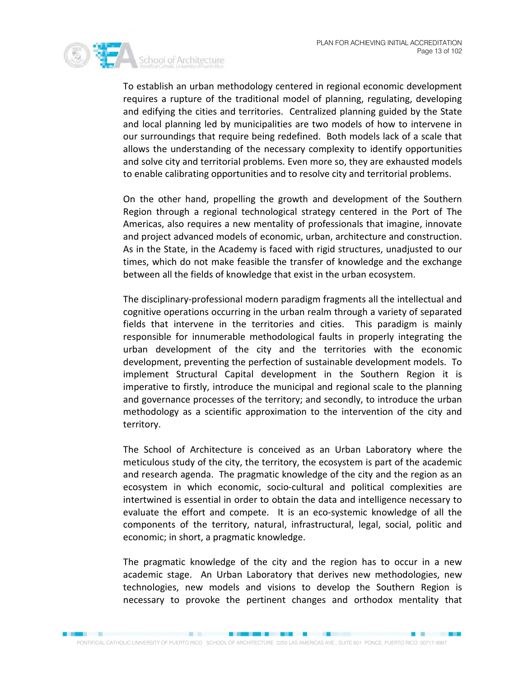

To establish an urban methodology centered in regional economic development requires a rupture of the traditional model of planning, regulating, developing and edifying the cities and territories. Centralized planning guided by the State and local planning led by municipalities are two models of how to intervene in our surroundings that require being redefined. Both models lack of a scale that allows the understanding of the necessary complexity to identify opportunities and solve city and territorial problems. Even more so, they are exhausted models to enable calibrating opportunities and to resolve city and territorial problems.

On the other hand, propelling the growth and development of the Southern Region through a regional technological strategy centered in the Port of The Americas, also requires a new mentality of professionals that imagine, innovate and project advanced models of economic, urban, architecture and construction. As in the State, in the Academy is faced with rigid structures, unadjusted to our times, which do not make feasible the transfer of knowledge and the exchange between all the fields of knowledge that exist in the urban ecosystem.

The disciplinary-professional modern paradigm fragments all the intellectual and cognitive operations occurring in the urban realm through a variety of separated fields that intervene in the territories and cities. This paradigm is mainly responsible for innumerable methodological faults in properly integrating the urban development of the city and the territories with the economic development, preventing the perfection of sustainable development models. To implement Structural Capital development in the Southern Region it is imperative to firstly, introduce the municipal and regional scale to the planning and governance processes of the territory; and secondly, to introduce the urban methodology as a scientific approximation to the intervention of the city and territory.

The School of Architecture is conceived as an Urban Laboratory where the meticulous study of the city, the territory, the ecosystem is part of the academic and research agenda. The pragmatic knowledge of the city and the region as an ecosystem in which economic, socio-cultural and political complexities are intertwined is essential in order to obtain the data and intelligence necessary to evaluate the effort and compete. It is an eco-systemic knowledge of all the components of the territory, natural, infrastructural, legal, social, politic and economic; in short, a pragmatic knowledge.

The pragmatic knowledge of the city and the region has to occur in a new academic stage. An Urban Laboratory that derives new methodologies, new technologies, new models and visions to develop the Southern Region is necessary to provoke the pertinent changes and orthodox mentality that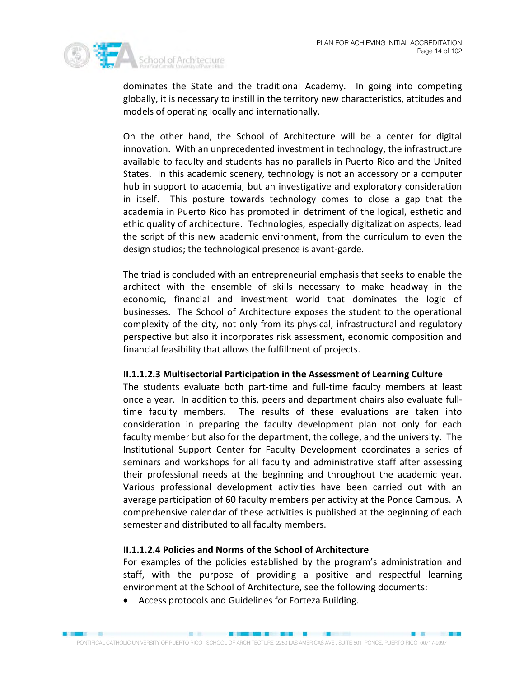

dominates the State and the traditional Academy. In going into competing globally, it is necessary to instill in the territory new characteristics, attitudes and models of operating locally and internationally.

On the other hand, the School of Architecture will be a center for digital innovation. With an unprecedented investment in technology, the infrastructure available to faculty and students has no parallels in Puerto Rico and the United States. In this academic scenery, technology is not an accessory or a computer hub in support to academia, but an investigative and exploratory consideration in itself. This posture towards technology comes to close a gap that the academia in Puerto Rico has promoted in detriment of the logical, esthetic and ethic quality of architecture. Technologies, especially digitalization aspects, lead the script of this new academic environment, from the curriculum to even the design studios; the technological presence is avant-garde.

The triad is concluded with an entrepreneurial emphasis that seeks to enable the architect with the ensemble of skills necessary to make headway in the economic, financial and investment world that dominates the logic of businesses. The School of Architecture exposes the student to the operational complexity of the city, not only from its physical, infrastructural and regulatory perspective but also it incorporates risk assessment, economic composition and financial feasibility that allows the fulfillment of projects.

#### **II.1.1.2.3 Multisectorial Participation in the Assessment of Learning Culture**

The students evaluate both part-time and full-time faculty members at least once a year. In addition to this, peers and department chairs also evaluate fulltime faculty members. The results of these evaluations are taken into consideration in preparing the faculty development plan not only for each faculty member but also for the department, the college, and the university. The Institutional Support Center for Faculty Development coordinates a series of seminars and workshops for all faculty and administrative staff after assessing their professional needs at the beginning and throughout the academic year. Various professional development activities have been carried out with an average participation of 60 faculty members per activity at the Ponce Campus. A comprehensive calendar of these activities is published at the beginning of each semester and distributed to all faculty members.

### **II.1.1.2.4 Policies and Norms of the School of Architecture**

For examples of the policies established by the program's administration and staff, with the purpose of providing a positive and respectful learning environment at the School of Architecture, see the following documents:

• Access protocols and Guidelines for Forteza Building.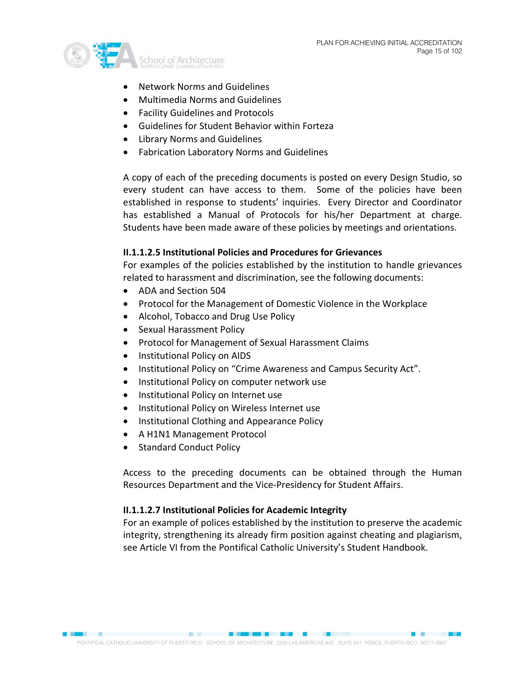

- Network Norms and Guidelines
- Multimedia Norms and Guidelines
- Facility Guidelines and Protocols
- Guidelines for Student Behavior within Forteza
- Library Norms and Guidelines
- Fabrication Laboratory Norms and Guidelines

A copy of each of the preceding documents is posted on every Design Studio, so every student can have access to them. Some of the policies have been established in response to students' inquiries. Every Director and Coordinator has established a Manual of Protocols for his/her Department at charge. Students have been made aware of these policies by meetings and orientations.

### **II.1.1.2.5 Institutional Policies and Procedures for Grievances**

For examples of the policies established by the institution to handle grievances related to harassment and discrimination, see the following documents:

- ADA and Section 504
- Protocol for the Management of Domestic Violence in the Workplace
- Alcohol, Tobacco and Drug Use Policy
- Sexual Harassment Policy
- Protocol for Management of Sexual Harassment Claims
- Institutional Policy on AIDS
- Institutional Policy on "Crime Awareness and Campus Security Act".
- Institutional Policy on computer network use
- Institutional Policy on Internet use
- Institutional Policy on Wireless Internet use
- Institutional Clothing and Appearance Policy
- A H1N1 Management Protocol
- Standard Conduct Policy

Access to the preceding documents can be obtained through the Human Resources Department and the Vice-Presidency for Student Affairs.

### **II.1.1.2.7 Institutional Policies for Academic Integrity**

For an example of polices established by the institution to preserve the academic integrity, strengthening its already firm position against cheating and plagiarism, see Article VI from the Pontifical Catholic University's Student Handbook.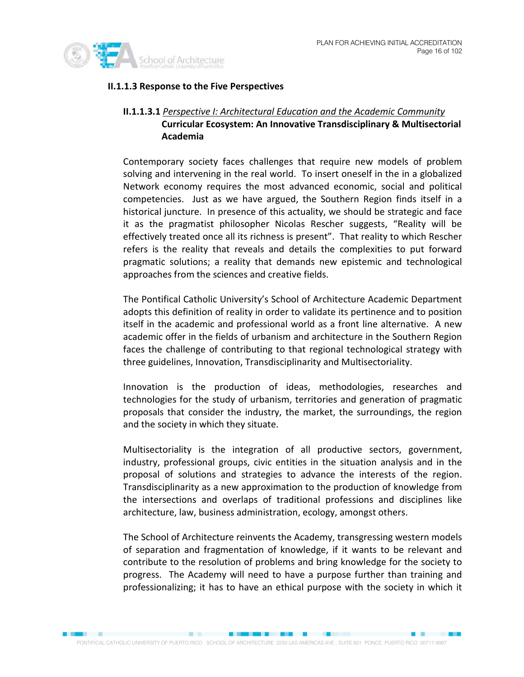

# **II.1.1.3 Response to the Five Perspectives**

# **II.1.1.3.1**  *Perspective I: Architectural Education and the Academic Community* **Curricular Ecosystem: An Innovative Transdisciplinary & Multisectorial Academia**

Contemporary society faces challenges that require new models of problem solving and intervening in the real world. To insert oneself in the in a globalized Network economy requires the most advanced economic, social and political competencies. Just as we have argued, the Southern Region finds itself in a historical juncture. In presence of this actuality, we should be strategic and face it as the pragmatist philosopher Nicolas Rescher suggests, "Reality will be effectively treated once all its richness is present". That reality to which Rescher refers is the reality that reveals and details the complexities to put forward pragmatic solutions; a reality that demands new epistemic and technological approaches from the sciences and creative fields.

The Pontifical Catholic University's School of Architecture Academic Department adopts this definition of reality in order to validate its pertinence and to position itself in the academic and professional world as a front line alternative. A new academic offer in the fields of urbanism and architecture in the Southern Region faces the challenge of contributing to that regional technological strategy with three guidelines, Innovation, Transdisciplinarity and Multisectoriality.

Innovation is the production of ideas, methodologies, researches and technologies for the study of urbanism, territories and generation of pragmatic proposals that consider the industry, the market, the surroundings, the region and the society in which they situate.

Multisectoriality is the integration of all productive sectors, government, industry, professional groups, civic entities in the situation analysis and in the proposal of solutions and strategies to advance the interests of the region. Transdisciplinarity as a new approximation to the production of knowledge from the intersections and overlaps of traditional professions and disciplines like architecture, law, business administration, ecology, amongst others.

The School of Architecture reinvents the Academy, transgressing western models of separation and fragmentation of knowledge, if it wants to be relevant and contribute to the resolution of problems and bring knowledge for the society to progress. The Academy will need to have a purpose further than training and professionalizing; it has to have an ethical purpose with the society in which it

**SECRETARY AND RESERVE**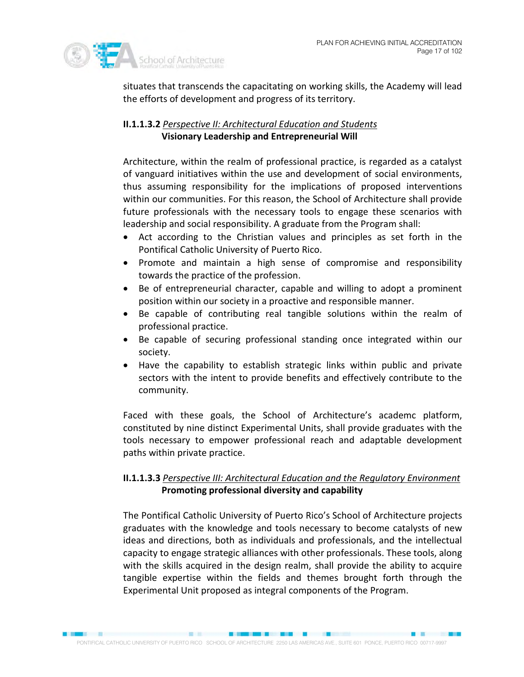

situates that transcends the capacitating on working skills, the Academy will lead the efforts of development and progress of its territory.

# **II.1.1.3.2**  *Perspective II: Architectural Education and Students* **Visionary Leadership and Entrepreneurial Will**

Architecture, within the realm of professional practice, is regarded as a catalyst of vanguard initiatives within the use and development of social environments, thus assuming responsibility for the implications of proposed interventions within our communities. For this reason, the School of Architecture shall provide future professionals with the necessary tools to engage these scenarios with leadership and social responsibility. A graduate from the Program shall:

- Act according to the Christian values and principles as set forth in the Pontifical Catholic University of Puerto Rico.
- Promote and maintain a high sense of compromise and responsibility towards the practice of the profession.
- Be of entrepreneurial character, capable and willing to adopt a prominent position within our society in a proactive and responsible manner.
- Be capable of contributing real tangible solutions within the realm of professional practice.
- Be capable of securing professional standing once integrated within our society.
- Have the capability to establish strategic links within public and private sectors with the intent to provide benefits and effectively contribute to the community.

Faced with these goals, the School of Architecture's academc platform, constituted by nine distinct Experimental Units, shall provide graduates with the tools necessary to empower professional reach and adaptable development paths within private practice.

# **II.1.1.3.3**  *Perspective III: Architectural Education and the Regulatory Environment* **Promoting professional diversity and capability**

The Pontifical Catholic University of Puerto Rico's School of Architecture projects graduates with the knowledge and tools necessary to become catalysts of new ideas and directions, both as individuals and professionals, and the intellectual capacity to engage strategic alliances with other professionals. These tools, along with the skills acquired in the design realm, shall provide the ability to acquire tangible expertise within the fields and themes brought forth through the Experimental Unit proposed as integral components of the Program.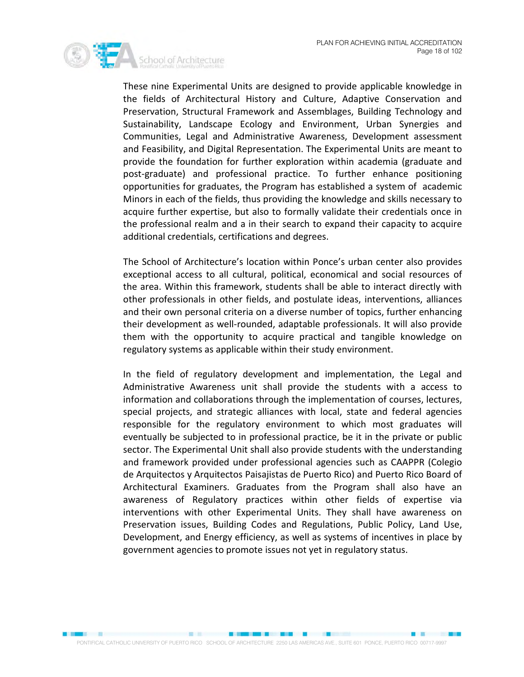

These nine Experimental Units are designed to provide applicable knowledge in the fields of Architectural History and Culture, Adaptive Conservation and Preservation, Structural Framework and Assemblages, Building Technology and Sustainability, Landscape Ecology and Environment, Urban Synergies and Communities, Legal and Administrative Awareness, Development assessment and Feasibility, and Digital Representation. The Experimental Units are meant to provide the foundation for further exploration within academia (graduate and post-graduate) and professional practice. To further enhance positioning opportunities for graduates, the Program has established a system of academic Minors in each of the fields, thus providing the knowledge and skills necessary to acquire further expertise, but also to formally validate their credentials once in the professional realm and a in their search to expand their capacity to acquire additional credentials, certifications and degrees.

The School of Architecture's location within Ponce's urban center also provides exceptional access to all cultural, political, economical and social resources of the area. Within this framework, students shall be able to interact directly with other professionals in other fields, and postulate ideas, interventions, alliances and their own personal criteria on a diverse number of topics, further enhancing their development as well-rounded, adaptable professionals. It will also provide them with the opportunity to acquire practical and tangible knowledge on regulatory systems as applicable within their study environment.

In the field of regulatory development and implementation, the Legal and Administrative Awareness unit shall provide the students with a access to information and collaborations through the implementation of courses, lectures, special projects, and strategic alliances with local, state and federal agencies responsible for the regulatory environment to which most graduates will eventually be subjected to in professional practice, be it in the private or public sector. The Experimental Unit shall also provide students with the understanding and framework provided under professional agencies such as CAAPPR (Colegio de Arquitectos y Arquitectos Paisajistas de Puerto Rico) and Puerto Rico Board of Architectural Examiners. Graduates from the Program shall also have an awareness of Regulatory practices within other fields of expertise via interventions with other Experimental Units. They shall have awareness on Preservation issues, Building Codes and Regulations, Public Policy, Land Use, Development, and Energy efficiency, as well as systems of incentives in place by government agencies to promote issues not yet in regulatory status.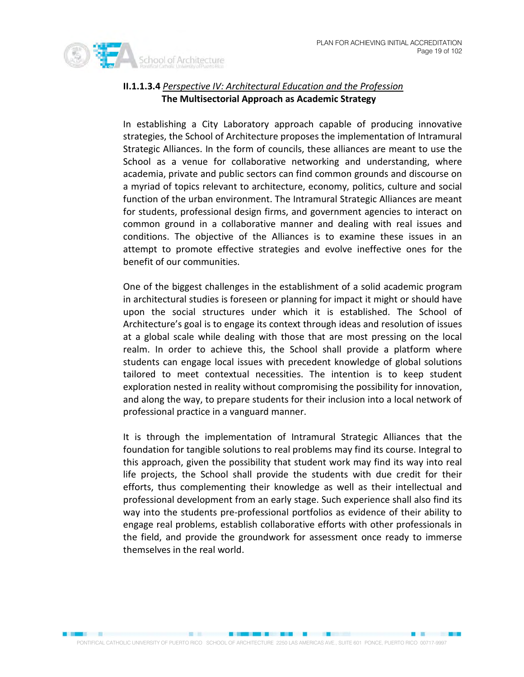

# **II.1.1.3.4**  *Perspective IV: Architectural Education and the Profession* **The Multisectorial Approach as Academic Strategy**

In establishing a City Laboratory approach capable of producing innovative strategies, the School of Architecture proposes the implementation of Intramural Strategic Alliances. In the form of councils, these alliances are meant to use the School as a venue for collaborative networking and understanding, where academia, private and public sectors can find common grounds and discourse on a myriad of topics relevant to architecture, economy, politics, culture and social function of the urban environment. The Intramural Strategic Alliances are meant for students, professional design firms, and government agencies to interact on common ground in a collaborative manner and dealing with real issues and conditions. The objective of the Alliances is to examine these issues in an attempt to promote effective strategies and evolve ineffective ones for the benefit of our communities.

One of the biggest challenges in the establishment of a solid academic program in architectural studies is foreseen or planning for impact it might or should have upon the social structures under which it is established. The School of Architecture's goal is to engage its context through ideas and resolution of issues at a global scale while dealing with those that are most pressing on the local realm. In order to achieve this, the School shall provide a platform where students can engage local issues with precedent knowledge of global solutions tailored to meet contextual necessities. The intention is to keep student exploration nested in reality without compromising the possibility for innovation, and along the way, to prepare students for their inclusion into a local network of professional practice in a vanguard manner.

It is through the implementation of Intramural Strategic Alliances that the foundation for tangible solutions to real problems may find its course. Integral to this approach, given the possibility that student work may find its way into real life projects, the School shall provide the students with due credit for their efforts, thus complementing their knowledge as well as their intellectual and professional development from an early stage. Such experience shall also find its way into the students pre-professional portfolios as evidence of their ability to engage real problems, establish collaborative efforts with other professionals in the field, and provide the groundwork for assessment once ready to immerse themselves in the real world.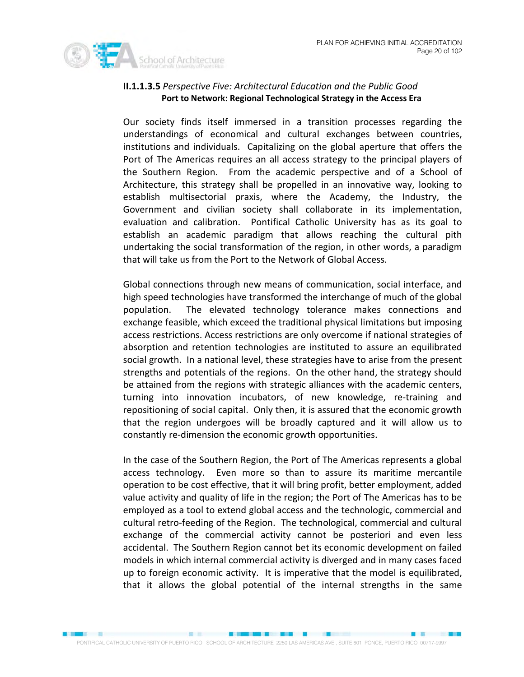

# **II.1.1.3.5** *Perspective Five: Architectural Education and the Public Good*  **Port to Network: Regional Technological Strategy in the Access Era**

Our society finds itself immersed in a transition processes regarding the understandings of economical and cultural exchanges between countries, institutions and individuals. Capitalizing on the global aperture that offers the Port of The Americas requires an all access strategy to the principal players of the Southern Region. From the academic perspective and of a School of Architecture, this strategy shall be propelled in an innovative way, looking to establish multisectorial praxis, where the Academy, the Industry, the Government and civilian society shall collaborate in its implementation, evaluation and calibration. Pontifical Catholic University has as its goal to establish an academic paradigm that allows reaching the cultural pith undertaking the social transformation of the region, in other words, a paradigm that will take us from the Port to the Network of Global Access.

Global connections through new means of communication, social interface, and high speed technologies have transformed the interchange of much of the global population. The elevated technology tolerance makes connections and exchange feasible, which exceed the traditional physical limitations but imposing access restrictions. Access restrictions are only overcome if national strategies of absorption and retention technologies are instituted to assure an equilibrated social growth. In a national level, these strategies have to arise from the present strengths and potentials of the regions. On the other hand, the strategy should be attained from the regions with strategic alliances with the academic centers, turning into innovation incubators, of new knowledge, re-training and repositioning of social capital. Only then, it is assured that the economic growth that the region undergoes will be broadly captured and it will allow us to constantly re-dimension the economic growth opportunities.

In the case of the Southern Region, the Port of The Americas represents a global access technology. Even more so than to assure its maritime mercantile operation to be cost effective, that it will bring profit, better employment, added value activity and quality of life in the region; the Port of The Americas has to be employed as a tool to extend global access and the technologic, commercial and cultural retro-feeding of the Region. The technological, commercial and cultural exchange of the commercial activity cannot be posteriori and even less accidental. The Southern Region cannot bet its economic development on failed models in which internal commercial activity is diverged and in many cases faced up to foreign economic activity. It is imperative that the model is equilibrated, that it allows the global potential of the internal strengths in the same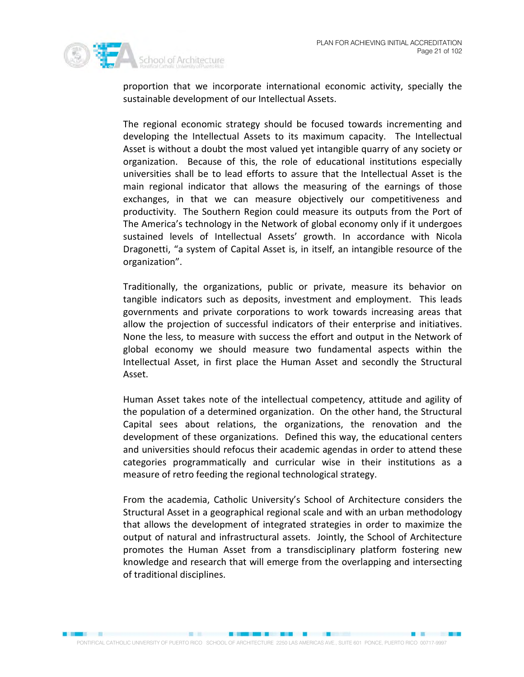

proportion that we incorporate international economic activity, specially the sustainable development of our Intellectual Assets.

The regional economic strategy should be focused towards incrementing and developing the Intellectual Assets to its maximum capacity. The Intellectual Asset is without a doubt the most valued yet intangible quarry of any society or organization. Because of this, the role of educational institutions especially universities shall be to lead efforts to assure that the Intellectual Asset is the main regional indicator that allows the measuring of the earnings of those exchanges, in that we can measure objectively our competitiveness and productivity. The Southern Region could measure its outputs from the Port of The America's technology in the Network of global economy only if it undergoes sustained levels of Intellectual Assets' growth. In accordance with Nicola Dragonetti, "a system of Capital Asset is, in itself, an intangible resource of the organization".

Traditionally, the organizations, public or private, measure its behavior on tangible indicators such as deposits, investment and employment. This leads governments and private corporations to work towards increasing areas that allow the projection of successful indicators of their enterprise and initiatives. None the less, to measure with success the effort and output in the Network of global economy we should measure two fundamental aspects within the Intellectual Asset, in first place the Human Asset and secondly the Structural Asset.

Human Asset takes note of the intellectual competency, attitude and agility of the population of a determined organization. On the other hand, the Structural Capital sees about relations, the organizations, the renovation and the development of these organizations. Defined this way, the educational centers and universities should refocus their academic agendas in order to attend these categories programmatically and curricular wise in their institutions as a measure of retro feeding the regional technological strategy.

From the academia, Catholic University's School of Architecture considers the Structural Asset in a geographical regional scale and with an urban methodology that allows the development of integrated strategies in order to maximize the output of natural and infrastructural assets. Jointly, the School of Architecture promotes the Human Asset from a transdisciplinary platform fostering new knowledge and research that will emerge from the overlapping and intersecting of traditional disciplines.

**BOOK AND \$1000 \$1000 \$1000 \$1000 \$1000 \$1000 \$1000 \$1000 \$1000 \$1000 \$1000 \$1000 \$1000 \$1000 \$1000 \$1000 \$1000 \$1000 \$1000 \$1000 \$1000 \$1000 \$1000 \$1000 \$1000 \$1000 \$1000 \$1000 \$1000 \$1000 \$1000 \$1000 \$1000 \$1000 \$1000 \$1** 

**EX 2009**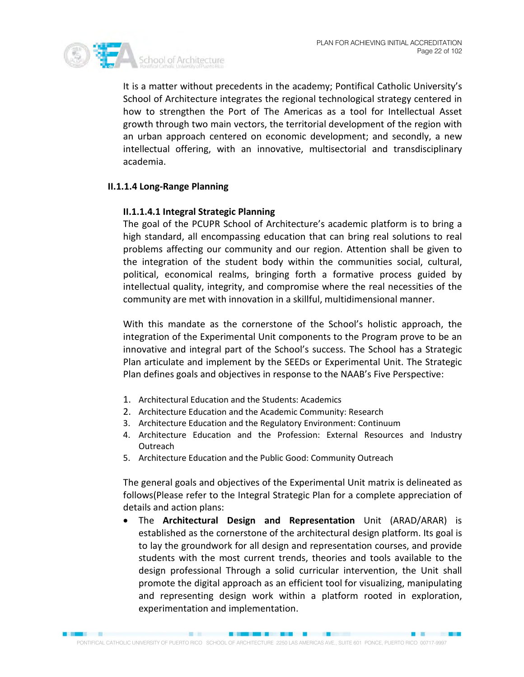

It is a matter without precedents in the academy; Pontifical Catholic University's School of Architecture integrates the regional technological strategy centered in how to strengthen the Port of The Americas as a tool for Intellectual Asset growth through two main vectors, the territorial development of the region with an urban approach centered on economic development; and secondly, a new intellectual offering, with an innovative, multisectorial and transdisciplinary academia.

#### **II.1.1.4 Long-Range Planning**

#### **II.1.1.4.1 Integral Strategic Planning**

The goal of the PCUPR School of Architecture's academic platform is to bring a high standard, all encompassing education that can bring real solutions to real problems affecting our community and our region. Attention shall be given to the integration of the student body within the communities social, cultural, political, economical realms, bringing forth a formative process guided by intellectual quality, integrity, and compromise where the real necessities of the community are met with innovation in a skillful, multidimensional manner.

With this mandate as the cornerstone of the School's holistic approach, the integration of the Experimental Unit components to the Program prove to be an innovative and integral part of the School's success. The School has a Strategic Plan articulate and implement by the SEEDs or Experimental Unit. The Strategic Plan defines goals and objectives in response to the NAAB's Five Perspective:

- 1. Architectural Education and the Students: Academics
- 2. Architecture Education and the Academic Community: Research
- 3. Architecture Education and the Regulatory Environment: Continuum
- 4. Architecture Education and the Profession: External Resources and Industry **Outreach**
- 5. Architecture Education and the Public Good: Community Outreach

The general goals and objectives of the Experimental Unit matrix is delineated as follows(Please refer to the Integral Strategic Plan for a complete appreciation of details and action plans:

• The **Architectural Design and Representation** Unit (ARAD/ARAR) is established as the cornerstone of the architectural design platform. Its goal is to lay the groundwork for all design and representation courses, and provide students with the most current trends, theories and tools available to the design professional Through a solid curricular intervention, the Unit shall promote the digital approach as an efficient tool for visualizing, manipulating and representing design work within a platform rooted in exploration, experimentation and implementation.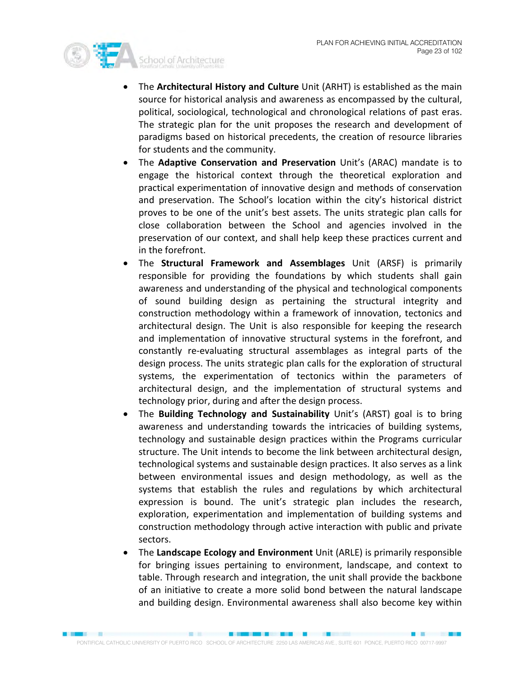

- The **Architectural History and Culture** Unit (ARHT) is established as the main source for historical analysis and awareness as encompassed by the cultural, political, sociological, technological and chronological relations of past eras. The strategic plan for the unit proposes the research and development of paradigms based on historical precedents, the creation of resource libraries for students and the community.
- The **Adaptive Conservation and Preservation** Unit's (ARAC) mandate is to engage the historical context through the theoretical exploration and practical experimentation of innovative design and methods of conservation and preservation. The School's location within the city's historical district proves to be one of the unit's best assets. The units strategic plan calls for close collaboration between the School and agencies involved in the preservation of our context, and shall help keep these practices current and in the forefront.
- The **Structural Framework and Assemblages** Unit (ARSF) is primarily responsible for providing the foundations by which students shall gain awareness and understanding of the physical and technological components of sound building design as pertaining the structural integrity and construction methodology within a framework of innovation, tectonics and architectural design. The Unit is also responsible for keeping the research and implementation of innovative structural systems in the forefront, and constantly re-evaluating structural assemblages as integral parts of the design process. The units strategic plan calls for the exploration of structural systems, the experimentation of tectonics within the parameters of architectural design, and the implementation of structural systems and technology prior, during and after the design process.
- The **Building Technology and Sustainability** Unit's (ARST) goal is to bring awareness and understanding towards the intricacies of building systems, technology and sustainable design practices within the Programs curricular structure. The Unit intends to become the link between architectural design, technological systems and sustainable design practices. It also serves as a link between environmental issues and design methodology, as well as the systems that establish the rules and regulations by which architectural expression is bound. The unit's strategic plan includes the research, exploration, experimentation and implementation of building systems and construction methodology through active interaction with public and private sectors.
- The **Landscape Ecology and Environment** Unit (ARLE) is primarily responsible for bringing issues pertaining to environment, landscape, and context to table. Through research and integration, the unit shall provide the backbone of an initiative to create a more solid bond between the natural landscape and building design. Environmental awareness shall also become key within

**STATE**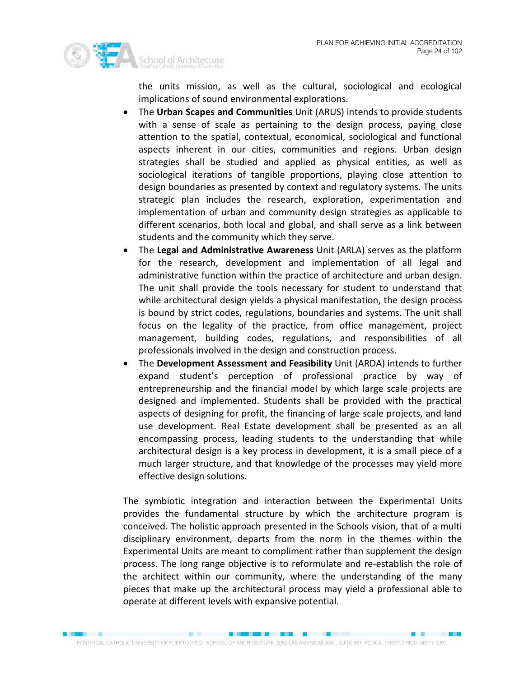

the units mission, as well as the cultural, sociological and ecological implications of sound environmental explorations.

- The **Urban Scapes and Communities** Unit (ARUS) intends to provide students with a sense of scale as pertaining to the design process, paying close attention to the spatial, contextual, economical, sociological and functional aspects inherent in our cities, communities and regions. Urban design strategies shall be studied and applied as physical entities, as well as sociological iterations of tangible proportions, playing close attention to design boundaries as presented by context and regulatory systems. The units strategic plan includes the research, exploration, experimentation and implementation of urban and community design strategies as applicable to different scenarios, both local and global, and shall serve as a link between students and the community which they serve.
- The **Legal and Administrative Awareness** Unit (ARLA) serves as the platform for the research, development and implementation of all legal and administrative function within the practice of architecture and urban design. The unit shall provide the tools necessary for student to understand that while architectural design yields a physical manifestation, the design process is bound by strict codes, regulations, boundaries and systems. The unit shall focus on the legality of the practice, from office management, project management, building codes, regulations, and responsibilities of all professionals involved in the design and construction process.
- The **Development Assessment and Feasibility** Unit (ARDA) intends to further expand student's perception of professional practice by way of entrepreneurship and the financial model by which large scale projects are designed and implemented. Students shall be provided with the practical aspects of designing for profit, the financing of large scale projects, and land use development. Real Estate development shall be presented as an all encompassing process, leading students to the understanding that while architectural design is a key process in development, it is a small piece of a much larger structure, and that knowledge of the processes may yield more effective design solutions.

The symbiotic integration and interaction between the Experimental Units provides the fundamental structure by which the architecture program is conceived. The holistic approach presented in the Schools vision, that of a multi disciplinary environment, departs from the norm in the themes within the Experimental Units are meant to compliment rather than supplement the design process. The long range objective is to reformulate and re-establish the role of the architect within our community, where the understanding of the many pieces that make up the architectural process may yield a professional able to operate at different levels with expansive potential.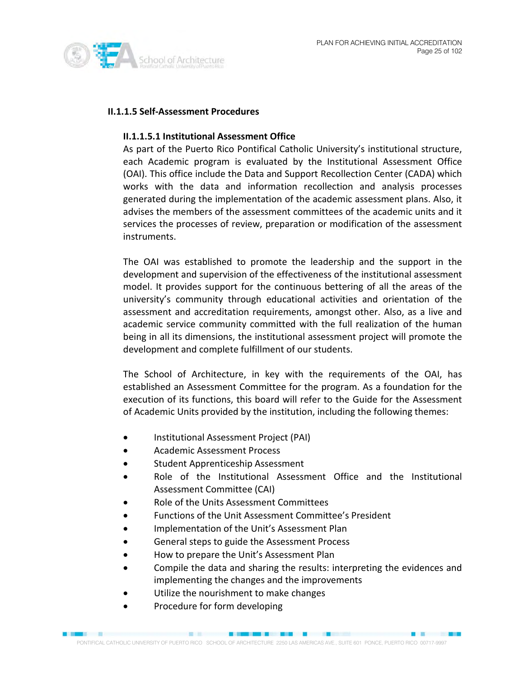

### **II.1.1.5 Self-Assessment Procedures**

#### **II.1.1.5.1 Institutional Assessment Office**

As part of the Puerto Rico Pontifical Catholic University's institutional structure, each Academic program is evaluated by the Institutional Assessment Office (OAI). This office include the Data and Support Recollection Center (CADA) which works with the data and information recollection and analysis processes generated during the implementation of the academic assessment plans. Also, it advises the members of the assessment committees of the academic units and it services the processes of review, preparation or modification of the assessment instruments.

The OAI was established to promote the leadership and the support in the development and supervision of the effectiveness of the institutional assessment model. It provides support for the continuous bettering of all the areas of the university's community through educational activities and orientation of the assessment and accreditation requirements, amongst other. Also, as a live and academic service community committed with the full realization of the human being in all its dimensions, the institutional assessment project will promote the development and complete fulfillment of our students.

The School of Architecture, in key with the requirements of the OAI, has established an Assessment Committee for the program. As a foundation for the execution of its functions, this board will refer to the Guide for the Assessment of Academic Units provided by the institution, including the following themes:

- Institutional Assessment Project (PAI)
- Academic Assessment Process
- Student Apprenticeship Assessment
- Role of the Institutional Assessment Office and the Institutional Assessment Committee (CAI)
- Role of the Units Assessment Committees
- Functions of the Unit Assessment Committee's President
- Implementation of the Unit's Assessment Plan
- General steps to guide the Assessment Process
- How to prepare the Unit's Assessment Plan
- Compile the data and sharing the results: interpreting the evidences and implementing the changes and the improvements
- Utilize the nourishment to make changes
- Procedure for form developing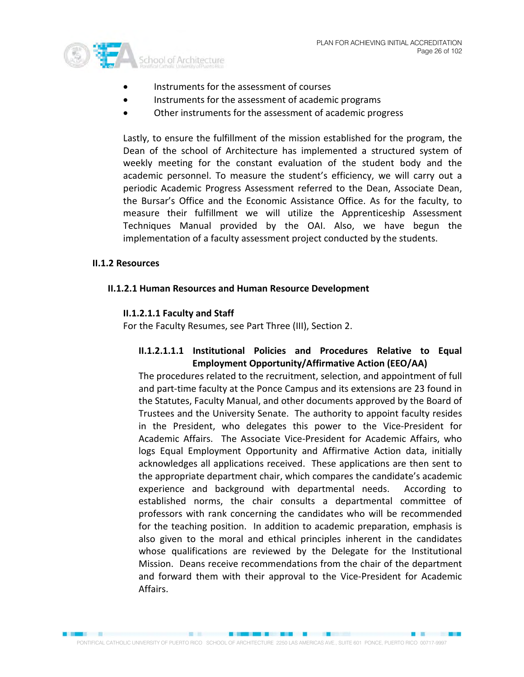

- Instruments for the assessment of courses
- Instruments for the assessment of academic programs
- Other instruments for the assessment of academic progress

Lastly, to ensure the fulfillment of the mission established for the program, the Dean of the school of Architecture has implemented a structured system of weekly meeting for the constant evaluation of the student body and the academic personnel. To measure the student's efficiency, we will carry out a periodic Academic Progress Assessment referred to the Dean, Associate Dean, the Bursar's Office and the Economic Assistance Office. As for the faculty, to measure their fulfillment we will utilize the Apprenticeship Assessment Techniques Manual provided by the OAI. Also, we have begun the implementation of a faculty assessment project conducted by the students.

### **II.1.2 Resources**

### **II.1.2.1 Human Resources and Human Resource Development**

### **II.1.2.1.1 Faculty and Staff**

For the Faculty Resumes, see Part Three (III), Section 2.

# **II.1.2.1.1.1 Institutional Policies and Procedures Relative to Equal Employment Opportunity/Affirmative Action (EEO/AA)**

The procedures related to the recruitment, selection, and appointment of full and part-time faculty at the Ponce Campus and its extensions are 23 found in the Statutes, Faculty Manual, and other documents approved by the Board of Trustees and the University Senate. The authority to appoint faculty resides in the President, who delegates this power to the Vice-President for Academic Affairs. The Associate Vice-President for Academic Affairs, who logs Equal Employment Opportunity and Affirmative Action data, initially acknowledges all applications received. These applications are then sent to the appropriate department chair, which compares the candidate's academic experience and background with departmental needs. According to established norms, the chair consults a departmental committee of professors with rank concerning the candidates who will be recommended for the teaching position. In addition to academic preparation, emphasis is also given to the moral and ethical principles inherent in the candidates whose qualifications are reviewed by the Delegate for the Institutional Mission. Deans receive recommendations from the chair of the department and forward them with their approval to the Vice-President for Academic Affairs.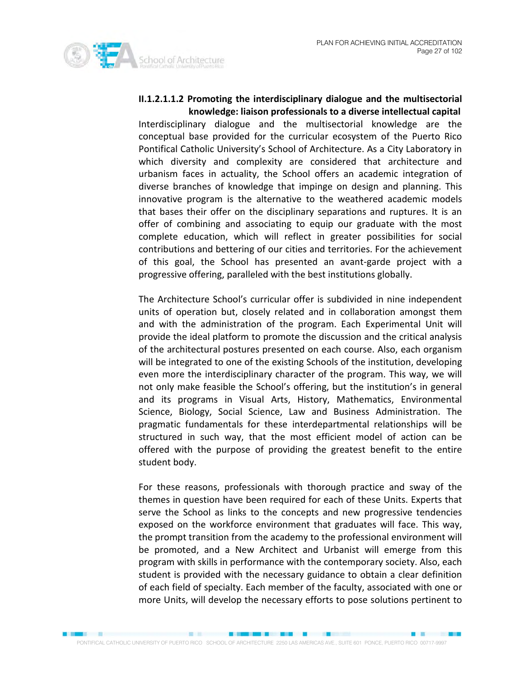

# **II.1.2.1.1.2 Promoting the interdisciplinary dialogue and the multisectorial knowledge: liaison professionals to a diverse intellectual capital**

Interdisciplinary dialogue and the multisectorial knowledge are the conceptual base provided for the curricular ecosystem of the Puerto Rico Pontifical Catholic University's School of Architecture. As a City Laboratory in which diversity and complexity are considered that architecture and urbanism faces in actuality, the School offers an academic integration of diverse branches of knowledge that impinge on design and planning. This innovative program is the alternative to the weathered academic models that bases their offer on the disciplinary separations and ruptures. It is an offer of combining and associating to equip our graduate with the most complete education, which will reflect in greater possibilities for social contributions and bettering of our cities and territories. For the achievement of this goal, the School has presented an avant-garde project with a progressive offering, paralleled with the best institutions globally.

The Architecture School's curricular offer is subdivided in nine independent units of operation but, closely related and in collaboration amongst them and with the administration of the program. Each Experimental Unit will provide the ideal platform to promote the discussion and the critical analysis of the architectural postures presented on each course. Also, each organism will be integrated to one of the existing Schools of the institution, developing even more the interdisciplinary character of the program. This way, we will not only make feasible the School's offering, but the institution's in general and its programs in Visual Arts, History, Mathematics, Environmental Science, Biology, Social Science, Law and Business Administration. The pragmatic fundamentals for these interdepartmental relationships will be structured in such way, that the most efficient model of action can be offered with the purpose of providing the greatest benefit to the entire student body.

For these reasons, professionals with thorough practice and sway of the themes in question have been required for each of these Units. Experts that serve the School as links to the concepts and new progressive tendencies exposed on the workforce environment that graduates will face. This way, the prompt transition from the academy to the professional environment will be promoted, and a New Architect and Urbanist will emerge from this program with skills in performance with the contemporary society. Also, each student is provided with the necessary guidance to obtain a clear definition of each field of specialty. Each member of the faculty, associated with one or more Units, will develop the necessary efforts to pose solutions pertinent to

■ 图 图 图 图

**EX 1999**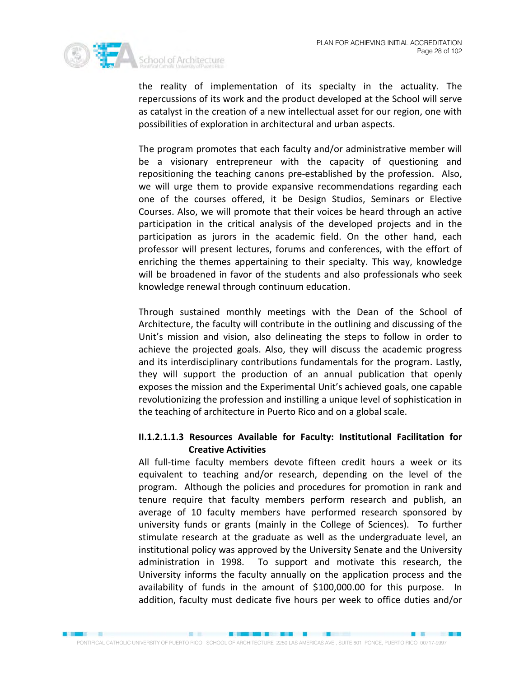

the reality of implementation of its specialty in the actuality. The repercussions of its work and the product developed at the School will serve as catalyst in the creation of a new intellectual asset for our region, one with possibilities of exploration in architectural and urban aspects.

The program promotes that each faculty and/or administrative member will be a visionary entrepreneur with the capacity of questioning and repositioning the teaching canons pre-established by the profession. Also, we will urge them to provide expansive recommendations regarding each one of the courses offered, it be Design Studios, Seminars or Elective Courses. Also, we will promote that their voices be heard through an active participation in the critical analysis of the developed projects and in the participation as jurors in the academic field. On the other hand, each professor will present lectures, forums and conferences, with the effort of enriching the themes appertaining to their specialty. This way, knowledge will be broadened in favor of the students and also professionals who seek knowledge renewal through continuum education.

Through sustained monthly meetings with the Dean of the School of Architecture, the faculty will contribute in the outlining and discussing of the Unit's mission and vision, also delineating the steps to follow in order to achieve the projected goals. Also, they will discuss the academic progress and its interdisciplinary contributions fundamentals for the program. Lastly, they will support the production of an annual publication that openly exposes the mission and the Experimental Unit's achieved goals, one capable revolutionizing the profession and instilling a unique level of sophistication in the teaching of architecture in Puerto Rico and on a global scale.

# **II.1.2.1.1.3 Resources Available for Faculty: Institutional Facilitation for Creative Activities**

All full-time faculty members devote fifteen credit hours a week or its equivalent to teaching and/or research, depending on the level of the program. Although the policies and procedures for promotion in rank and tenure require that faculty members perform research and publish, an average of 10 faculty members have performed research sponsored by university funds or grants (mainly in the College of Sciences). To further stimulate research at the graduate as well as the undergraduate level, an institutional policy was approved by the University Senate and the University administration in 1998. To support and motivate this research, the University informs the faculty annually on the application process and the availability of funds in the amount of \$100,000.00 for this purpose. In addition, faculty must dedicate five hours per week to office duties and/or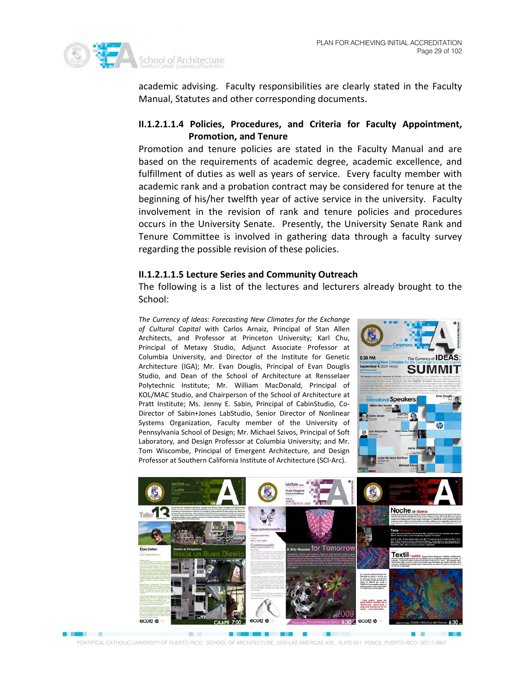

academic advising. Faculty responsibilities are clearly stated in the Faculty Manual, Statutes and other corresponding documents.

## **II.1.2.1.1.4 Policies, Procedures, and Criteria for Faculty Appointment, Promotion, and Tenure**

Promotion and tenure policies are stated in the Faculty Manual and are based on the requirements of academic degree, academic excellence, and fulfillment of duties as well as years of service. Every faculty member with academic rank and a probation contract may be considered for tenure at the beginning of his/her twelfth year of active service in the university. Faculty involvement in the revision of rank and tenure policies and procedures occurs in the University Senate. Presently, the University Senate Rank and Tenure Committee is involved in gathering data through a faculty survey regarding the possible revision of these policies.

#### **II.1.2.1.1.5 Lecture Series and Community Outreach**

The following is a list of the lectures and lecturers already brought to the School:

*The Currency of Ideas: Forecasting New Climates for the Exchange of Cultural Capital* with Carlos Arnaiz, Principal of Stan Allen Architects, and Professor at Princeton University; Karl Chu, Principal of Metaxy Studio, Adjunct Associate Professor at Columbia University, and Director of the Institute for Genetic Architecture (IGA); Mr. Evan Douglis, Principal of Evan Douglis Studio, and Dean of the School of Architecture at Rensselaer Polytechnic Institute; Mr. William MacDonald, Principal of KOL/MAC Studio, and Chairperson of the School of Architecture at Pratt Institute; Ms. Jenny E. Sabin, Principal of CabinStudio, Co-Director of Sabin+Jones LabStudio, Senior Director of Nonlinear Systems Organization, Faculty member of the University of Pennsylvania School of Design; Mr. Michael Szivos, Principal of Soft Laboratory, and Design Professor at Columbia University; and Mr. Tom Wiscombe, Principal of Emergent Architecture, and Design Professor at Southern California Institute of Architecture (SCI-Arc).





**Bank Bank** 

PONTIFICAL CATHOLIC UNIVERSITY OF PUERTO RICO SCHOOL OF ARCHITECTURE 2250 LAS AMERICAS AVE., SUITE 601 PONCE, PUERTO RICO 00717-9997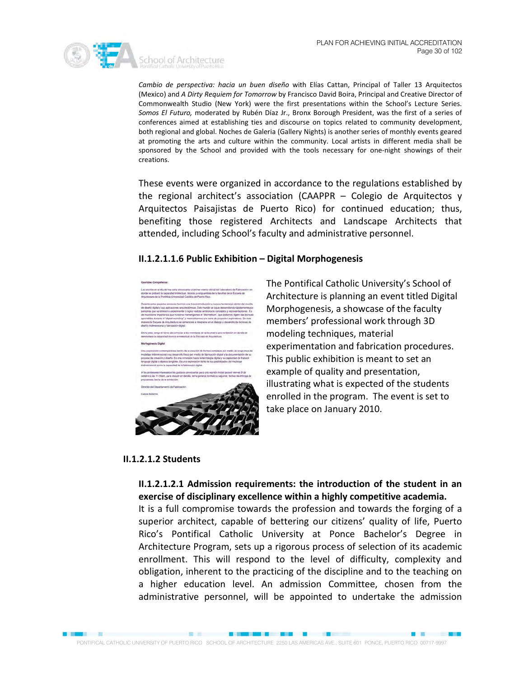

*Cambio de perspectiva: hacia un buen diseño* with Elías Cattan, Principal of Taller 13 Arquitectos (Mexico) and *A Dirty Requiem for Tomorrow* by Francisco David Boira, Principal and Creative Director of Commonwealth Studio (New York) were the first presentations within the School's Lecture Series. *Somos El Futuro,* moderated by Rubén Díaz Jr., Bronx Borough President, was the first of a series of conferences aimed at establishing ties and discourse on topics related to community development, both regional and global. Noches de Galeria (Gallery Nights) is another series of monthly events geared at promoting the arts and culture within the community. Local artists in different media shall be sponsored by the School and provided with the tools necessary for one-night showings of their creations.

These events were organized in accordance to the regulations established by the regional architect's association (CAAPPR – Colegio de Arquitectos y Arquitectos Paisajistas de Puerto Rico) for continued education; thus, benefiting those registered Architects and Landscape Architects that attended, including School's faculty and administrative personnel.

#### **II.1.2.1.1.6 Public Exhibition – Digital Morphogenesis**



The Pontifical Catholic University's School of Architecture is planning an event titled Digital Morphogenesis, a showcase of the faculty members' professional work through 3D modeling techniques, material experimentation and fabrication procedures. This public exhibition is meant to set an example of quality and presentation, illustrating what is expected of the students enrolled in the program. The event is set to take place on January 2010.

■ 图 图 图 图

#### **II.1.2.1.2 Students**

# **II.1.2.1.2.1 Admission requirements: the introduction of the student in an exercise of disciplinary excellence within a highly competitive academia.**

It is a full compromise towards the profession and towards the forging of a superior architect, capable of bettering our citizens' quality of life, Puerto Rico's Pontifical Catholic University at Ponce Bachelor's Degree in Architecture Program, sets up a rigorous process of selection of its academic enrollment. This will respond to the level of difficulty, complexity and obligation, inherent to the practicing of the discipline and to the teaching on a higher education level. An admission Committee, chosen from the administrative personnel, will be appointed to undertake the admission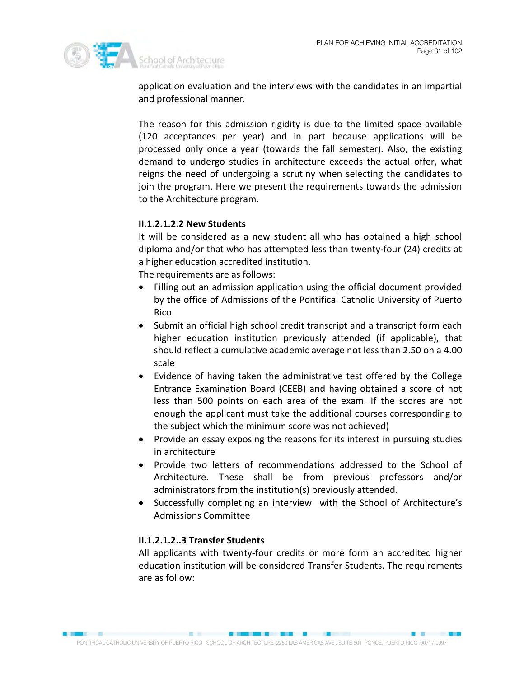

application evaluation and the interviews with the candidates in an impartial and professional manner.

The reason for this admission rigidity is due to the limited space available (120 acceptances per year) and in part because applications will be processed only once a year (towards the fall semester). Also, the existing demand to undergo studies in architecture exceeds the actual offer, what reigns the need of undergoing a scrutiny when selecting the candidates to join the program. Here we present the requirements towards the admission to the Architecture program.

### **II.1.2.1.2.2 New Students**

It will be considered as a new student all who has obtained a high school diploma and/or that who has attempted less than twenty-four (24) credits at a higher education accredited institution.

The requirements are as follows:

- Filling out an admission application using the official document provided by the office of Admissions of the Pontifical Catholic University of Puerto Rico.
- Submit an official high school credit transcript and a transcript form each higher education institution previously attended (if applicable), that should reflect a cumulative academic average not less than 2.50 on a 4.00 scale
- Evidence of having taken the administrative test offered by the College Entrance Examination Board (CEEB) and having obtained a score of not less than 500 points on each area of the exam. If the scores are not enough the applicant must take the additional courses corresponding to the subject which the minimum score was not achieved)
- Provide an essay exposing the reasons for its interest in pursuing studies in architecture
- Provide two letters of recommendations addressed to the School of Architecture. These shall be from previous professors and/or administrators from the institution(s) previously attended.
- Successfully completing an interview with the School of Architecture's Admissions Committee

### **II.1.2.1.2..3 Transfer Students**

All applicants with twenty-four credits or more form an accredited higher education institution will be considered Transfer Students. The requirements are as follow: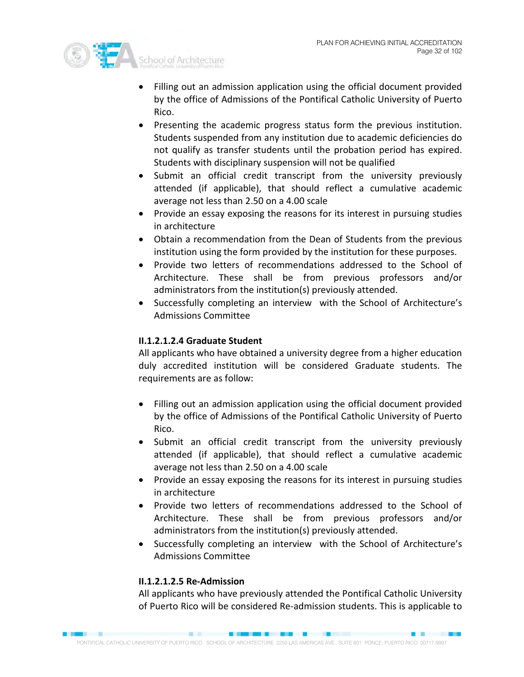

- Filling out an admission application using the official document provided by the office of Admissions of the Pontifical Catholic University of Puerto Rico.
- Presenting the academic progress status form the previous institution. Students suspended from any institution due to academic deficiencies do not qualify as transfer students until the probation period has expired. Students with disciplinary suspension will not be qualified
- Submit an official credit transcript from the university previously attended (if applicable), that should reflect a cumulative academic average not less than 2.50 on a 4.00 scale
- Provide an essay exposing the reasons for its interest in pursuing studies in architecture
- Obtain a recommendation from the Dean of Students from the previous institution using the form provided by the institution for these purposes.
- Provide two letters of recommendations addressed to the School of Architecture. These shall be from previous professors and/or administrators from the institution(s) previously attended.
- Successfully completing an interview with the School of Architecture's Admissions Committee

# **II.1.2.1.2.4 Graduate Student**

All applicants who have obtained a university degree from a higher education duly accredited institution will be considered Graduate students. The requirements are as follow:

- Filling out an admission application using the official document provided by the office of Admissions of the Pontifical Catholic University of Puerto Rico.
- Submit an official credit transcript from the university previously attended (if applicable), that should reflect a cumulative academic average not less than 2.50 on a 4.00 scale
- Provide an essay exposing the reasons for its interest in pursuing studies in architecture
- Provide two letters of recommendations addressed to the School of Architecture. These shall be from previous professors and/or administrators from the institution(s) previously attended.
- Successfully completing an interview with the School of Architecture's Admissions Committee

# **II.1.2.1.2.5 Re-Admission**

All applicants who have previously attended the Pontifical Catholic University of Puerto Rico will be considered Re-admission students. This is applicable to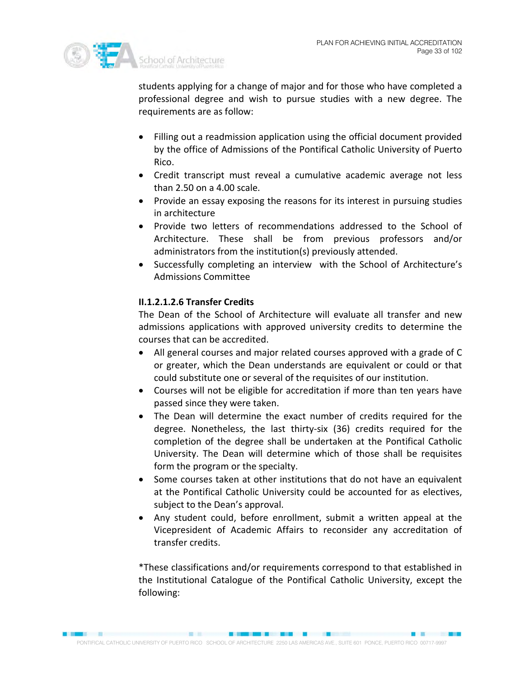

students applying for a change of major and for those who have completed a professional degree and wish to pursue studies with a new degree. The requirements are as follow:

- Filling out a readmission application using the official document provided by the office of Admissions of the Pontifical Catholic University of Puerto Rico.
- Credit transcript must reveal a cumulative academic average not less than 2.50 on a 4.00 scale.
- Provide an essay exposing the reasons for its interest in pursuing studies in architecture
- Provide two letters of recommendations addressed to the School of Architecture. These shall be from previous professors and/or administrators from the institution(s) previously attended.
- Successfully completing an interview with the School of Architecture's Admissions Committee

# **II.1.2.1.2.6 Transfer Credits**

The Dean of the School of Architecture will evaluate all transfer and new admissions applications with approved university credits to determine the courses that can be accredited.

- All general courses and major related courses approved with a grade of C or greater, which the Dean understands are equivalent or could or that could substitute one or several of the requisites of our institution.
- Courses will not be eligible for accreditation if more than ten years have passed since they were taken.
- The Dean will determine the exact number of credits required for the degree. Nonetheless, the last thirty-six (36) credits required for the completion of the degree shall be undertaken at the Pontifical Catholic University. The Dean will determine which of those shall be requisites form the program or the specialty.
- Some courses taken at other institutions that do not have an equivalent at the Pontifical Catholic University could be accounted for as electives, subject to the Dean's approval.
- Any student could, before enrollment, submit a written appeal at the Vicepresident of Academic Affairs to reconsider any accreditation of transfer credits.

\*These classifications and/or requirements correspond to that established in the Institutional Catalogue of the Pontifical Catholic University, except the following: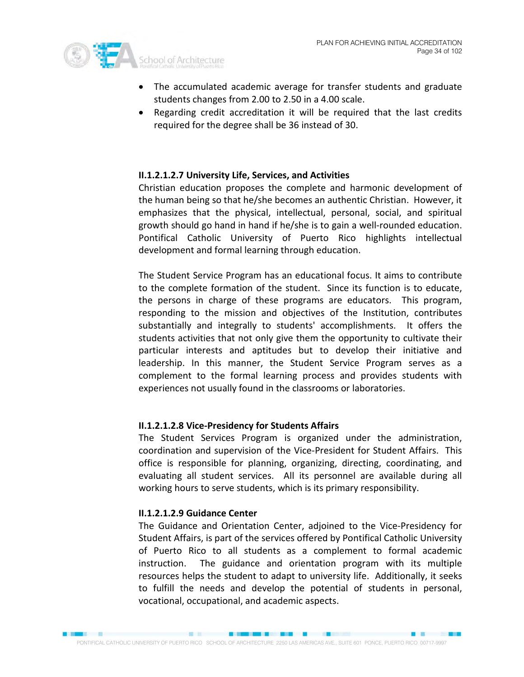

- The accumulated academic average for transfer students and graduate students changes from 2.00 to 2.50 in a 4.00 scale.
- Regarding credit accreditation it will be required that the last credits required for the degree shall be 36 instead of 30.

### **II.1.2.1.2.7 University Life, Services, and Activities**

Christian education proposes the complete and harmonic development of the human being so that he/she becomes an authentic Christian. However, it emphasizes that the physical, intellectual, personal, social, and spiritual growth should go hand in hand if he/she is to gain a well-rounded education. Pontifical Catholic University of Puerto Rico highlights intellectual development and formal learning through education.

The Student Service Program has an educational focus. It aims to contribute to the complete formation of the student. Since its function is to educate, the persons in charge of these programs are educators. This program, responding to the mission and objectives of the Institution, contributes substantially and integrally to students' accomplishments. It offers the students activities that not only give them the opportunity to cultivate their particular interests and aptitudes but to develop their initiative and leadership. In this manner, the Student Service Program serves as a complement to the formal learning process and provides students with experiences not usually found in the classrooms or laboratories.

#### **II.1.2.1.2.8 Vice-Presidency for Students Affairs**

The Student Services Program is organized under the administration, coordination and supervision of the Vice-President for Student Affairs. This office is responsible for planning, organizing, directing, coordinating, and evaluating all student services. All its personnel are available during all working hours to serve students, which is its primary responsibility.

#### **II.1.2.1.2.9 Guidance Center**

The Guidance and Orientation Center, adjoined to the Vice-Presidency for Student Affairs, is part of the services offered by Pontifical Catholic University of Puerto Rico to all students as a complement to formal academic instruction. The guidance and orientation program with its multiple resources helps the student to adapt to university life. Additionally, it seeks to fulfill the needs and develop the potential of students in personal, vocational, occupational, and academic aspects.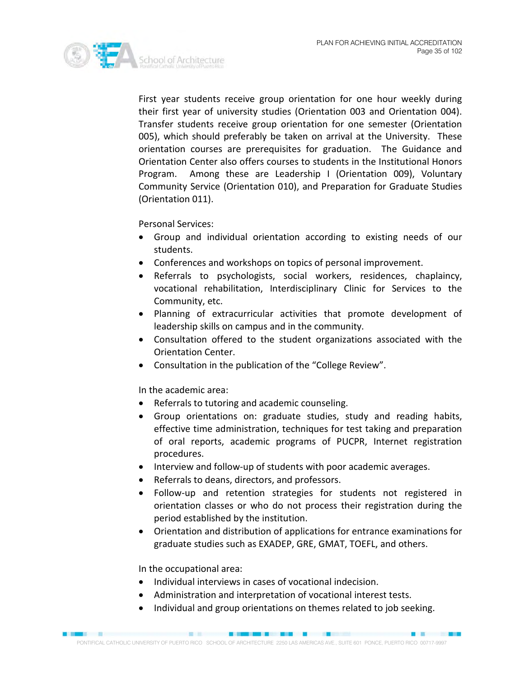

First year students receive group orientation for one hour weekly during their first year of university studies (Orientation 003 and Orientation 004). Transfer students receive group orientation for one semester (Orientation 005), which should preferably be taken on arrival at the University. These orientation courses are prerequisites for graduation. The Guidance and Orientation Center also offers courses to students in the Institutional Honors Program. Among these are Leadership I (Orientation 009), Voluntary Community Service (Orientation 010), and Preparation for Graduate Studies (Orientation 011).

Personal Services:

- Group and individual orientation according to existing needs of our students.
- Conferences and workshops on topics of personal improvement.
- Referrals to psychologists, social workers, residences, chaplaincy, vocational rehabilitation, Interdisciplinary Clinic for Services to the Community, etc.
- Planning of extracurricular activities that promote development of leadership skills on campus and in the community.
- Consultation offered to the student organizations associated with the Orientation Center.
- Consultation in the publication of the "College Review".

In the academic area:

- Referrals to tutoring and academic counseling.
- Group orientations on: graduate studies, study and reading habits, effective time administration, techniques for test taking and preparation of oral reports, academic programs of PUCPR, Internet registration procedures.
- Interview and follow-up of students with poor academic averages.
- Referrals to deans, directors, and professors.
- Follow-up and retention strategies for students not registered in orientation classes or who do not process their registration during the period established by the institution.
- Orientation and distribution of applications for entrance examinations for graduate studies such as EXADEP, GRE, GMAT, TOEFL, and others.

In the occupational area:

- Individual interviews in cases of vocational indecision.
- Administration and interpretation of vocational interest tests.
- Individual and group orientations on themes related to job seeking.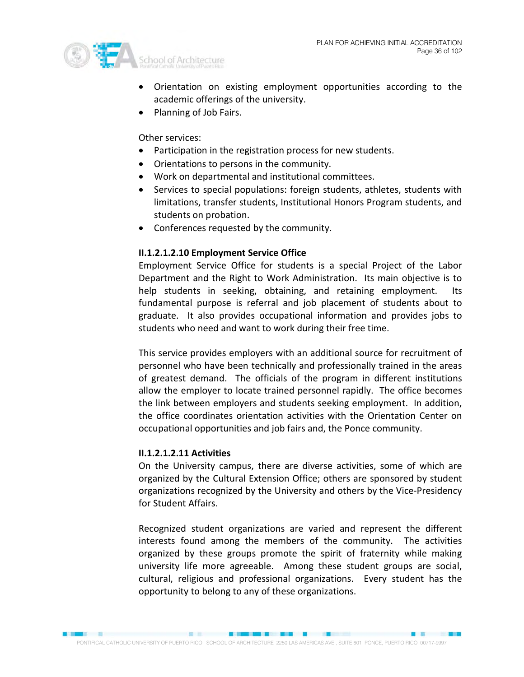

- Orientation on existing employment opportunities according to the academic offerings of the university.
- Planning of Job Fairs.

Other services:

- Participation in the registration process for new students.
- Orientations to persons in the community.
- Work on departmental and institutional committees.
- Services to special populations: foreign students, athletes, students with limitations, transfer students, Institutional Honors Program students, and students on probation.
- Conferences requested by the community.

# **II.1.2.1.2.10 Employment Service Office**

Employment Service Office for students is a special Project of the Labor Department and the Right to Work Administration. Its main objective is to help students in seeking, obtaining, and retaining employment. Its fundamental purpose is referral and job placement of students about to graduate. It also provides occupational information and provides jobs to students who need and want to work during their free time.

This service provides employers with an additional source for recruitment of personnel who have been technically and professionally trained in the areas of greatest demand. The officials of the program in different institutions allow the employer to locate trained personnel rapidly. The office becomes the link between employers and students seeking employment. In addition, the office coordinates orientation activities with the Orientation Center on occupational opportunities and job fairs and, the Ponce community.

### **II.1.2.1.2.11 Activities**

On the University campus, there are diverse activities, some of which are organized by the Cultural Extension Office; others are sponsored by student organizations recognized by the University and others by the Vice-Presidency for Student Affairs.

Recognized student organizations are varied and represent the different interests found among the members of the community. The activities organized by these groups promote the spirit of fraternity while making university life more agreeable. Among these student groups are social, cultural, religious and professional organizations. Every student has the opportunity to belong to any of these organizations.

**BUNG AS END BUT A 1999**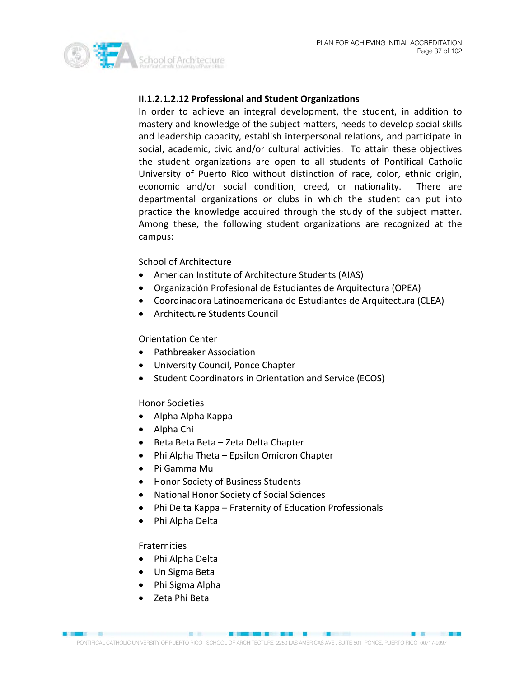

## **II.1.2.1.2.12 Professional and Student Organizations**

In order to achieve an integral development, the student, in addition to mastery and knowledge of the subject matters, needs to develop social skills and leadership capacity, establish interpersonal relations, and participate in social, academic, civic and/or cultural activities. To attain these objectives the student organizations are open to all students of Pontifical Catholic University of Puerto Rico without distinction of race, color, ethnic origin, economic and/or social condition, creed, or nationality. There are departmental organizations or clubs in which the student can put into practice the knowledge acquired through the study of the subject matter. Among these, the following student organizations are recognized at the campus:

## School of Architecture

- American Institute of Architecture Students (AIAS)
- Organización Profesional de Estudiantes de Arquitectura (OPEA)
- Coordinadora Latinoamericana de Estudiantes de Arquitectura (CLEA)
- Architecture Students Council

## Orientation Center

- Pathbreaker Association
- University Council, Ponce Chapter
- Student Coordinators in Orientation and Service (ECOS)

## Honor Societies

- Alpha Alpha Kappa
- Alpha Chi
- Beta Beta Beta Zeta Delta Chapter
- Phi Alpha Theta Epsilon Omicron Chapter
- Pi Gamma Mu
- Honor Society of Business Students
- National Honor Society of Social Sciences
- Phi Delta Kappa Fraternity of Education Professionals
- Phi Alpha Delta

## Fraternities

- Phi Alpha Delta
- Un Sigma Beta
- Phi Sigma Alpha
- Zeta Phi Beta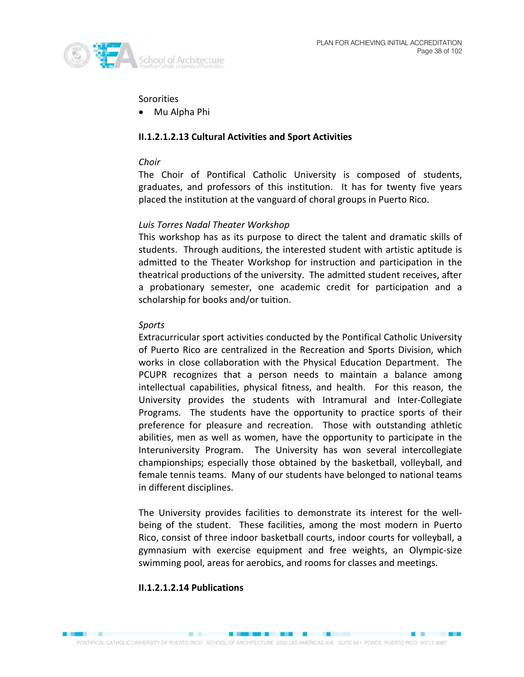

## **Sororities**

• Mu Alpha Phi

## **II.1.2.1.2.13 Cultural Activities and Sport Activities**

## *Choir*

The Choir of Pontifical Catholic University is composed of students, graduates, and professors of this institution. It has for twenty five years placed the institution at the vanguard of choral groups in Puerto Rico.

## *Luis Torres Nadal Theater Workshop*

This workshop has as its purpose to direct the talent and dramatic skills of students. Through auditions, the interested student with artistic aptitude is admitted to the Theater Workshop for instruction and participation in the theatrical productions of the university. The admitted student receives, after a probationary semester, one academic credit for participation and a scholarship for books and/or tuition.

## *Sports*

Extracurricular sport activities conducted by the Pontifical Catholic University of Puerto Rico are centralized in the Recreation and Sports Division, which works in close collaboration with the Physical Education Department. The PCUPR recognizes that a person needs to maintain a balance among intellectual capabilities, physical fitness, and health. For this reason, the University provides the students with Intramural and Inter-Collegiate Programs. The students have the opportunity to practice sports of their preference for pleasure and recreation. Those with outstanding athletic abilities, men as well as women, have the opportunity to participate in the Interuniversity Program. The University has won several intercollegiate championships; especially those obtained by the basketball, volleyball, and female tennis teams. Many of our students have belonged to national teams in different disciplines.

The University provides facilities to demonstrate its interest for the wellbeing of the student. These facilities, among the most modern in Puerto Rico, consist of three indoor basketball courts, indoor courts for volleyball, a gymnasium with exercise equipment and free weights, an Olympic-size swimming pool, areas for aerobics, and rooms for classes and meetings.

## **II.1.2.1.2.14 Publications**

**SECTION AND RESERVE**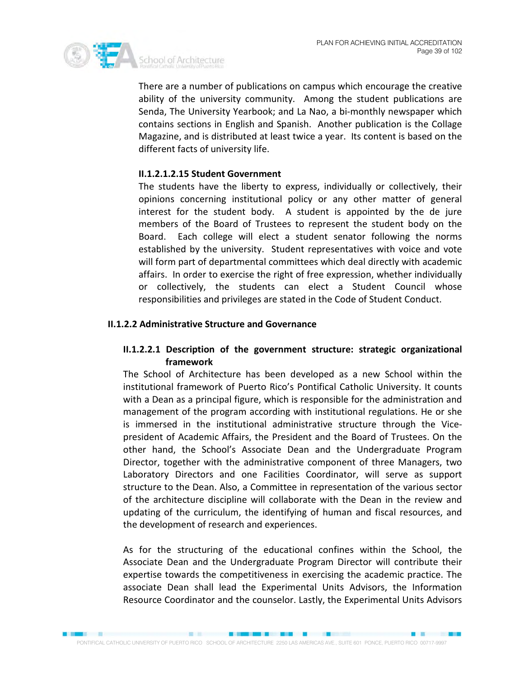

There are a number of publications on campus which encourage the creative ability of the university community. Among the student publications are Senda, The University Yearbook; and La Nao, a bi-monthly newspaper which contains sections in English and Spanish. Another publication is the Collage Magazine, and is distributed at least twice a year. Its content is based on the different facts of university life.

## **II.1.2.1.2.15 Student Government**

The students have the liberty to express, individually or collectively, their opinions concerning institutional policy or any other matter of general interest for the student body. A student is appointed by the de jure members of the Board of Trustees to represent the student body on the Board. Each college will elect a student senator following the norms established by the university. Student representatives with voice and vote will form part of departmental committees which deal directly with academic affairs. In order to exercise the right of free expression, whether individually or collectively, the students can elect a Student Council whose responsibilities and privileges are stated in the Code of Student Conduct.

## **II.1.2.2 Administrative Structure and Governance**

## **II.1.2.2.1 Description of the government structure: strategic organizational framework**

The School of Architecture has been developed as a new School within the institutional framework of Puerto Rico's Pontifical Catholic University. It counts with a Dean as a principal figure, which is responsible for the administration and management of the program according with institutional regulations. He or she is immersed in the institutional administrative structure through the Vicepresident of Academic Affairs, the President and the Board of Trustees. On the other hand, the School's Associate Dean and the Undergraduate Program Director, together with the administrative component of three Managers, two Laboratory Directors and one Facilities Coordinator, will serve as support structure to the Dean. Also, a Committee in representation of the various sector of the architecture discipline will collaborate with the Dean in the review and updating of the curriculum, the identifying of human and fiscal resources, and the development of research and experiences.

As for the structuring of the educational confines within the School, the Associate Dean and the Undergraduate Program Director will contribute their expertise towards the competitiveness in exercising the academic practice. The associate Dean shall lead the Experimental Units Advisors, the Information Resource Coordinator and the counselor. Lastly, the Experimental Units Advisors

■ 图 图 图 图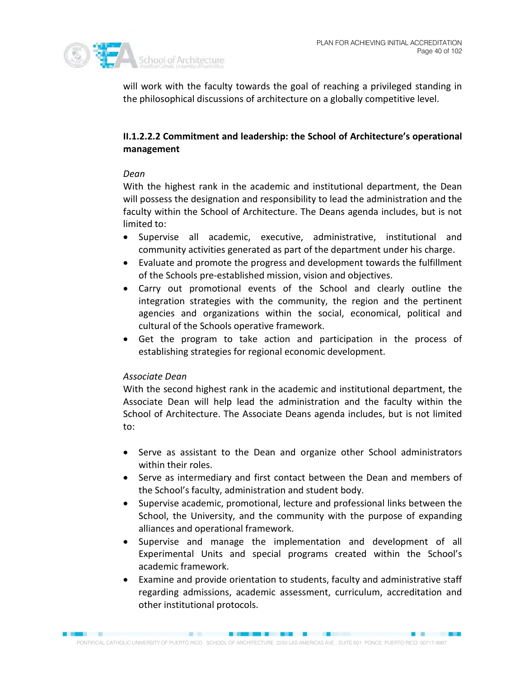

will work with the faculty towards the goal of reaching a privileged standing in the philosophical discussions of architecture on a globally competitive level.

## **II.1.2.2.2 Commitment and leadership: the School of Architecture's operational management**

## *Dean*

With the highest rank in the academic and institutional department, the Dean will possess the designation and responsibility to lead the administration and the faculty within the School of Architecture. The Deans agenda includes, but is not limited to:

- Supervise all academic, executive, administrative, institutional and community activities generated as part of the department under his charge.
- Evaluate and promote the progress and development towards the fulfillment of the Schools pre-established mission, vision and objectives.
- Carry out promotional events of the School and clearly outline the integration strategies with the community, the region and the pertinent agencies and organizations within the social, economical, political and cultural of the Schools operative framework.
- Get the program to take action and participation in the process of establishing strategies for regional economic development.

## *Associate Dean*

With the second highest rank in the academic and institutional department, the Associate Dean will help lead the administration and the faculty within the School of Architecture. The Associate Deans agenda includes, but is not limited to:

- Serve as assistant to the Dean and organize other School administrators within their roles.
- Serve as intermediary and first contact between the Dean and members of the School's faculty, administration and student body.
- Supervise academic, promotional, lecture and professional links between the School, the University, and the community with the purpose of expanding alliances and operational framework.
- Supervise and manage the implementation and development of all Experimental Units and special programs created within the School's academic framework.
- Examine and provide orientation to students, faculty and administrative staff regarding admissions, academic assessment, curriculum, accreditation and other institutional protocols.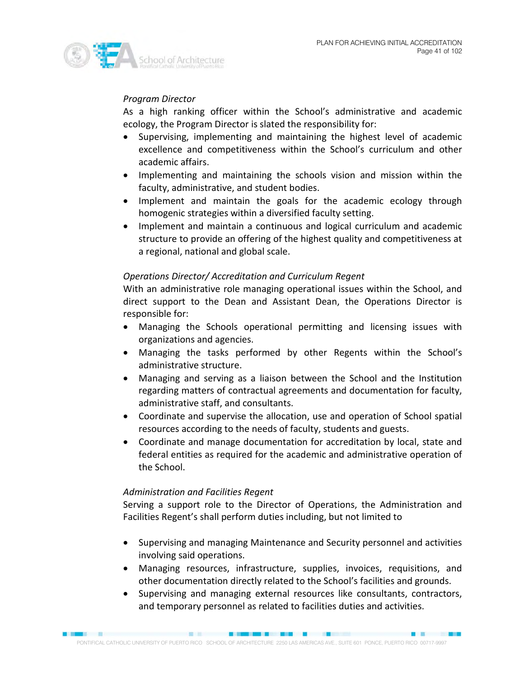

## *Program Director*

As a high ranking officer within the School's administrative and academic ecology, the Program Director is slated the responsibility for:

- Supervising, implementing and maintaining the highest level of academic excellence and competitiveness within the School's curriculum and other academic affairs.
- Implementing and maintaining the schools vision and mission within the faculty, administrative, and student bodies.
- Implement and maintain the goals for the academic ecology through homogenic strategies within a diversified faculty setting.
- Implement and maintain a continuous and logical curriculum and academic structure to provide an offering of the highest quality and competitiveness at a regional, national and global scale.

## *Operations Director/ Accreditation and Curriculum Regent*

With an administrative role managing operational issues within the School, and direct support to the Dean and Assistant Dean, the Operations Director is responsible for:

- Managing the Schools operational permitting and licensing issues with organizations and agencies.
- Managing the tasks performed by other Regents within the School's administrative structure.
- Managing and serving as a liaison between the School and the Institution regarding matters of contractual agreements and documentation for faculty, administrative staff, and consultants.
- Coordinate and supervise the allocation, use and operation of School spatial resources according to the needs of faculty, students and guests.
- Coordinate and manage documentation for accreditation by local, state and federal entities as required for the academic and administrative operation of the School.

## *Administration and Facilities Regent*

Serving a support role to the Director of Operations, the Administration and Facilities Regent's shall perform duties including, but not limited to

- Supervising and managing Maintenance and Security personnel and activities involving said operations.
- Managing resources, infrastructure, supplies, invoices, requisitions, and other documentation directly related to the School's facilities and grounds.
- Supervising and managing external resources like consultants, contractors, and temporary personnel as related to facilities duties and activities.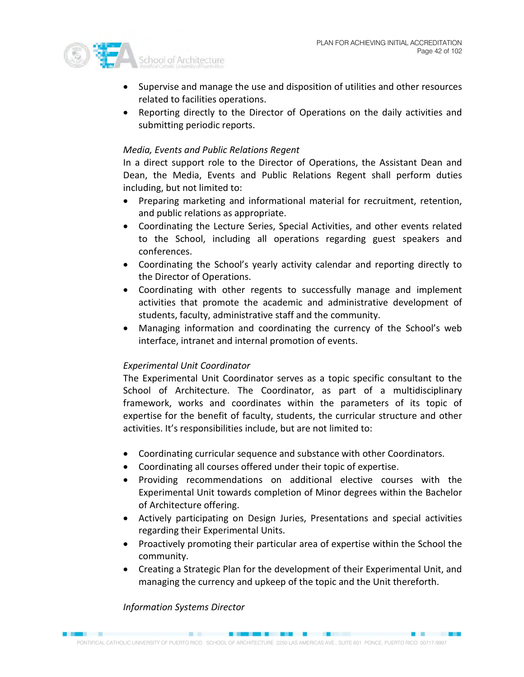

- Supervise and manage the use and disposition of utilities and other resources related to facilities operations.
- Reporting directly to the Director of Operations on the daily activities and submitting periodic reports.

## *Media, Events and Public Relations Regent*

In a direct support role to the Director of Operations, the Assistant Dean and Dean, the Media, Events and Public Relations Regent shall perform duties including, but not limited to:

- Preparing marketing and informational material for recruitment, retention, and public relations as appropriate.
- Coordinating the Lecture Series, Special Activities, and other events related to the School, including all operations regarding guest speakers and conferences.
- Coordinating the School's yearly activity calendar and reporting directly to the Director of Operations.
- Coordinating with other regents to successfully manage and implement activities that promote the academic and administrative development of students, faculty, administrative staff and the community.
- Managing information and coordinating the currency of the School's web interface, intranet and internal promotion of events.

## *Experimental Unit Coordinator*

The Experimental Unit Coordinator serves as a topic specific consultant to the School of Architecture. The Coordinator, as part of a multidisciplinary framework, works and coordinates within the parameters of its topic of expertise for the benefit of faculty, students, the curricular structure and other activities. It's responsibilities include, but are not limited to:

- Coordinating curricular sequence and substance with other Coordinators.
- Coordinating all courses offered under their topic of expertise.
- Providing recommendations on additional elective courses with the Experimental Unit towards completion of Minor degrees within the Bachelor of Architecture offering.
- Actively participating on Design Juries, Presentations and special activities regarding their Experimental Units.
- Proactively promoting their particular area of expertise within the School the community.
- Creating a Strategic Plan for the development of their Experimental Unit, and managing the currency and upkeep of the topic and the Unit thereforth.

## *Information Systems Director*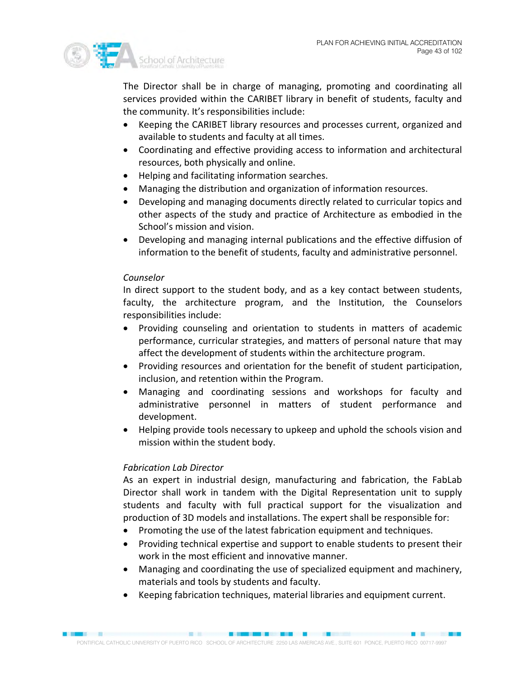

The Director shall be in charge of managing, promoting and coordinating all services provided within the CARIBET library in benefit of students, faculty and the community. It's responsibilities include:

- Keeping the CARIBET library resources and processes current, organized and available to students and faculty at all times.
- Coordinating and effective providing access to information and architectural resources, both physically and online.
- Helping and facilitating information searches.
- Managing the distribution and organization of information resources.
- Developing and managing documents directly related to curricular topics and other aspects of the study and practice of Architecture as embodied in the School's mission and vision.
- Developing and managing internal publications and the effective diffusion of information to the benefit of students, faculty and administrative personnel.

## *Counselor*

In direct support to the student body, and as a key contact between students, faculty, the architecture program, and the Institution, the Counselors responsibilities include:

- Providing counseling and orientation to students in matters of academic performance, curricular strategies, and matters of personal nature that may affect the development of students within the architecture program.
- Providing resources and orientation for the benefit of student participation, inclusion, and retention within the Program.
- Managing and coordinating sessions and workshops for faculty and administrative personnel in matters of student performance and development.
- Helping provide tools necessary to upkeep and uphold the schools vision and mission within the student body.

## *Fabrication Lab Director*

As an expert in industrial design, manufacturing and fabrication, the FabLab Director shall work in tandem with the Digital Representation unit to supply students and faculty with full practical support for the visualization and production of 3D models and installations. The expert shall be responsible for:

- Promoting the use of the latest fabrication equipment and techniques.
- Providing technical expertise and support to enable students to present their work in the most efficient and innovative manner.
- Managing and coordinating the use of specialized equipment and machinery, materials and tools by students and faculty.
- Keeping fabrication techniques, material libraries and equipment current.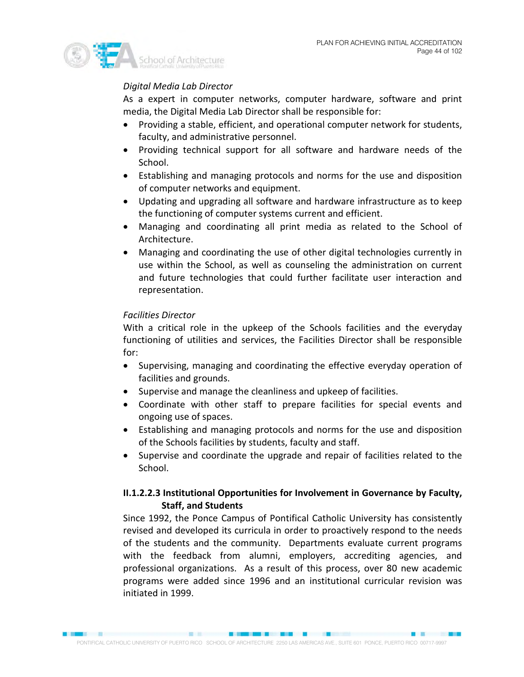

## *Digital Media Lab Director*

As a expert in computer networks, computer hardware, software and print media, the Digital Media Lab Director shall be responsible for:

- Providing a stable, efficient, and operational computer network for students, faculty, and administrative personnel.
- Providing technical support for all software and hardware needs of the School.
- Establishing and managing protocols and norms for the use and disposition of computer networks and equipment.
- Updating and upgrading all software and hardware infrastructure as to keep the functioning of computer systems current and efficient.
- Managing and coordinating all print media as related to the School of Architecture.
- Managing and coordinating the use of other digital technologies currently in use within the School, as well as counseling the administration on current and future technologies that could further facilitate user interaction and representation.

## *Facilities Director*

With a critical role in the upkeep of the Schools facilities and the everyday functioning of utilities and services, the Facilities Director shall be responsible for:

- Supervising, managing and coordinating the effective everyday operation of facilities and grounds.
- Supervise and manage the cleanliness and upkeep of facilities.
- Coordinate with other staff to prepare facilities for special events and ongoing use of spaces.
- Establishing and managing protocols and norms for the use and disposition of the Schools facilities by students, faculty and staff.
- Supervise and coordinate the upgrade and repair of facilities related to the School.

## **II.1.2.2.3 Institutional Opportunities for Involvement in Governance by Faculty, Staff, and Students**

Since 1992, the Ponce Campus of Pontifical Catholic University has consistently revised and developed its curricula in order to proactively respond to the needs of the students and the community. Departments evaluate current programs with the feedback from alumni, employers, accrediting agencies, and professional organizations. As a result of this process, over 80 new academic programs were added since 1996 and an institutional curricular revision was initiated in 1999.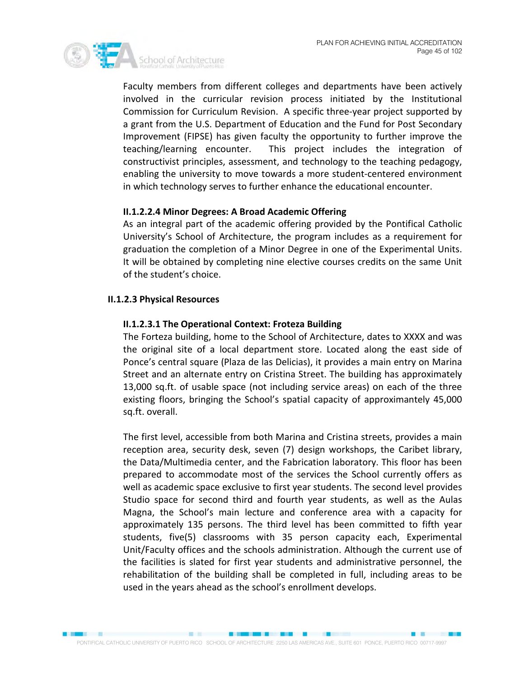

Faculty members from different colleges and departments have been actively involved in the curricular revision process initiated by the Institutional Commission for Curriculum Revision. A specific three-year project supported by a grant from the U.S. Department of Education and the Fund for Post Secondary Improvement (FIPSE) has given faculty the opportunity to further improve the teaching/learning encounter. This project includes the integration of constructivist principles, assessment, and technology to the teaching pedagogy, enabling the university to move towards a more student-centered environment in which technology serves to further enhance the educational encounter.

## **II.1.2.2.4 Minor Degrees: A Broad Academic Offering**

As an integral part of the academic offering provided by the Pontifical Catholic University's School of Architecture, the program includes as a requirement for graduation the completion of a Minor Degree in one of the Experimental Units. It will be obtained by completing nine elective courses credits on the same Unit of the student's choice.

## **II.1.2.3 Physical Resources**

## **II.1.2.3.1 The Operational Context: Froteza Building**

The Forteza building, home to the School of Architecture, dates to XXXX and was the original site of a local department store. Located along the east side of Ponce's central square (Plaza de las Delicias), it provides a main entry on Marina Street and an alternate entry on Cristina Street. The building has approximately 13,000 sq.ft. of usable space (not including service areas) on each of the three existing floors, bringing the School's spatial capacity of approximantely 45,000 sq.ft. overall.

The first level, accessible from both Marina and Cristina streets, provides a main reception area, security desk, seven (7) design workshops, the Caribet library, the Data/Multimedia center, and the Fabrication laboratory. This floor has been prepared to accommodate most of the services the School currently offers as well as academic space exclusive to first year students. The second level provides Studio space for second third and fourth year students, as well as the Aulas Magna, the School's main lecture and conference area with a capacity for approximately 135 persons. The third level has been committed to fifth year students, five(5) classrooms with 35 person capacity each, Experimental Unit/Faculty offices and the schools administration. Although the current use of the facilities is slated for first year students and administrative personnel, the rehabilitation of the building shall be completed in full, including areas to be used in the years ahead as the school's enrollment develops.

**SECTION**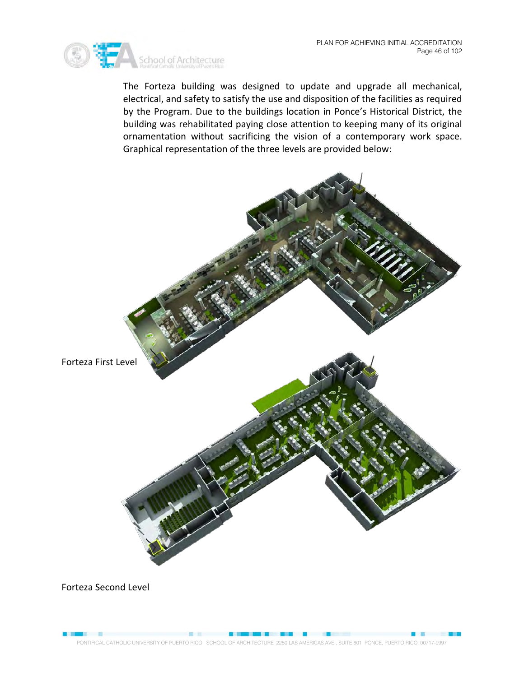

The Forteza building was designed to update and upgrade all mechanical, electrical, and safety to satisfy the use and disposition of the facilities as required by the Program. Due to the buildings location in Ponce's Historical District, the building was rehabilitated paying close attention to keeping many of its original ornamentation without sacrificing the vision of a contemporary work space. Graphical representation of the three levels are provided below:

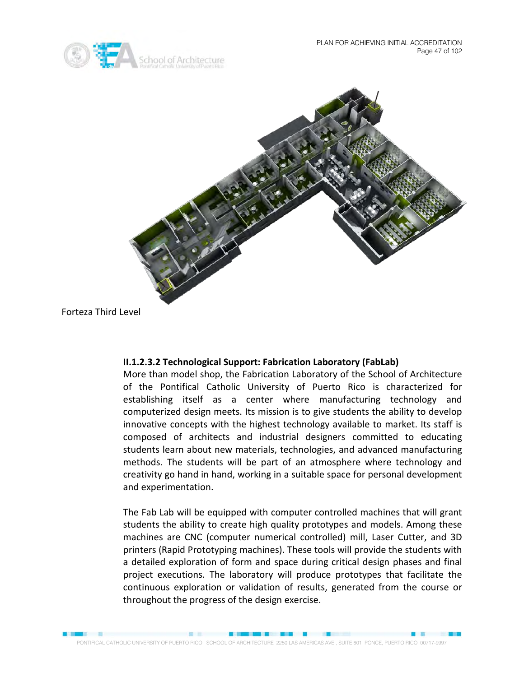



Forteza Third Level

## **II.1.2.3.2 Technological Support: Fabrication Laboratory (FabLab)**

More than model shop, the Fabrication Laboratory of the School of Architecture of the Pontifical Catholic University of Puerto Rico is characterized for establishing itself as a center where manufacturing technology and computerized design meets. Its mission is to give students the ability to develop innovative concepts with the highest technology available to market. Its staff is composed of architects and industrial designers committed to educating students learn about new materials, technologies, and advanced manufacturing methods. The students will be part of an atmosphere where technology and creativity go hand in hand, working in a suitable space for personal development and experimentation.

The Fab Lab will be equipped with computer controlled machines that will grant students the ability to create high quality prototypes and models. Among these machines are CNC (computer numerical controlled) mill, Laser Cutter, and 3D printers (Rapid Prototyping machines). These tools will provide the students with a detailed exploration of form and space during critical design phases and final project executions. The laboratory will produce prototypes that facilitate the continuous exploration or validation of results, generated from the course or throughout the progress of the design exercise.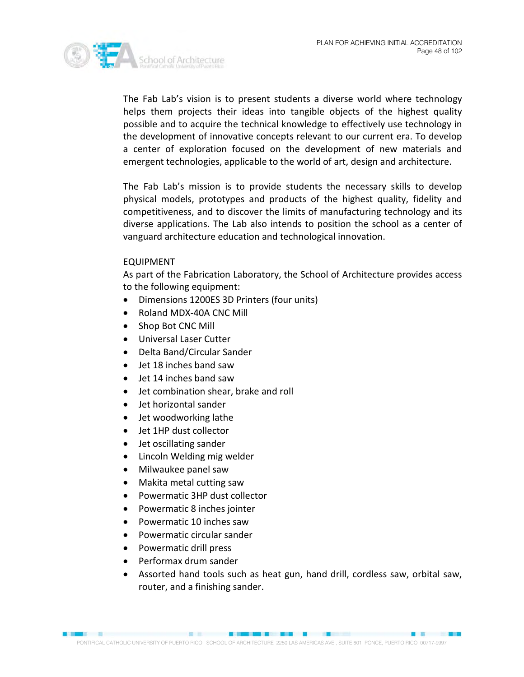

The Fab Lab's vision is to present students a diverse world where technology helps them projects their ideas into tangible objects of the highest quality possible and to acquire the technical knowledge to effectively use technology in the development of innovative concepts relevant to our current era. To develop a center of exploration focused on the development of new materials and emergent technologies, applicable to the world of art, design and architecture.

The Fab Lab's mission is to provide students the necessary skills to develop physical models, prototypes and products of the highest quality, fidelity and competitiveness, and to discover the limits of manufacturing technology and its diverse applications. The Lab also intends to position the school as a center of vanguard architecture education and technological innovation.

## EQUIPMENT

As part of the Fabrication Laboratory, the School of Architecture provides access to the following equipment:

- Dimensions 1200ES 3D Printers (four units)
- Roland MDX-40A CNC Mill
- Shop Bot CNC Mill
- Universal Laser Cutter
- Delta Band/Circular Sander
- Jet 18 inches band saw
- Jet 14 inches band saw
- Jet combination shear, brake and roll
- Jet horizontal sander
- Jet woodworking lathe
- Jet 1HP dust collector
- Jet oscillating sander
- Lincoln Welding mig welder
- Milwaukee panel saw
- Makita metal cutting saw
- Powermatic 3HP dust collector
- Powermatic 8 inches jointer
- Powermatic 10 inches saw
- Powermatic circular sander
- Powermatic drill press
- Performax drum sander
- Assorted hand tools such as heat gun, hand drill, cordless saw, orbital saw, router, and a finishing sander.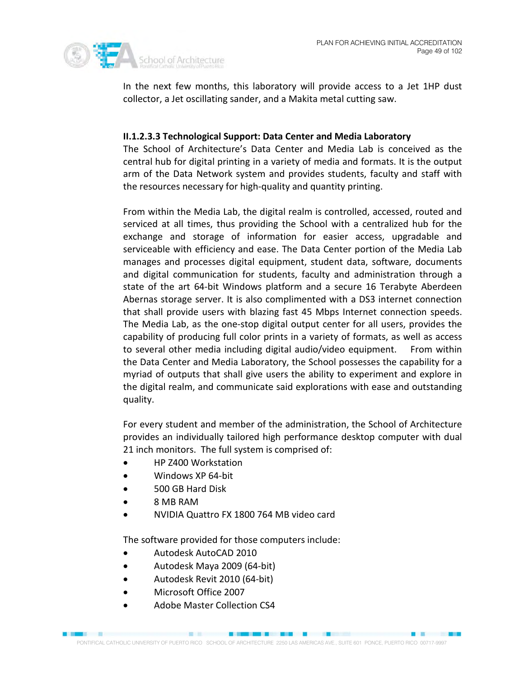

In the next few months, this laboratory will provide access to a Jet 1HP dust collector, a Jet oscillating sander, and a Makita metal cutting saw.

## **II.1.2.3.3 Technological Support: Data Center and Media Laboratory**

The School of Architecture's Data Center and Media Lab is conceived as the central hub for digital printing in a variety of media and formats. It is the output arm of the Data Network system and provides students, faculty and staff with the resources necessary for high-quality and quantity printing.

From within the Media Lab, the digital realm is controlled, accessed, routed and serviced at all times, thus providing the School with a centralized hub for the exchange and storage of information for easier access, upgradable and serviceable with efficiency and ease. The Data Center portion of the Media Lab manages and processes digital equipment, student data, software, documents and digital communication for students, faculty and administration through a state of the art 64-bit Windows platform and a secure 16 Terabyte Aberdeen Abernas storage server. It is also complimented with a DS3 internet connection that shall provide users with blazing fast 45 Mbps Internet connection speeds. The Media Lab, as the one-stop digital output center for all users, provides the capability of producing full color prints in a variety of formats, as well as access to several other media including digital audio/video equipment. From within the Data Center and Media Laboratory, the School possesses the capability for a myriad of outputs that shall give users the ability to experiment and explore in the digital realm, and communicate said explorations with ease and outstanding quality.

For every student and member of the administration, the School of Architecture provides an individually tailored high performance desktop computer with dual 21 inch monitors. The full system is comprised of:

- HP Z400 Workstation
- Windows XP 64-bit
- 500 GB Hard Disk
- 8 MB RAM
- NVIDIA Quattro FX 1800 764 MB video card

The software provided for those computers include:

- Autodesk AutoCAD 2010
- Autodesk Maya 2009 (64-bit)
- Autodesk Revit 2010 (64-bit)
- Microsoft Office 2007
- Adobe Master Collection CS4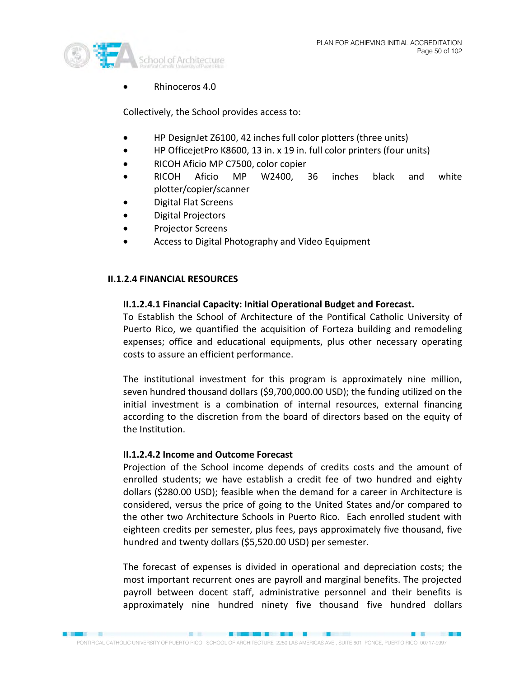

• Rhinoceros 4.0

Collectively, the School provides access to:

- HP DesignJet Z6100, 42 inches full color plotters (three units)
- HP OfficejetPro K8600, 13 in. x 19 in. full color printers (four units)
- RICOH Aficio MP C7500, color copier
- RICOH Aficio MP W2400, 36 inches black and white plotter/copier/scanner
- Digital Flat Screens
- Digital Projectors
- Projector Screens
- Access to Digital Photography and Video Equipment

## **II.1.2.4 FINANCIAL RESOURCES**

## **II.1.2.4.1 Financial Capacity: Initial Operational Budget and Forecast.**

To Establish the School of Architecture of the Pontifical Catholic University of Puerto Rico, we quantified the acquisition of Forteza building and remodeling expenses; office and educational equipments, plus other necessary operating costs to assure an efficient performance.

The institutional investment for this program is approximately nine million, seven hundred thousand dollars (\$9,700,000.00 USD); the funding utilized on the initial investment is a combination of internal resources, external financing according to the discretion from the board of directors based on the equity of the Institution.

## **II.1.2.4.2 Income and Outcome Forecast**

Projection of the School income depends of credits costs and the amount of enrolled students; we have establish a credit fee of two hundred and eighty dollars (\$280.00 USD); feasible when the demand for a career in Architecture is considered, versus the price of going to the United States and/or compared to the other two Architecture Schools in Puerto Rico. Each enrolled student with eighteen credits per semester, plus fees, pays approximately five thousand, five hundred and twenty dollars (\$5,520.00 USD) per semester.

The forecast of expenses is divided in operational and depreciation costs; the most important recurrent ones are payroll and marginal benefits. The projected payroll between docent staff, administrative personnel and their benefits is approximately nine hundred ninety five thousand five hundred dollars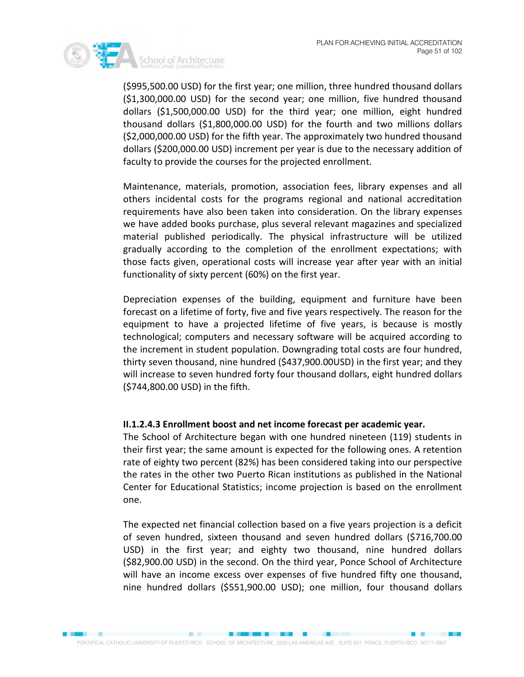

(\$995,500.00 USD) for the first year; one million, three hundred thousand dollars (\$1,300,000.00 USD) for the second year; one million, five hundred thousand dollars (\$1,500,000.00 USD) for the third year; one million, eight hundred thousand dollars (\$1,800,000.00 USD) for the fourth and two millions dollars (\$2,000,000.00 USD) for the fifth year. The approximately two hundred thousand dollars (\$200,000.00 USD) increment per year is due to the necessary addition of faculty to provide the courses for the projected enrollment.

Maintenance, materials, promotion, association fees, library expenses and all others incidental costs for the programs regional and national accreditation requirements have also been taken into consideration. On the library expenses we have added books purchase, plus several relevant magazines and specialized material published periodically. The physical infrastructure will be utilized gradually according to the completion of the enrollment expectations; with those facts given, operational costs will increase year after year with an initial functionality of sixty percent (60%) on the first year.

Depreciation expenses of the building, equipment and furniture have been forecast on a lifetime of forty, five and five years respectively. The reason for the equipment to have a projected lifetime of five years, is because is mostly technological; computers and necessary software will be acquired according to the increment in student population. Downgrading total costs are four hundred, thirty seven thousand, nine hundred (\$437,900.00USD) in the first year; and they will increase to seven hundred forty four thousand dollars, eight hundred dollars (\$744,800.00 USD) in the fifth.

## **II.1.2.4.3 Enrollment boost and net income forecast per academic year.**

The School of Architecture began with one hundred nineteen (119) students in their first year; the same amount is expected for the following ones. A retention rate of eighty two percent (82%) has been considered taking into our perspective the rates in the other two Puerto Rican institutions as published in the National Center for Educational Statistics; income projection is based on the enrollment one.

The expected net financial collection based on a five years projection is a deficit of seven hundred, sixteen thousand and seven hundred dollars (\$716,700.00 USD) in the first year; and eighty two thousand, nine hundred dollars (\$82,900.00 USD) in the second. On the third year, Ponce School of Architecture will have an income excess over expenses of five hundred fifty one thousand, nine hundred dollars (\$551,900.00 USD); one million, four thousand dollars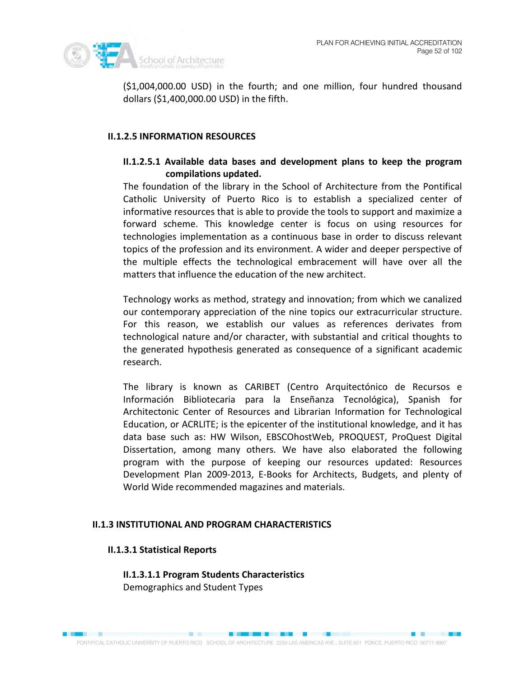

(\$1,004,000.00 USD) in the fourth; and one million, four hundred thousand dollars (\$1,400,000.00 USD) in the fifth.

## **II.1.2.5 INFORMATION RESOURCES**

## **II.1.2.5.1 Available data bases and development plans to keep the program compilations updated.**

The foundation of the library in the School of Architecture from the Pontifical Catholic University of Puerto Rico is to establish a specialized center of informative resources that is able to provide the tools to support and maximize a forward scheme. This knowledge center is focus on using resources for technologies implementation as a continuous base in order to discuss relevant topics of the profession and its environment. A wider and deeper perspective of the multiple effects the technological embracement will have over all the matters that influence the education of the new architect.

Technology works as method, strategy and innovation; from which we canalized our contemporary appreciation of the nine topics our extracurricular structure. For this reason, we establish our values as references derivates from technological nature and/or character, with substantial and critical thoughts to the generated hypothesis generated as consequence of a significant academic research.

The library is known as CARIBET (Centro Arquitectónico de Recursos e Información Bibliotecaria para la Enseñanza Tecnológica), Spanish for Architectonic Center of Resources and Librarian Information for Technological Education, or ACRLITE; is the epicenter of the institutional knowledge, and it has data base such as: HW Wilson, EBSCOhostWeb, PROQUEST, ProQuest Digital Dissertation, among many others. We have also elaborated the following program with the purpose of keeping our resources updated: Resources Development Plan 2009-2013, E-Books for Architects, Budgets, and plenty of World Wide recommended magazines and materials.

## **II.1.3 INSTITUTIONAL AND PROGRAM CHARACTERISTICS**

## **II.1.3.1 Statistical Reports**

**II.1.3.1.1 Program Students Characteristics** Demographics and Student Types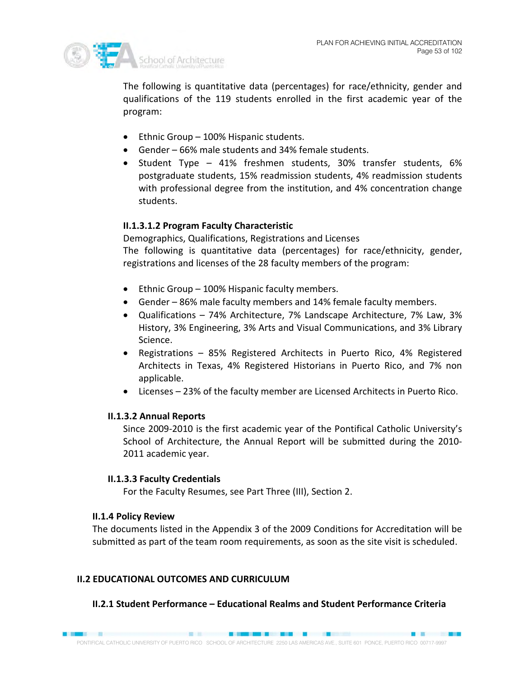

The following is quantitative data (percentages) for race/ethnicity, gender and qualifications of the 119 students enrolled in the first academic year of the program:

- Ethnic Group 100% Hispanic students.
- Gender 66% male students and 34% female students.
- Student Type 41% freshmen students, 30% transfer students, 6% postgraduate students, 15% readmission students, 4% readmission students with professional degree from the institution, and 4% concentration change students.

## **II.1.3.1.2 Program Faculty Characteristic**

Demographics, Qualifications, Registrations and Licenses The following is quantitative data (percentages) for race/ethnicity, gender, registrations and licenses of the 28 faculty members of the program:

- Ethnic Group 100% Hispanic faculty members.
- Gender 86% male faculty members and 14% female faculty members.
- Qualifications 74% Architecture, 7% Landscape Architecture, 7% Law, 3% History, 3% Engineering, 3% Arts and Visual Communications, and 3% Library Science.
- Registrations 85% Registered Architects in Puerto Rico, 4% Registered Architects in Texas, 4% Registered Historians in Puerto Rico, and 7% non applicable.
- Licenses 23% of the faculty member are Licensed Architects in Puerto Rico.

## **II.1.3.2 Annual Reports**

Since 2009-2010 is the first academic year of the Pontifical Catholic University's School of Architecture, the Annual Report will be submitted during the 2010- 2011 academic year.

## **II.1.3.3 Faculty Credentials**

For the Faculty Resumes, see Part Three (III), Section 2.

## **II.1.4 Policy Review**

The documents listed in the Appendix 3 of the 2009 Conditions for Accreditation will be submitted as part of the team room requirements, as soon as the site visit is scheduled.

## **II.2 EDUCATIONAL OUTCOMES AND CURRICULUM**

## **II.2.1 Student Performance – Educational Realms and Student Performance Criteria**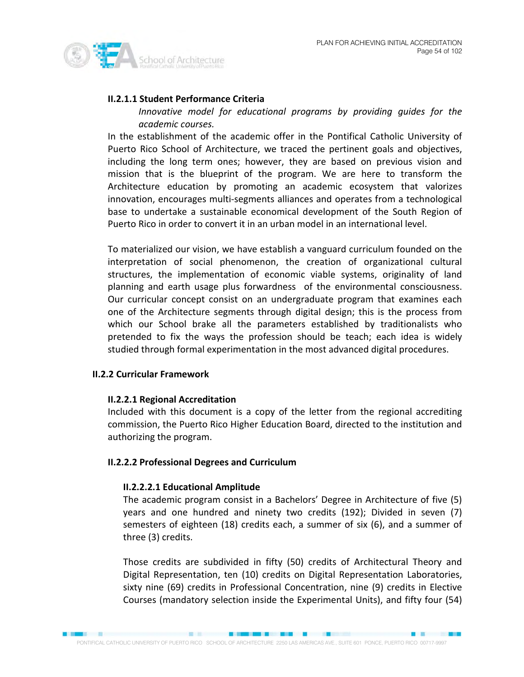

## **II.2.1.1 Student Performance Criteria**

*Innovative model for educational programs by providing guides for the academic courses.* 

In the establishment of the academic offer in the Pontifical Catholic University of Puerto Rico School of Architecture, we traced the pertinent goals and objectives, including the long term ones; however, they are based on previous vision and mission that is the blueprint of the program. We are here to transform the Architecture education by promoting an academic ecosystem that valorizes innovation, encourages multi-segments alliances and operates from a technological base to undertake a sustainable economical development of the South Region of Puerto Rico in order to convert it in an urban model in an international level.

To materialized our vision, we have establish a vanguard curriculum founded on the interpretation of social phenomenon, the creation of organizational cultural structures, the implementation of economic viable systems, originality of land planning and earth usage plus forwardness of the environmental consciousness. Our curricular concept consist on an undergraduate program that examines each one of the Architecture segments through digital design; this is the process from which our School brake all the parameters established by traditionalists who pretended to fix the ways the profession should be teach; each idea is widely studied through formal experimentation in the most advanced digital procedures.

## **II.2.2 Curricular Framework**

## **II.2.2.1 Regional Accreditation**

Included with this document is a copy of the letter from the regional accrediting commission, the Puerto Rico Higher Education Board, directed to the institution and authorizing the program.

## **II.2.2.2 Professional Degrees and Curriculum**

## **II.2.2.2.1 Educational Amplitude**

The academic program consist in a Bachelors' Degree in Architecture of five (5) years and one hundred and ninety two credits (192); Divided in seven (7) semesters of eighteen (18) credits each, a summer of six (6), and a summer of three (3) credits.

Those credits are subdivided in fifty (50) credits of Architectural Theory and Digital Representation, ten (10) credits on Digital Representation Laboratories, sixty nine (69) credits in Professional Concentration, nine (9) credits in Elective Courses (mandatory selection inside the Experimental Units), and fifty four (54)

■ 图 图 图 图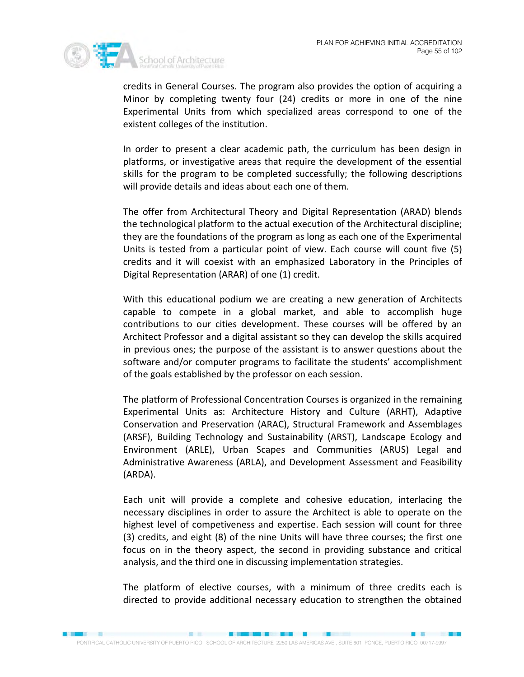

credits in General Courses. The program also provides the option of acquiring a Minor by completing twenty four (24) credits or more in one of the nine Experimental Units from which specialized areas correspond to one of the existent colleges of the institution.

In order to present a clear academic path, the curriculum has been design in platforms, or investigative areas that require the development of the essential skills for the program to be completed successfully; the following descriptions will provide details and ideas about each one of them.

The offer from Architectural Theory and Digital Representation (ARAD) blends the technological platform to the actual execution of the Architectural discipline; they are the foundations of the program as long as each one of the Experimental Units is tested from a particular point of view. Each course will count five (5) credits and it will coexist with an emphasized Laboratory in the Principles of Digital Representation (ARAR) of one (1) credit.

With this educational podium we are creating a new generation of Architects capable to compete in a global market, and able to accomplish huge contributions to our cities development. These courses will be offered by an Architect Professor and a digital assistant so they can develop the skills acquired in previous ones; the purpose of the assistant is to answer questions about the software and/or computer programs to facilitate the students' accomplishment of the goals established by the professor on each session.

The platform of Professional Concentration Courses is organized in the remaining Experimental Units as: Architecture History and Culture (ARHT), Adaptive Conservation and Preservation (ARAC), Structural Framework and Assemblages (ARSF), Building Technology and Sustainability (ARST), Landscape Ecology and Environment (ARLE), Urban Scapes and Communities (ARUS) Legal and Administrative Awareness (ARLA), and Development Assessment and Feasibility (ARDA).

Each unit will provide a complete and cohesive education, interlacing the necessary disciplines in order to assure the Architect is able to operate on the highest level of competiveness and expertise. Each session will count for three (3) credits, and eight (8) of the nine Units will have three courses; the first one focus on in the theory aspect, the second in providing substance and critical analysis, and the third one in discussing implementation strategies.

The platform of elective courses, with a minimum of three credits each is directed to provide additional necessary education to strengthen the obtained

■ 图 图 图 图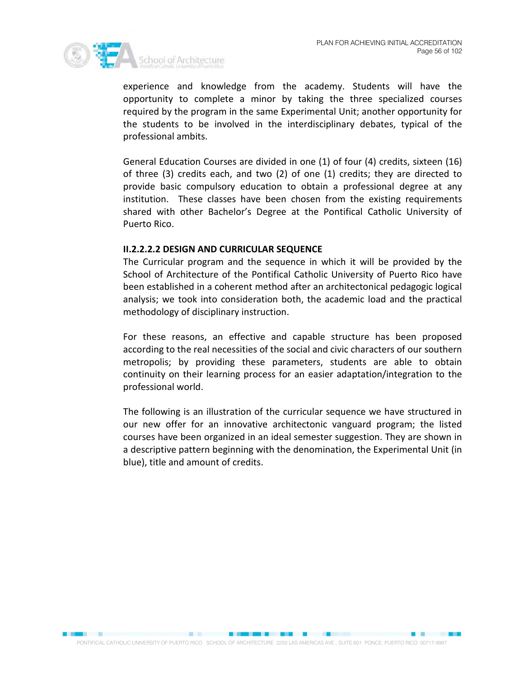

experience and knowledge from the academy. Students will have the opportunity to complete a minor by taking the three specialized courses required by the program in the same Experimental Unit; another opportunity for the students to be involved in the interdisciplinary debates, typical of the professional ambits.

General Education Courses are divided in one (1) of four (4) credits, sixteen (16) of three (3) credits each, and two (2) of one (1) credits; they are directed to provide basic compulsory education to obtain a professional degree at any institution. These classes have been chosen from the existing requirements shared with other Bachelor's Degree at the Pontifical Catholic University of Puerto Rico.

## **II.2.2.2.2 DESIGN AND CURRICULAR SEQUENCE**

The Curricular program and the sequence in which it will be provided by the School of Architecture of the Pontifical Catholic University of Puerto Rico have been established in a coherent method after an architectonical pedagogic logical analysis; we took into consideration both, the academic load and the practical methodology of disciplinary instruction.

For these reasons, an effective and capable structure has been proposed according to the real necessities of the social and civic characters of our southern metropolis; by providing these parameters, students are able to obtain continuity on their learning process for an easier adaptation/integration to the professional world.

The following is an illustration of the curricular sequence we have structured in our new offer for an innovative architectonic vanguard program; the listed courses have been organized in an ideal semester suggestion. They are shown in a descriptive pattern beginning with the denomination, the Experimental Unit (in blue), title and amount of credits.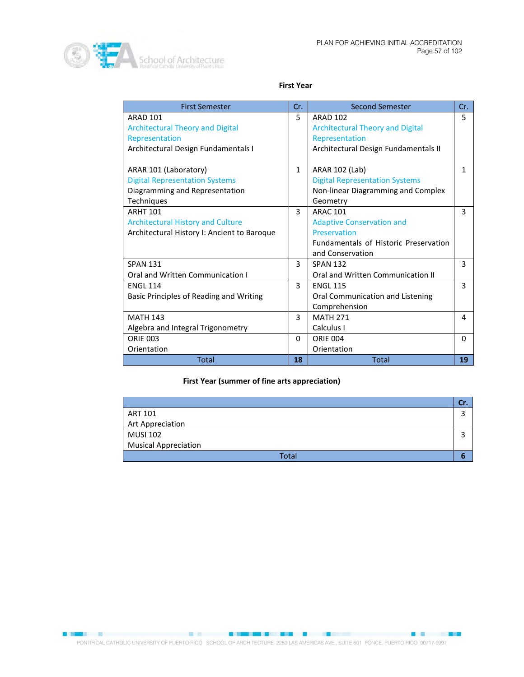

#### **First Year**

| <b>First Semester</b>                       | Cr.          | <b>Second Semester</b>                  | Cr.          |
|---------------------------------------------|--------------|-----------------------------------------|--------------|
| <b>ARAD 101</b>                             | 5            | <b>ARAD 102</b>                         | 5            |
| <b>Architectural Theory and Digital</b>     |              | <b>Architectural Theory and Digital</b> |              |
| Representation                              |              | Representation                          |              |
| Architectural Design Fundamentals I         |              | Architectural Design Fundamentals II    |              |
|                                             |              |                                         |              |
| ARAR 101 (Laboratory)                       | $\mathbf{1}$ | ARAR 102 (Lab)                          | $\mathbf{1}$ |
| <b>Digital Representation Systems</b>       |              | <b>Digital Representation Systems</b>   |              |
| Diagramming and Representation              |              | Non-linear Diagramming and Complex      |              |
| <b>Techniques</b>                           |              | Geometry                                |              |
| <b>ARHT 101</b>                             | 3            | <b>ARAC 101</b>                         | 3            |
| <b>Architectural History and Culture</b>    |              | <b>Adaptive Conservation and</b>        |              |
| Architectural History I: Ancient to Baroque |              | Preservation                            |              |
|                                             |              | Fundamentals of Historic Preservation   |              |
|                                             |              | and Conservation                        |              |
| <b>SPAN 131</b>                             | 3            | <b>SPAN 132</b>                         | 3            |
| Oral and Written Communication I            |              | Oral and Written Communication II       |              |
| <b>ENGL 114</b>                             | $\mathbf{R}$ | <b>ENGL 115</b>                         | 3            |
| Basic Principles of Reading and Writing     |              | Oral Communication and Listening        |              |
|                                             |              | Comprehension                           |              |
| <b>MATH 143</b>                             | 3            | <b>MATH 271</b>                         | 4            |
| Algebra and Integral Trigonometry           |              | Calculus I                              |              |
| <b>ORIE 003</b>                             | 0            | <b>ORIE 004</b>                         | $\Omega$     |
| Orientation                                 |              | Orientation                             |              |
| <b>Total</b>                                | 18           | <b>Total</b>                            | 19           |

## **First Year (summer of fine arts appreciation)**

| ART 101                     |  |
|-----------------------------|--|
| Art Appreciation            |  |
| <b>MUSI 102</b>             |  |
| <b>Musical Appreciation</b> |  |
| <b>Total</b>                |  |

**CONSTRUCTION CONTINUES INTO A REPORT OF A STATE OF A REPORT OF A STATE OF A REPORT OF A STATE OF A REPORT OF A** PONTIFICAL CATHOLIC UNIVERSITY OF PUERTO RICO SCHOOL OF ARCHITECTURE 2250 LAS AMERICAS AVE., SUITE 601 PONCE, PUERTO RICO 00717-9997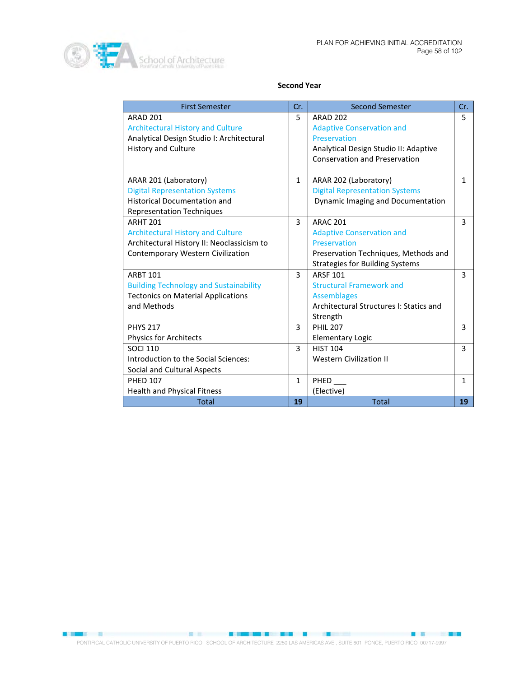

### **Second Year**

| <b>First Semester</b>                         | Cr.          | <b>Second Semester</b>                  | Cr.          |
|-----------------------------------------------|--------------|-----------------------------------------|--------------|
| <b>ARAD 201</b>                               | 5            | <b>ARAD 202</b>                         | 5            |
| <b>Architectural History and Culture</b>      |              | <b>Adaptive Conservation and</b>        |              |
| Analytical Design Studio I: Architectural     |              | Preservation                            |              |
| <b>History and Culture</b>                    |              | Analytical Design Studio II: Adaptive   |              |
|                                               |              | <b>Conservation and Preservation</b>    |              |
| ARAR 201 (Laboratory)                         | $\mathbf{1}$ | ARAR 202 (Laboratory)                   | $\mathbf{1}$ |
| <b>Digital Representation Systems</b>         |              | <b>Digital Representation Systems</b>   |              |
| <b>Historical Documentation and</b>           |              | Dynamic Imaging and Documentation       |              |
| <b>Representation Techniques</b>              |              |                                         |              |
| <b>ARHT 201</b>                               | 3            | <b>ARAC 201</b>                         | 3            |
| <b>Architectural History and Culture</b>      |              | <b>Adaptive Conservation and</b>        |              |
| Architectural History II: Neoclassicism to    |              | Preservation                            |              |
| <b>Contemporary Western Civilization</b>      |              | Preservation Techniques, Methods and    |              |
|                                               |              | <b>Strategies for Building Systems</b>  |              |
| <b>ARRT 101</b>                               | 3            | <b>ARSF 101</b>                         | 3            |
| <b>Building Technology and Sustainability</b> |              | <b>Structural Framework and</b>         |              |
| <b>Tectonics on Material Applications</b>     |              | <b>Assemblages</b>                      |              |
| and Methods                                   |              | Architectural Structures I: Statics and |              |
|                                               |              | Strength                                |              |
| <b>PHYS 217</b>                               | 3            | <b>PHIL 207</b>                         | 3            |
| Physics for Architects                        |              | <b>Elementary Logic</b>                 |              |
| <b>SOCI 110</b>                               | 3            | <b>HIST 104</b>                         | 3            |
| Introduction to the Social Sciences:          |              | <b>Western Civilization II</b>          |              |
| Social and Cultural Aspects                   |              |                                         |              |
| <b>PHED 107</b>                               | $\mathbf{1}$ | <b>PHED</b>                             | $\mathbf{1}$ |
| <b>Health and Physical Fitness</b>            |              | (Elective)                              |              |
| <b>Total</b>                                  | 19           | <b>Total</b>                            | 19           |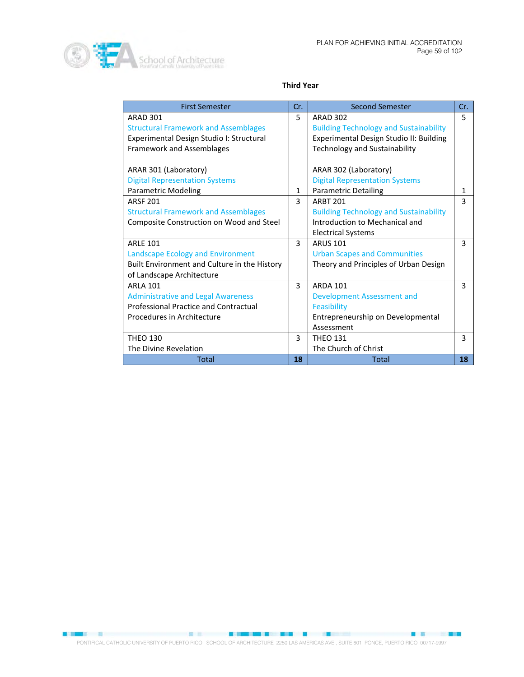

## **Third Year**

| <b>First Semester</b>                        | Cr. | <b>Second Semester</b>                        | Cr.          |
|----------------------------------------------|-----|-----------------------------------------------|--------------|
| <b>ARAD 301</b>                              | 5.  | <b>ARAD 302</b>                               | 5            |
| <b>Structural Framework and Assemblages</b>  |     | <b>Building Technology and Sustainability</b> |              |
| Experimental Design Studio I: Structural     |     | Experimental Design Studio II: Building       |              |
| <b>Framework and Assemblages</b>             |     | <b>Technology and Sustainability</b>          |              |
|                                              |     |                                               |              |
| ARAR 301 (Laboratory)                        |     | ARAR 302 (Laboratory)                         |              |
| <b>Digital Representation Systems</b>        |     | <b>Digital Representation Systems</b>         |              |
| <b>Parametric Modeling</b>                   | 1   | <b>Parametric Detailing</b>                   | $\mathbf{1}$ |
| <b>ARSF 201</b>                              | 3   | <b>ARRT 201</b>                               | 3            |
| <b>Structural Framework and Assemblages</b>  |     | <b>Building Technology and Sustainability</b> |              |
| Composite Construction on Wood and Steel     |     | Introduction to Mechanical and                |              |
|                                              |     | <b>Electrical Systems</b>                     |              |
| <b>ARLE 101</b>                              | 3   | <b>ARUS 101</b>                               | 3            |
| Landscape Ecology and Environment            |     | <b>Urban Scapes and Communities</b>           |              |
| Built Environment and Culture in the History |     | Theory and Principles of Urban Design         |              |
| of Landscape Architecture                    |     |                                               |              |
| <b>ARLA 101</b>                              | 3   | <b>ARDA 101</b>                               | 3            |
| <b>Administrative and Legal Awareness</b>    |     | Development Assessment and                    |              |
| <b>Professional Practice and Contractual</b> |     | Feasibility                                   |              |
| Procedures in Architecture                   |     | Entrepreneurship on Developmental             |              |
|                                              |     | Assessment                                    |              |
| <b>THEO 130</b>                              | 3   | <b>THEO 131</b>                               | 3            |
| The Divine Revelation                        |     | The Church of Christ                          |              |
| <b>Total</b>                                 | 18  | Total                                         | 18           |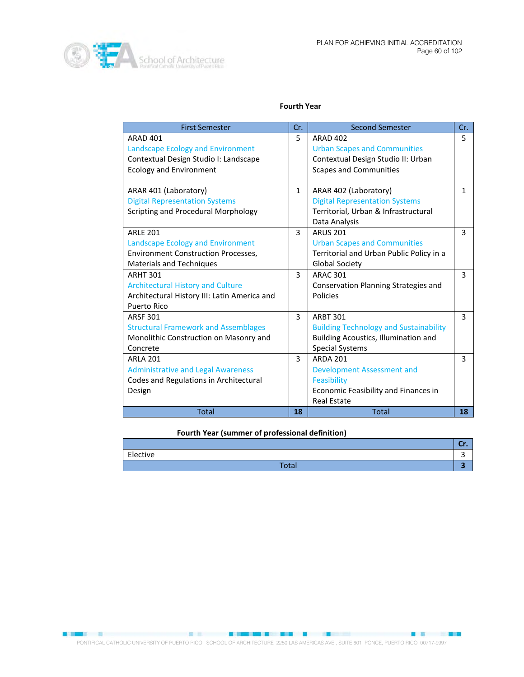#### **Fourth Year**

| <b>First Semester</b>                        | Cr.          | <b>Second Semester</b>                        | Cr. |
|----------------------------------------------|--------------|-----------------------------------------------|-----|
| <b>ARAD 401</b>                              | 5            | <b>ARAD 402</b>                               | 5   |
| Landscape Ecology and Environment            |              | <b>Urban Scapes and Communities</b>           |     |
| Contextual Design Studio I: Landscape        |              | Contextual Design Studio II: Urban            |     |
| <b>Ecology and Environment</b>               |              | <b>Scapes and Communities</b>                 |     |
|                                              |              |                                               |     |
| ARAR 401 (Laboratory)                        | $\mathbf{1}$ | ARAR 402 (Laboratory)                         | 1   |
| <b>Digital Representation Systems</b>        |              | <b>Digital Representation Systems</b>         |     |
| Scripting and Procedural Morphology          |              | Territorial, Urban & Infrastructural          |     |
|                                              |              | Data Analysis                                 |     |
| <b>ARLF 201</b>                              | 3            | <b>ARUS 201</b>                               | 3   |
| <b>Landscape Ecology and Environment</b>     |              | <b>Urban Scapes and Communities</b>           |     |
| <b>Environment Construction Processes,</b>   |              | Territorial and Urban Public Policy in a      |     |
| <b>Materials and Techniques</b>              |              | <b>Global Society</b>                         |     |
| <b>ARHT 301</b>                              | 3            | <b>ARAC 301</b>                               | 3   |
| <b>Architectural History and Culture</b>     |              | Conservation Planning Strategies and          |     |
| Architectural History III: Latin America and |              | Policies                                      |     |
| Puerto Rico                                  |              |                                               |     |
| <b>ARSF 301</b>                              | 3            | <b>ARBT 301</b>                               | 3   |
| <b>Structural Framework and Assemblages</b>  |              | <b>Building Technology and Sustainability</b> |     |
| Monolithic Construction on Masonry and       |              | Building Acoustics, Illumination and          |     |
| Concrete                                     |              | <b>Special Systems</b>                        |     |
| <b>ARLA 201</b>                              | 3            | <b>ARDA 201</b>                               | 3   |
| <b>Administrative and Legal Awareness</b>    |              | <b>Development Assessment and</b>             |     |
| Codes and Regulations in Architectural       |              | Feasibility                                   |     |
| Design                                       |              | Economic Feasibility and Finances in          |     |
|                                              |              | <b>Real Estate</b>                            |     |
| <b>Total</b>                                 | 18           | <b>Total</b>                                  | 18  |

### **Fourth Year (summer of professional definition)**

| Elective           |   |
|--------------------|---|
| $T_{0}$ to<br>υιαι | - |

**BOOKS IN A REPORT OF A REPORT OF A REPORT OF A REPORT OF A REPORT OF A REPORT OF A REPORT OF A REPORT OF A REPORT OF A REPORT OF A REPORT OF A REPORT OF A REPORT OF A REPORT OF A REPORT OF A REPORT OF A REPORT OF A REPORT**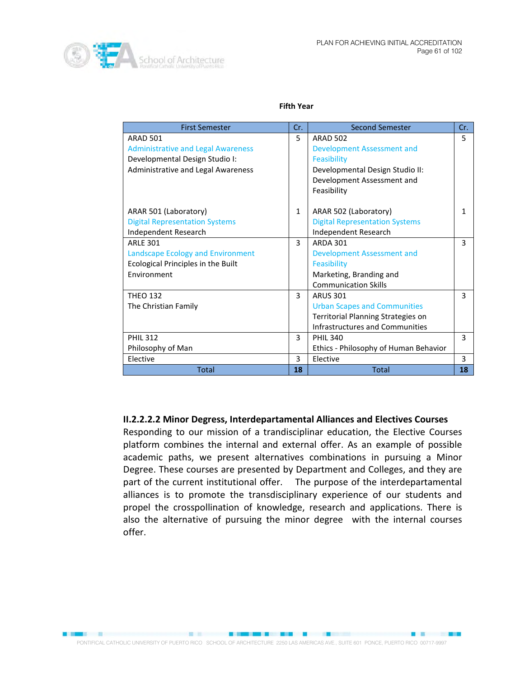

**PARTIES DE LA PRODUCTION DE LA PRODUCTION DE LA PRODUCTION DE LA PRODUCTION DE LA PRODUCTION DE LA PRODUCTION** 

#### **Fifth Year**

| <b>First Semester</b>                     | Cr.                               | <b>Second Semester</b>                | Cr. |
|-------------------------------------------|-----------------------------------|---------------------------------------|-----|
| <b>ARAD 501</b>                           | 5                                 | <b>ARAD 502</b>                       | 5   |
| <b>Administrative and Legal Awareness</b> |                                   | <b>Development Assessment and</b>     |     |
| Developmental Design Studio I:            |                                   | Feasibility                           |     |
| Administrative and Legal Awareness        |                                   | Developmental Design Studio II:       |     |
|                                           |                                   | Development Assessment and            |     |
|                                           |                                   | Feasibility                           |     |
| ARAR 501 (Laboratory)                     | $\mathbf{1}$                      | ARAR 502 (Laboratory)                 | 1   |
| <b>Digital Representation Systems</b>     |                                   | <b>Digital Representation Systems</b> |     |
| Independent Research                      |                                   | Independent Research                  |     |
| <b>ARLE 301</b>                           | 3                                 | <b>ARDA 301</b>                       | 3   |
| <b>Landscape Ecology and Environment</b>  | <b>Development Assessment and</b> |                                       |     |
| Ecological Principles in the Built        | Feasibility                       |                                       |     |
| Environment                               |                                   | Marketing, Branding and               |     |
|                                           |                                   | <b>Communication Skills</b>           |     |
| <b>THEO 132</b>                           | 3                                 | <b>ARUS 301</b>                       | 3   |
| The Christian Family                      |                                   | <b>Urban Scapes and Communities</b>   |     |
|                                           |                                   | Territorial Planning Strategies on    |     |
|                                           |                                   | Infrastructures and Communities       |     |
| <b>PHIL 312</b>                           | 3                                 | <b>PHIL 340</b>                       | 3   |
| Philosophy of Man                         |                                   | Ethics - Philosophy of Human Behavior |     |
| Elective                                  | 3                                 | Elective                              | 3   |
| <b>Total</b>                              | 18                                | <b>Total</b>                          | 18  |

## **II.2.2.2.2 Minor Degress, Interdepartamental Alliances and Electives Courses**

Responding to our mission of a trandisciplinar education, the Elective Courses platform combines the internal and external offer. As an example of possible academic paths, we present alternatives combinations in pursuing a Minor Degree. These courses are presented by Department and Colleges, and they are part of the current institutional offer. The purpose of the interdepartamental alliances is to promote the transdisciplinary experience of our students and propel the crosspollination of knowledge, research and applications. There is also the alternative of pursuing the minor degree with the internal courses offer.

**1980年,我们的一个人,我们的人们也不能在这个人的人,我们也不能在这个人的人,我们也不能在这个人的人,我们也不能在这个人的人,我们也不能在这个人的人,我们**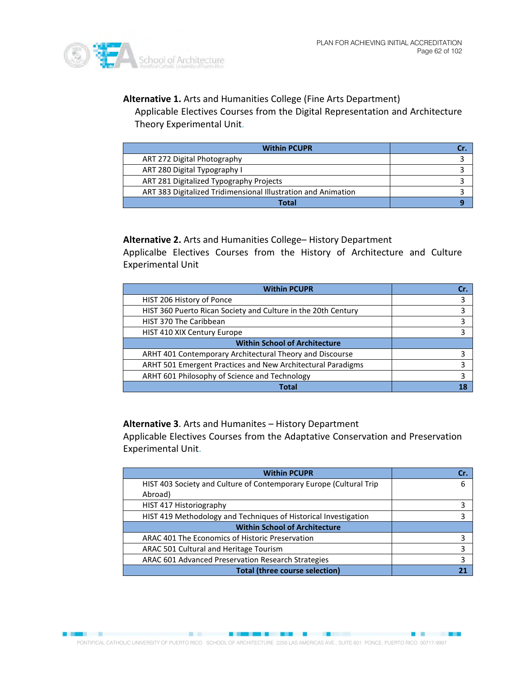

**BEER & BEER STATES** 

**Alternative 1.** Arts and Humanities College (Fine Arts Department) Applicable Electives Courses from the Digital Representation and Architecture

Theory Experimental Unit.

| <b>Within PCUPR</b>                                           |  |
|---------------------------------------------------------------|--|
| ART 272 Digital Photography                                   |  |
| ART 280 Digital Typography I                                  |  |
| ART 281 Digitalized Typography Projects                       |  |
| ART 383 Digitalized Tridimensional Illustration and Animation |  |
| Total                                                         |  |

**Alternative 2.** Arts and Humanities College– History Department

Applicalbe Electives Courses from the History of Architecture and Culture Experimental Unit

| <b>Within PCUPR</b>                                                |   |
|--------------------------------------------------------------------|---|
| HIST 206 History of Ponce                                          | 3 |
| HIST 360 Puerto Rican Society and Culture in the 20th Century      |   |
| HIST 370 The Caribbean                                             |   |
| HIST 410 XIX Century Europe                                        |   |
| <b>Within School of Architecture</b>                               |   |
| ARHT 401 Contemporary Architectural Theory and Discourse           |   |
| <b>ARHT 501 Emergent Practices and New Architectural Paradigms</b> |   |
| ARHT 601 Philosophy of Science and Technology                      |   |
| Total                                                              |   |

**Alternative 3**. Arts and Humanites – History Department

Applicable Electives Courses from the Adaptative Conservation and Preservation Experimental Unit.

| <b>Within PCUPR</b>                                                | Cr. |
|--------------------------------------------------------------------|-----|
| HIST 403 Society and Culture of Contemporary Europe (Cultural Trip | 6   |
| Abroad)                                                            |     |
| HIST 417 Historiography                                            |     |
| HIST 419 Methodology and Techniques of Historical Investigation    |     |
| <b>Within School of Architecture</b>                               |     |
| ARAC 401 The Economics of Historic Preservation                    | 3   |
| ARAC 501 Cultural and Heritage Tourism                             | 3   |
| ARAC 601 Advanced Preservation Research Strategies                 | 3   |
| <b>Total (three course selection)</b>                              |     |

PONTIFICAL CATHOLIC UNIVERSITY OF PUERTO RICO SCHOOL OF ARCHITECTURE 2250 LAS AMERICAS AVE., SUITE 601 PONCE, PUERTO RICO 00717-9997

**SALE AND RESIDENCE OF A REAL PROPERTY OF A REAL PROPERTY OF A REAL PROPERTY OF A REAL PROPERTY OF A REAL PROPERTY** 

■ ■ ■ ■ ■ ■ ■ ■ ■ ■ ■ ■ ■ ■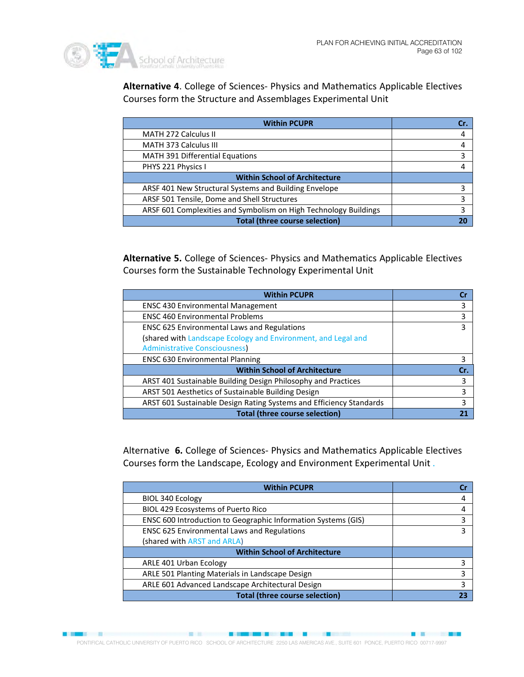

**Barnet** 

**Alternative 4**. College of Sciences- Physics and Mathematics Applicable Electives Courses form the Structure and Assemblages Experimental Unit

| <b>Within PCUPR</b>                                              | Cr. |
|------------------------------------------------------------------|-----|
| <b>MATH 272 Calculus II</b>                                      |     |
| <b>MATH 373 Calculus III</b>                                     |     |
| <b>MATH 391 Differential Equations</b>                           | 3   |
| PHYS 221 Physics I                                               |     |
| <b>Within School of Architecture</b>                             |     |
| ARSF 401 New Structural Systems and Building Envelope            | 3   |
| ARSF 501 Tensile, Dome and Shell Structures                      |     |
| ARSF 601 Complexities and Symbolism on High Technology Buildings |     |
| <b>Total (three course selection)</b>                            |     |

**Alternative 5.** College of Sciences- Physics and Mathematics Applicable Electives Courses form the Sustainable Technology Experimental Unit

| <b>Within PCUPR</b>                                                 |     |
|---------------------------------------------------------------------|-----|
| <b>ENSC 430 Environmental Management</b>                            | 3   |
| <b>ENSC 460 Environmental Problems</b>                              | 3   |
| <b>ENSC 625 Environmental Laws and Regulations</b>                  | 3   |
| (shared with Landscape Ecology and Environment, and Legal and       |     |
| <b>Administrative Consciousness</b>                                 |     |
| <b>ENSC 630 Environmental Planning</b>                              | 3   |
| <b>Within School of Architecture</b>                                | Cr. |
| ARST 401 Sustainable Building Design Philosophy and Practices       | 3   |
| ARST 501 Aesthetics of Sustainable Building Design                  |     |
| ARST 601 Sustainable Design Rating Systems and Efficiency Standards |     |
| <b>Total (three course selection)</b>                               |     |

Alternative **6.** College of Sciences- Physics and Mathematics Applicable Electives Courses form the Landscape, Ecology and Environment Experimental Unit .

| <b>Within PCUPR</b>                                           |  |
|---------------------------------------------------------------|--|
| BIOL 340 Ecology                                              |  |
| BIOL 429 Ecosystems of Puerto Rico                            |  |
| ENSC 600 Introduction to Geographic Information Systems (GIS) |  |
| <b>ENSC 625 Environmental Laws and Regulations</b>            |  |
| (shared with ARST and ARLA)                                   |  |
| <b>Within School of Architecture</b>                          |  |
| ARLE 401 Urban Ecology                                        |  |
| ARLE 501 Planting Materials in Landscape Design               |  |
| ARLE 601 Advanced Landscape Architectural Design              |  |
| <b>Total (three course selection)</b>                         |  |

■图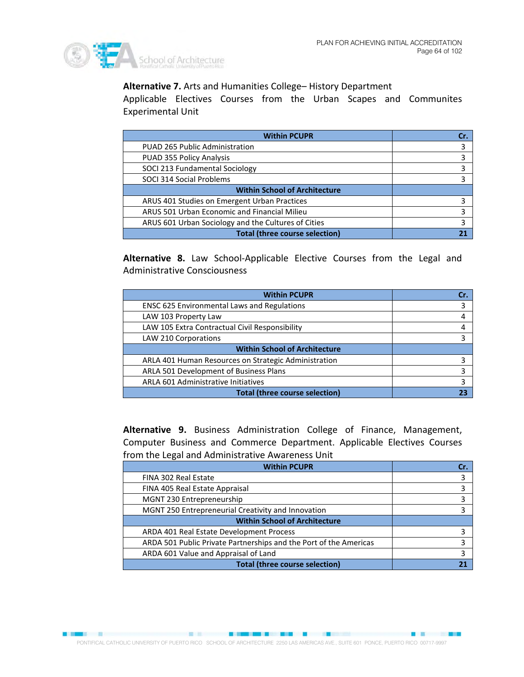

**BREADTH AND STATE OF STATE AND INCOME.** 

## **Alternative 7.** Arts and Humanities College– History Department

Applicable Electives Courses from the Urban Scapes and Communites Experimental Unit

| <b>Within PCUPR</b>                                 | Cr. |
|-----------------------------------------------------|-----|
| PUAD 265 Public Administration                      | 3   |
| PUAD 355 Policy Analysis                            |     |
| SOCI 213 Fundamental Sociology                      | 3   |
| SOCI 314 Social Problems                            |     |
| <b>Within School of Architecture</b>                |     |
| ARUS 401 Studies on Emergent Urban Practices        |     |
| ARUS 501 Urban Economic and Financial Milieu        | 3   |
| ARUS 601 Urban Sociology and the Cultures of Cities |     |
| <b>Total (three course selection)</b>               |     |

**Alternative 8.** Law School-Applicable Elective Courses from the Legal and Administrative Consciousness

| <b>Within PCUPR</b>                                  | Cr |
|------------------------------------------------------|----|
| <b>ENSC 625 Environmental Laws and Regulations</b>   | 3  |
| LAW 103 Property Law                                 |    |
| LAW 105 Extra Contractual Civil Responsibility       |    |
| LAW 210 Corporations                                 |    |
| <b>Within School of Architecture</b>                 |    |
| ARLA 401 Human Resources on Strategic Administration |    |
| ARLA 501 Development of Business Plans               |    |
| ARLA 601 Administrative Initiatives                  | 3  |
| <b>Total (three course selection)</b>                |    |

**Alternative 9.** Business Administration College of Finance, Management, Computer Business and Commerce Department. Applicable Electives Courses from the Legal and Administrative Awareness Unit

| <b>Within PCUPR</b>                                               | Cr. |
|-------------------------------------------------------------------|-----|
| FINA 302 Real Estate                                              | 3   |
| FINA 405 Real Estate Appraisal                                    | 3   |
| MGNT 230 Entrepreneurship                                         |     |
| MGNT 250 Entrepreneurial Creativity and Innovation                |     |
| <b>Within School of Architecture</b>                              |     |
| ARDA 401 Real Estate Development Process                          |     |
| ARDA 501 Public Private Partnerships and the Port of the Americas |     |
| ARDA 601 Value and Appraisal of Land                              |     |
| <b>Total (three course selection)</b>                             |     |

**CONTRACTOR COMMUNICATION CONTRACTOR**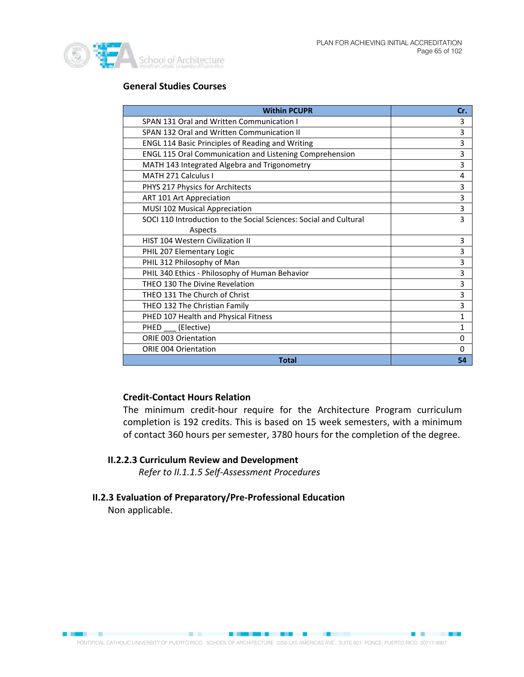

## **General Studies Courses**

| <b>Within PCUPR</b>                                               | Cr.          |
|-------------------------------------------------------------------|--------------|
| SPAN 131 Oral and Written Communication I                         | 3            |
| SPAN 132 Oral and Written Communication II                        | 3            |
| <b>ENGL 114 Basic Principles of Reading and Writing</b>           | 3            |
| ENGL 115 Oral Communication and Listening Comprehension           | 3            |
| MATH 143 Integrated Algebra and Trigonometry                      | 3            |
| MATH 271 Calculus L                                               | 4            |
| PHYS 217 Physics for Architects                                   | 3            |
| ART 101 Art Appreciation                                          | 3            |
| MUSI 102 Musical Appreciation                                     | 3            |
| SOCI 110 Introduction to the Social Sciences: Social and Cultural | 3            |
| Aspects                                                           |              |
| <b>HIST 104 Western Civilization II</b>                           | 3            |
| PHIL 207 Elementary Logic                                         | 3            |
| PHIL 312 Philosophy of Man                                        | 3            |
| PHIL 340 Ethics - Philosophy of Human Behavior                    | 3            |
| THEO 130 The Divine Revelation                                    | 3            |
| THEO 131 The Church of Christ                                     | 3            |
| THEO 132 The Christian Family                                     | 3            |
| PHED 107 Health and Physical Fitness                              | $\mathbf{1}$ |
| (Elective)<br><b>PHED</b>                                         | $\mathbf{1}$ |
| <b>ORIE 003 Orientation</b>                                       | $\Omega$     |
| <b>ORIE 004 Orientation</b>                                       | 0            |
| <b>Total</b>                                                      | 54           |

## **Credit-Contact Hours Relation**

The minimum credit-hour require for the Architecture Program curriculum completion is 192 credits. This is based on 15 week semesters, with a minimum of contact 360 hours per semester, 3780 hours for the completion of the degree.

## **II.2.2.3 Curriculum Review and Development**

*Refer to II.1.1.5 Self-Assessment Procedures*

# **II.2.3 Evaluation of Preparatory/Pre-Professional Education**

Non applicable.

**BREAK BREAKER**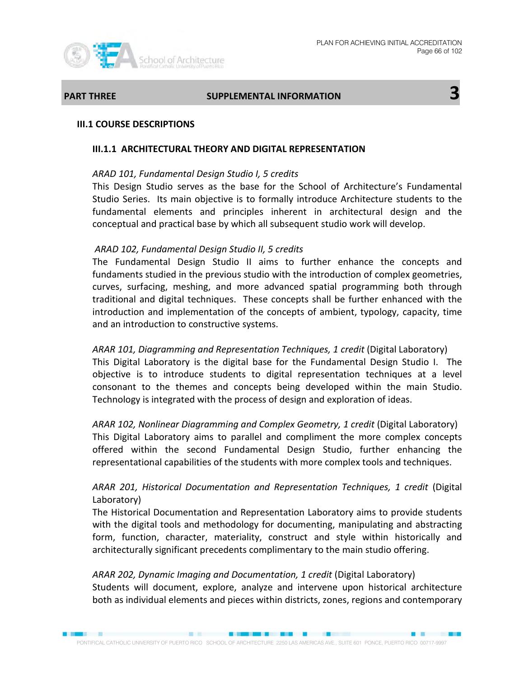

# **PART THREE** SUPPLEMENTAL INFORMATION **3**

## **III.1 COURSE DESCRIPTIONS**

## **III.1.1 ARCHITECTURAL THEORY AND DIGITAL REPRESENTATION**

## *ARAD 101, Fundamental Design Studio I, 5 credits*

This Design Studio serves as the base for the School of Architecture's Fundamental Studio Series. Its main objective is to formally introduce Architecture students to the fundamental elements and principles inherent in architectural design and the conceptual and practical base by which all subsequent studio work will develop.

## *ARAD 102, Fundamental Design Studio II, 5 credits*

The Fundamental Design Studio II aims to further enhance the concepts and fundaments studied in the previous studio with the introduction of complex geometries, curves, surfacing, meshing, and more advanced spatial programming both through traditional and digital techniques. These concepts shall be further enhanced with the introduction and implementation of the concepts of ambient, typology, capacity, time and an introduction to constructive systems.

*ARAR 101, Diagramming and Representation Techniques, 1 credit* (Digital Laboratory) This Digital Laboratory is the digital base for the Fundamental Design Studio I. The objective is to introduce students to digital representation techniques at a level consonant to the themes and concepts being developed within the main Studio. Technology is integrated with the process of design and exploration of ideas.

*ARAR 102, Nonlinear Diagramming and Complex Geometry, 1 credit* (Digital Laboratory) This Digital Laboratory aims to parallel and compliment the more complex concepts offered within the second Fundamental Design Studio, further enhancing the representational capabilities of the students with more complex tools and techniques.

## *ARAR 201, Historical Documentation and Representation Techniques, 1 credit* (Digital Laboratory)

The Historical Documentation and Representation Laboratory aims to provide students with the digital tools and methodology for documenting, manipulating and abstracting form, function, character, materiality, construct and style within historically and architecturally significant precedents complimentary to the main studio offering.

*ARAR 202, Dynamic Imaging and Documentation, 1 credit* (Digital Laboratory) Students will document, explore, analyze and intervene upon historical architecture both as individual elements and pieces within districts, zones, regions and contemporary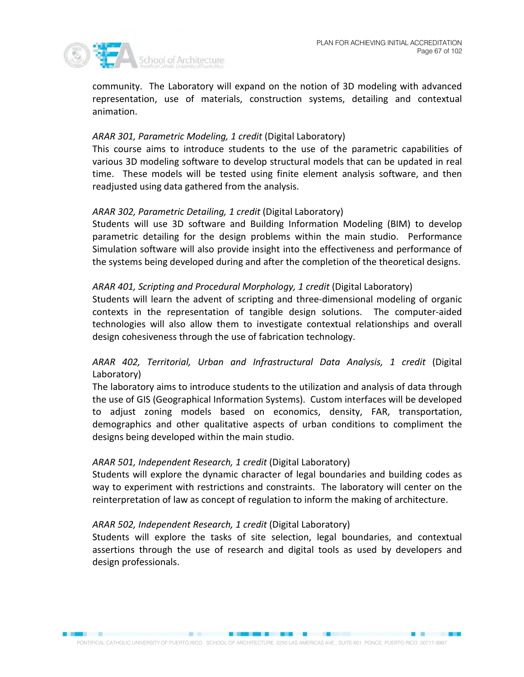

community. The Laboratory will expand on the notion of 3D modeling with advanced representation, use of materials, construction systems, detailing and contextual animation.

## *ARAR 301, Parametric Modeling, 1 credit* (Digital Laboratory)

This course aims to introduce students to the use of the parametric capabilities of various 3D modeling software to develop structural models that can be updated in real time. These models will be tested using finite element analysis software, and then readjusted using data gathered from the analysis.

## *ARAR 302, Parametric Detailing, 1 credit* (Digital Laboratory)

Students will use 3D software and Building Information Modeling (BIM) to develop parametric detailing for the design problems within the main studio. Performance Simulation software will also provide insight into the effectiveness and performance of the systems being developed during and after the completion of the theoretical designs.

## *ARAR 401, Scripting and Procedural Morphology, 1 credit* (Digital Laboratory)

Students will learn the advent of scripting and three-dimensional modeling of organic contexts in the representation of tangible design solutions. The computer-aided technologies will also allow them to investigate contextual relationships and overall design cohesiveness through the use of fabrication technology.

## *ARAR 402, Territorial, Urban and Infrastructural Data Analysis, 1 credit* (Digital Laboratory)

The laboratory aims to introduce students to the utilization and analysis of data through the use of GIS (Geographical Information Systems). Custom interfaces will be developed to adjust zoning models based on economics, density, FAR, transportation, demographics and other qualitative aspects of urban conditions to compliment the designs being developed within the main studio.

## *ARAR 501, Independent Research, 1 credit* (Digital Laboratory)

Students will explore the dynamic character of legal boundaries and building codes as way to experiment with restrictions and constraints. The laboratory will center on the reinterpretation of law as concept of regulation to inform the making of architecture.

## *ARAR 502, Independent Research, 1 credit* (Digital Laboratory)

Students will explore the tasks of site selection, legal boundaries, and contextual assertions through the use of research and digital tools as used by developers and design professionals.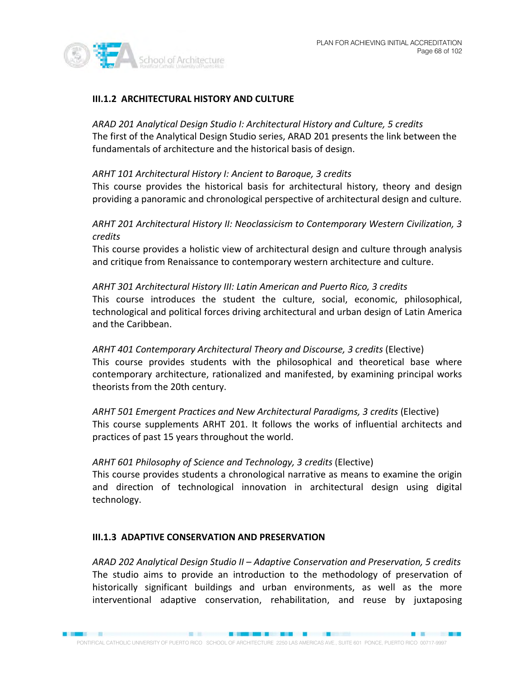

## **III.1.2 ARCHITECTURAL HISTORY AND CULTURE**

*ARAD 201 Analytical Design Studio I: Architectural History and Culture, 5 credits* The first of the Analytical Design Studio series, ARAD 201 presents the link between the fundamentals of architecture and the historical basis of design.

## *ARHT 101 Architectural History I: Ancient to Baroque, 3 credits*

This course provides the historical basis for architectural history, theory and design providing a panoramic and chronological perspective of architectural design and culture.

## *ARHT 201 Architectural History II: Neoclassicism to Contemporary Western Civilization, 3 credits*

This course provides a holistic view of architectural design and culture through analysis and critique from Renaissance to contemporary western architecture and culture.

## *ARHT 301 Architectural History III: Latin American and Puerto Rico, 3 credits* This course introduces the student the culture, social, economic, philosophical, technological and political forces driving architectural and urban design of Latin America and the Caribbean.

*ARHT 401 Contemporary Architectural Theory and Discourse, 3 credits* (Elective) This course provides students with the philosophical and theoretical base where contemporary architecture, rationalized and manifested, by examining principal works theorists from the 20th century.

## *ARHT 501 Emergent Practices and New Architectural Paradigms, 3 credits* (Elective) This course supplements ARHT 201. It follows the works of influential architects and practices of past 15 years throughout the world.

## *ARHT 601 Philosophy of Science and Technology, 3 credits* (Elective)

This course provides students a chronological narrative as means to examine the origin and direction of technological innovation in architectural design using digital technology.

## **III.1.3 ADAPTIVE CONSERVATION AND PRESERVATION**

*ARAD 202 Analytical Design Studio II – Adaptive Conservation and Preservation, 5 credits*  The studio aims to provide an introduction to the methodology of preservation of historically significant buildings and urban environments, as well as the more interventional adaptive conservation, rehabilitation, and reuse by juxtaposing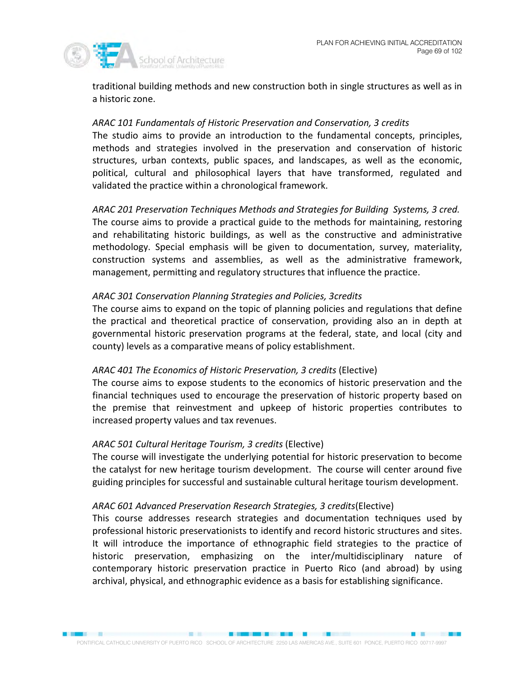

traditional building methods and new construction both in single structures as well as in a historic zone.

## *ARAC 101 Fundamentals of Historic Preservation and Conservation, 3 credits*

The studio aims to provide an introduction to the fundamental concepts, principles, methods and strategies involved in the preservation and conservation of historic structures, urban contexts, public spaces, and landscapes, as well as the economic, political, cultural and philosophical layers that have transformed, regulated and validated the practice within a chronological framework.

*ARAC 201 Preservation Techniques Methods and Strategies for Building Systems, 3 cred.*  The course aims to provide a practical guide to the methods for maintaining, restoring and rehabilitating historic buildings, as well as the constructive and administrative methodology. Special emphasis will be given to documentation, survey, materiality, construction systems and assemblies, as well as the administrative framework, management, permitting and regulatory structures that influence the practice.

## *ARAC 301 Conservation Planning Strategies and Policies, 3credits*

The course aims to expand on the topic of planning policies and regulations that define the practical and theoretical practice of conservation, providing also an in depth at governmental historic preservation programs at the federal, state, and local (city and county) levels as a comparative means of policy establishment.

## *ARAC 401 The Economics of Historic Preservation, 3 credits* (Elective)

The course aims to expose students to the economics of historic preservation and the financial techniques used to encourage the preservation of historic property based on the premise that reinvestment and upkeep of historic properties contributes to increased property values and tax revenues.

## *ARAC 501 Cultural Heritage Tourism, 3 credits* (Elective)

The course will investigate the underlying potential for historic preservation to become the catalyst for new heritage tourism development. The course will center around five guiding principles for successful and sustainable cultural heritage tourism development.

## *ARAC 601 Advanced Preservation Research Strategies, 3 credits*(Elective)

This course addresses research strategies and documentation techniques used by professional historic preservationists to identify and record historic structures and sites. It will introduce the importance of ethnographic field strategies to the practice of historic preservation, emphasizing on the inter/multidisciplinary nature of contemporary historic preservation practice in Puerto Rico (and abroad) by using archival, physical, and ethnographic evidence as a basis for establishing significance.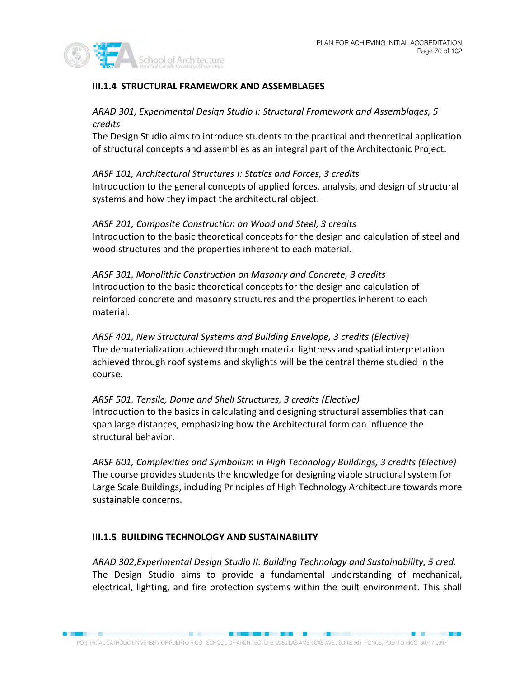

## **III.1.4 STRUCTURAL FRAMEWORK AND ASSEMBLAGES**

## *ARAD 301, Experimental Design Studio I: Structural Framework and Assemblages, 5 credits*

The Design Studio aims to introduce students to the practical and theoretical application of structural concepts and assemblies as an integral part of the Architectonic Project.

*ARSF 101, Architectural Structures I: Statics and Forces, 3 credits*  Introduction to the general concepts of applied forces, analysis, and design of structural systems and how they impact the architectural object.

*ARSF 201, Composite Construction on Wood and Steel, 3 credits*  Introduction to the basic theoretical concepts for the design and calculation of steel and wood structures and the properties inherent to each material.

*ARSF 301, Monolithic Construction on Masonry and Concrete, 3 credits*  Introduction to the basic theoretical concepts for the design and calculation of reinforced concrete and masonry structures and the properties inherent to each material.

*ARSF 401, New Structural Systems and Building Envelope, 3 credits (Elective)*  The dematerialization achieved through material lightness and spatial interpretation achieved through roof systems and skylights will be the central theme studied in the course.

*ARSF 501, Tensile, Dome and Shell Structures, 3 credits (Elective)*  Introduction to the basics in calculating and designing structural assemblies that can span large distances, emphasizing how the Architectural form can influence the structural behavior.

*ARSF 601, Complexities and Symbolism in High Technology Buildings, 3 credits (Elective)*  The course provides students the knowledge for designing viable structural system for Large Scale Buildings, including Principles of High Technology Architecture towards more sustainable concerns.

## **III.1.5 BUILDING TECHNOLOGY AND SUSTAINABILITY**

*ARAD 302,Experimental Design Studio II: Building Technology and Sustainability, 5 cred.*  The Design Studio aims to provide a fundamental understanding of mechanical, electrical, lighting, and fire protection systems within the built environment. This shall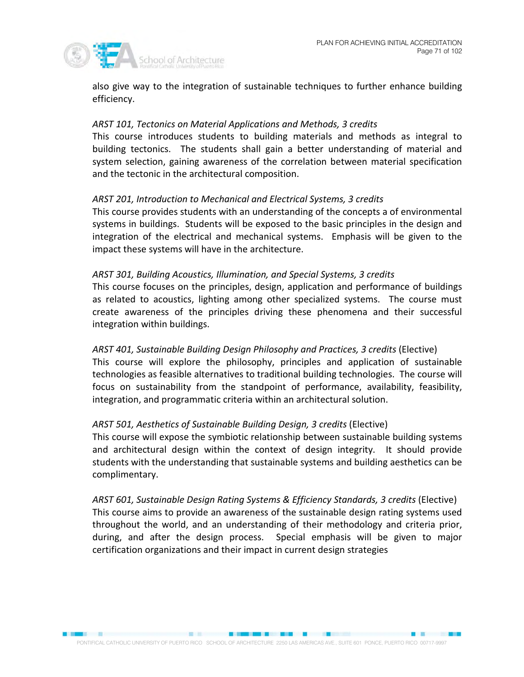

also give way to the integration of sustainable techniques to further enhance building efficiency.

## *ARST 101, Tectonics on Material Applications and Methods, 3 credits*

This course introduces students to building materials and methods as integral to building tectonics. The students shall gain a better understanding of material and system selection, gaining awareness of the correlation between material specification and the tectonic in the architectural composition.

## *ARST 201, Introduction to Mechanical and Electrical Systems, 3 credits*

This course provides students with an understanding of the concepts a of environmental systems in buildings. Students will be exposed to the basic principles in the design and integration of the electrical and mechanical systems. Emphasis will be given to the impact these systems will have in the architecture.

## *ARST 301, Building Acoustics, Illumination, and Special Systems, 3 credits*

This course focuses on the principles, design, application and performance of buildings as related to acoustics, lighting among other specialized systems. The course must create awareness of the principles driving these phenomena and their successful integration within buildings.

## *ARST 401, Sustainable Building Design Philosophy and Practices, 3 credits* (Elective)

This course will explore the philosophy, principles and application of sustainable technologies as feasible alternatives to traditional building technologies. The course will focus on sustainability from the standpoint of performance, availability, feasibility, integration, and programmatic criteria within an architectural solution.

## *ARST 501, Aesthetics of Sustainable Building Design, 3 credits* (Elective)

This course will expose the symbiotic relationship between sustainable building systems and architectural design within the context of design integrity. It should provide students with the understanding that sustainable systems and building aesthetics can be complimentary.

*ARST 601, Sustainable Design Rating Systems & Efficiency Standards, 3 credits* (Elective) This course aims to provide an awareness of the sustainable design rating systems used throughout the world, and an understanding of their methodology and criteria prior, during, and after the design process. Special emphasis will be given to major certification organizations and their impact in current design strategies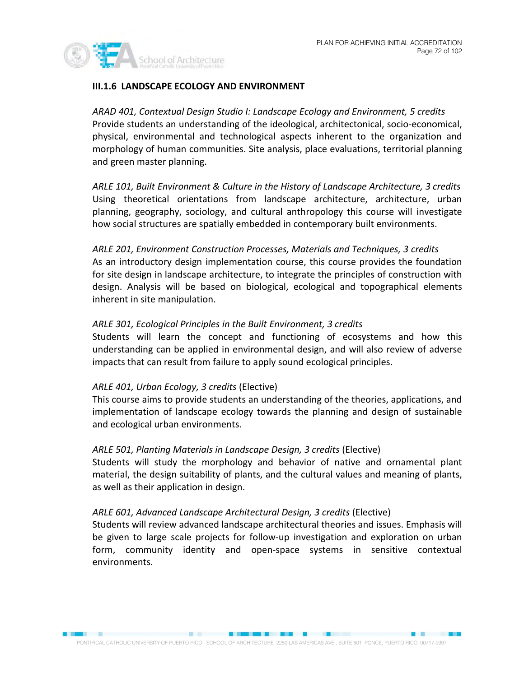

## **III.1.6 LANDSCAPE ECOLOGY AND ENVIRONMENT**

*ARAD 401, Contextual Design Studio I: Landscape Ecology and Environment, 5 credits* Provide students an understanding of the ideological, architectonical, socio-economical, physical, environmental and technological aspects inherent to the organization and morphology of human communities. Site analysis, place evaluations, territorial planning and green master planning.

*ARLE 101, Built Environment & Culture in the History of Landscape Architecture, 3 credits*  Using theoretical orientations from landscape architecture, architecture, urban planning, geography, sociology, and cultural anthropology this course will investigate how social structures are spatially embedded in contemporary built environments.

*ARLE 201, Environment Construction Processes, Materials and Techniques, 3 credits*  As an introductory design implementation course, this course provides the foundation for site design in landscape architecture, to integrate the principles of construction with design. Analysis will be based on biological, ecological and topographical elements inherent in site manipulation.

## *ARLE 301, Ecological Principles in the Built Environment, 3 credits*

Students will learn the concept and functioning of ecosystems and how this understanding can be applied in environmental design, and will also review of adverse impacts that can result from failure to apply sound ecological principles.

## *ARLE 401, Urban Ecology, 3 credits* (Elective)

This course aims to provide students an understanding of the theories, applications, and implementation of landscape ecology towards the planning and design of sustainable and ecological urban environments.

## *ARLE 501, Planting Materials in Landscape Design, 3 credits* (Elective)

Students will study the morphology and behavior of native and ornamental plant material, the design suitability of plants, and the cultural values and meaning of plants, as well as their application in design.

## *ARLE 601, Advanced Landscape Architectural Design, 3 credits* (Elective)

Students will review advanced landscape architectural theories and issues. Emphasis will be given to large scale projects for follow-up investigation and exploration on urban form, community identity and open-space systems in sensitive contextual environments.

**BERTH BREEZER AND STATES**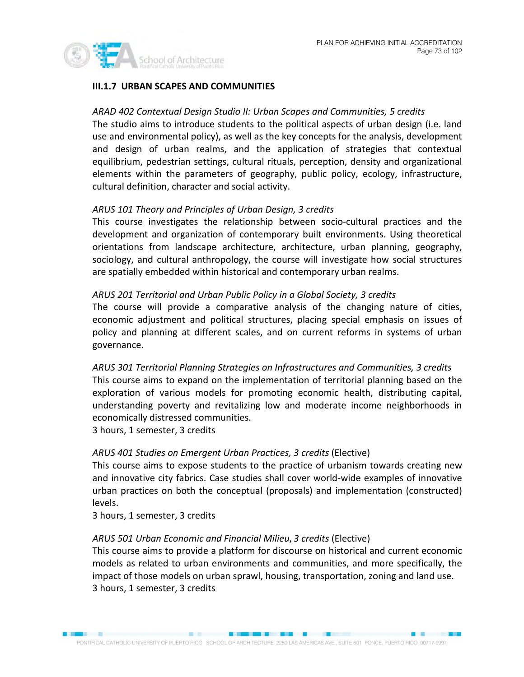

# **III.1.7 URBAN SCAPES AND COMMUNITIES**

## *ARAD 402 Contextual Design Studio II: Urban Scapes and Communities, 5 credits*

The studio aims to introduce students to the political aspects of urban design (i.e. land use and environmental policy), as well as the key concepts for the analysis, development and design of urban realms, and the application of strategies that contextual equilibrium, pedestrian settings, cultural rituals, perception, density and organizational elements within the parameters of geography, public policy, ecology, infrastructure, cultural definition, character and social activity.

# *ARUS 101 Theory and Principles of Urban Design, 3 credits*

This course investigates the relationship between socio-cultural practices and the development and organization of contemporary built environments. Using theoretical orientations from landscape architecture, architecture, urban planning, geography, sociology, and cultural anthropology, the course will investigate how social structures are spatially embedded within historical and contemporary urban realms.

#### *ARUS 201 Territorial and Urban Public Policy in a Global Society, 3 credits*

The course will provide a comparative analysis of the changing nature of cities, economic adjustment and political structures, placing special emphasis on issues of policy and planning at different scales, and on current reforms in systems of urban governance.

*ARUS 301 Territorial Planning Strategies on Infrastructures and Communities, 3 credits* This course aims to expand on the implementation of territorial planning based on the exploration of various models for promoting economic health, distributing capital, understanding poverty and revitalizing low and moderate income neighborhoods in economically distressed communities.

3 hours, 1 semester, 3 credits

# *ARUS 401 Studies on Emergent Urban Practices, 3 credits* (Elective)

This course aims to expose students to the practice of urbanism towards creating new and innovative city fabrics. Case studies shall cover world-wide examples of innovative urban practices on both the conceptual (proposals) and implementation (constructed) levels.

3 hours, 1 semester, 3 credits

# *ARUS 501 Urban Economic and Financial Milieu***,** *3 credits* (Elective)

This course aims to provide a platform for discourse on historical and current economic models as related to urban environments and communities, and more specifically, the impact of those models on urban sprawl, housing, transportation, zoning and land use. 3 hours, 1 semester, 3 credits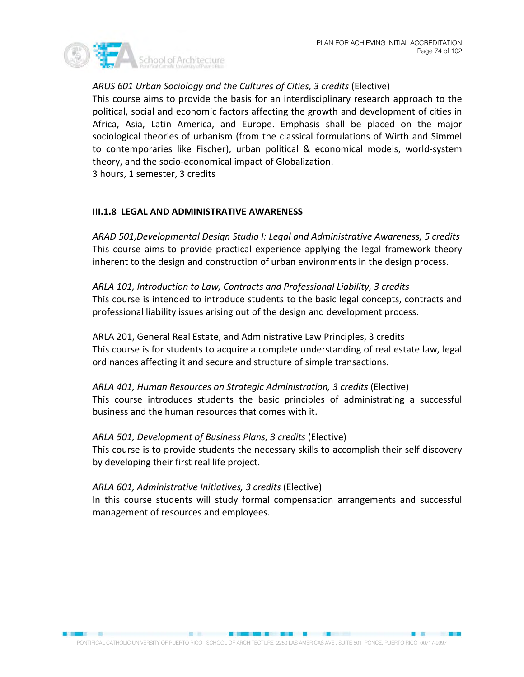

# *ARUS 601 Urban Sociology and the Cultures of Cities, 3 credits* (Elective)

This course aims to provide the basis for an interdisciplinary research approach to the political, social and economic factors affecting the growth and development of cities in Africa, Asia, Latin America, and Europe. Emphasis shall be placed on the major sociological theories of urbanism (from the classical formulations of Wirth and Simmel to contemporaries like Fischer), urban political & economical models, world-system theory, and the socio-economical impact of Globalization.

3 hours, 1 semester, 3 credits

# **III.1.8 LEGAL AND ADMINISTRATIVE AWARENESS**

*ARAD 501,Developmental Design Studio I: Legal and Administrative Awareness, 5 credits* This course aims to provide practical experience applying the legal framework theory inherent to the design and construction of urban environments in the design process.

*ARLA 101, Introduction to Law, Contracts and Professional Liability, 3 credits* This course is intended to introduce students to the basic legal concepts, contracts and professional liability issues arising out of the design and development process.

ARLA 201, General Real Estate, and Administrative Law Principles, 3 credits This course is for students to acquire a complete understanding of real estate law, legal ordinances affecting it and secure and structure of simple transactions.

*ARLA 401, Human Resources on Strategic Administration, 3 credits* (Elective) This course introduces students the basic principles of administrating a successful business and the human resources that comes with it.

*ARLA 501, Development of Business Plans, 3 credits* (Elective) This course is to provide students the necessary skills to accomplish their self discovery by developing their first real life project.

#### *ARLA 601, Administrative Initiatives, 3 credits* (Elective)

In this course students will study formal compensation arrangements and successful management of resources and employees.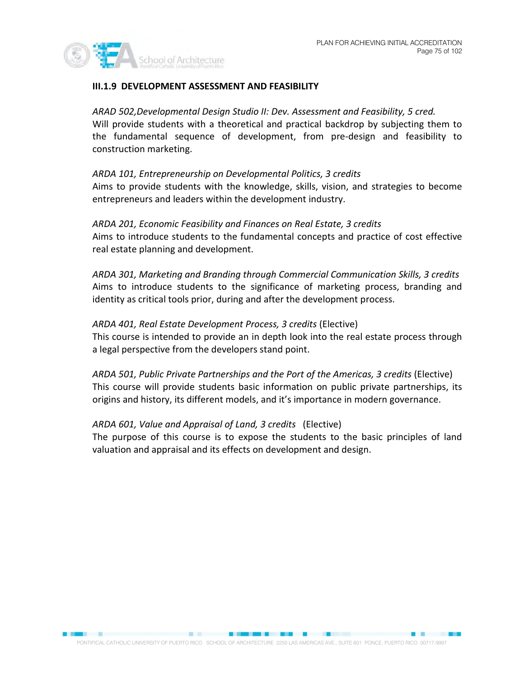

# **III.1.9 DEVELOPMENT ASSESSMENT AND FEASIBILITY**

*ARAD 502,Developmental Design Studio II: Dev. Assessment and Feasibility, 5 cred.*  Will provide students with a theoretical and practical backdrop by subjecting them to the fundamental sequence of development, from pre-design and feasibility to construction marketing.

*ARDA 101, Entrepreneurship on Developmental Politics, 3 credits* 

Aims to provide students with the knowledge, skills, vision, and strategies to become entrepreneurs and leaders within the development industry.

*ARDA 201, Economic Feasibility and Finances on Real Estate, 3 credits*  Aims to introduce students to the fundamental concepts and practice of cost effective real estate planning and development.

*ARDA 301, Marketing and Branding through Commercial Communication Skills, 3 credits* Aims to introduce students to the significance of marketing process, branding and identity as critical tools prior, during and after the development process.

*ARDA 401, Real Estate Development Process, 3 credits* (Elective) This course is intended to provide an in depth look into the real estate process through a legal perspective from the developers stand point.

*ARDA 501, Public Private Partnerships and the Port of the Americas, 3 credits* (Elective) This course will provide students basic information on public private partnerships, its origins and history, its different models, and it's importance in modern governance.

*ARDA 601, Value and Appraisal of Land, 3 credits* (Elective) The purpose of this course is to expose the students to the basic principles of land valuation and appraisal and its effects on development and design.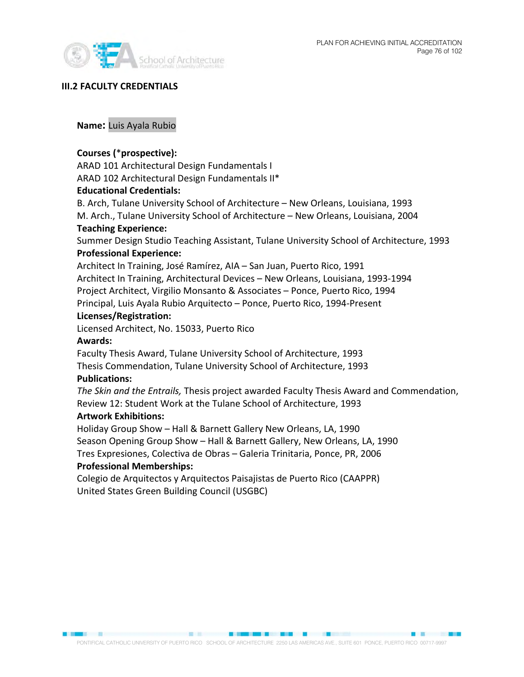



#### **III.2 FACULTY CREDENTIALS**

# **Name:** Luis Ayala Rubio

# **Courses (**\***prospective):**

ARAD 101 Architectural Design Fundamentals I ARAD 102 Architectural Design Fundamentals II\*

#### **Educational Credentials:**

B. Arch, Tulane University School of Architecture – New Orleans, Louisiana, 1993 M. Arch., Tulane University School of Architecture – New Orleans, Louisiana, 2004 **Teaching Experience:**

Summer Design Studio Teaching Assistant, Tulane University School of Architecture, 1993 **Professional Experience:**

Architect In Training, José Ramírez, AIA – San Juan, Puerto Rico, 1991 Architect In Training, Architectural Devices – New Orleans, Louisiana, 1993-1994 Project Architect, Virgilio Monsanto & Associates – Ponce, Puerto Rico, 1994 Principal, Luis Ayala Rubio Arquitecto – Ponce, Puerto Rico, 1994-Present

#### **Licenses/Registration:**

Licensed Architect, No. 15033, Puerto Rico

#### **Awards:**

Faculty Thesis Award, Tulane University School of Architecture, 1993 Thesis Commendation, Tulane University School of Architecture, 1993

#### **Publications:**

*The Skin and the Entrails,* Thesis project awarded Faculty Thesis Award and Commendation, Review 12: Student Work at the Tulane School of Architecture, 1993

#### **Artwork Exhibitions:**

Holiday Group Show – Hall & Barnett Gallery New Orleans, LA, 1990 Season Opening Group Show – Hall & Barnett Gallery, New Orleans, LA, 1990 Tres Expresiones, Colectiva de Obras – Galeria Trinitaria, Ponce, PR, 2006 **Professional Memberships:**

Colegio de Arquitectos y Arquitectos Paisajistas de Puerto Rico (CAAPPR) United States Green Building Council (USGBC)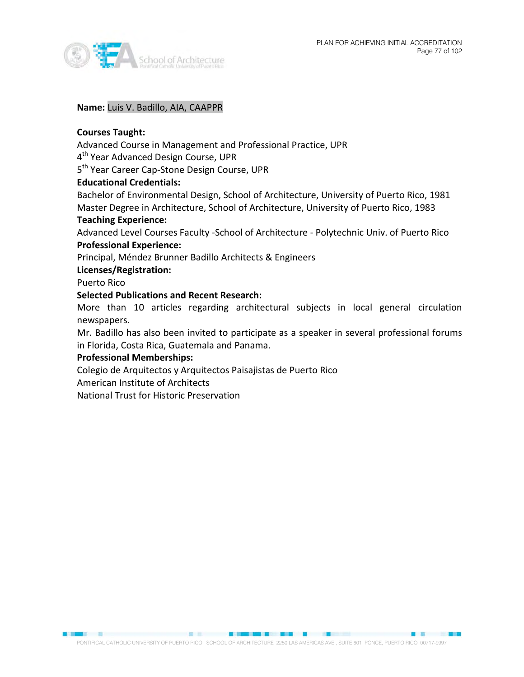

#### **Name:** Luis V. Badillo, AIA, CAAPPR

## **Courses Taught:**

Advanced Course in Management and Professional Practice, UPR

4<sup>th</sup> Year Advanced Design Course, UPR

5<sup>th</sup> Year Career Cap-Stone Design Course, UPR

### **Educational Credentials:**

Bachelor of Environmental Design, School of Architecture, University of Puerto Rico, 1981 Master Degree in Architecture, School of Architecture, University of Puerto Rico, 1983

#### **Teaching Experience:**

Advanced Level Courses Faculty -School of Architecture - Polytechnic Univ. of Puerto Rico **Professional Experience:**

Principal, Méndez Brunner Badillo Architects & Engineers

# **Licenses/Registration:**

Puerto Rico

### **Selected Publications and Recent Research:**

More than 10 articles regarding architectural subjects in local general circulation newspapers.

Mr. Badillo has also been invited to participate as a speaker in several professional forums in Florida, Costa Rica, Guatemala and Panama.

# **Professional Memberships:**

Colegio de Arquitectos y Arquitectos Paisajistas de Puerto Rico

American Institute of Architects

National Trust for Historic Preservation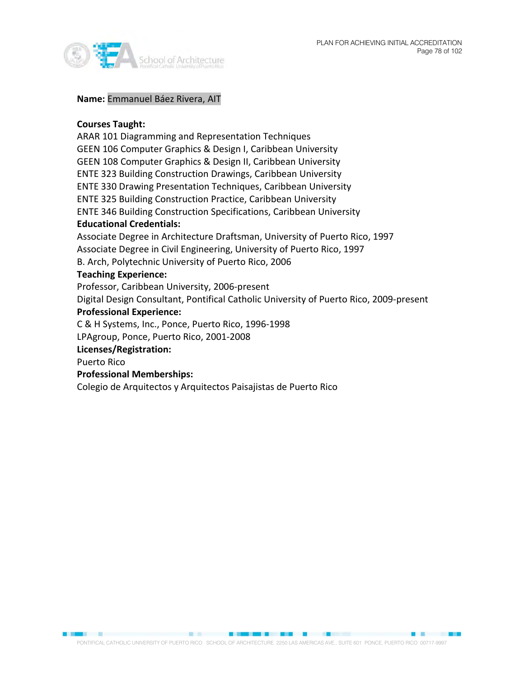

## **Name:** Emmanuel Báez Rivera, AIT

## **Courses Taught:**

ARAR 101 Diagramming and Representation Techniques GEEN 106 Computer Graphics & Design I, Caribbean University GEEN 108 Computer Graphics & Design II, Caribbean University ENTE 323 Building Construction Drawings, Caribbean University ENTE 330 Drawing Presentation Techniques, Caribbean University ENTE 325 Building Construction Practice, Caribbean University ENTE 346 Building Construction Specifications, Caribbean University

# **Educational Credentials:**

Associate Degree in Architecture Draftsman, University of Puerto Rico, 1997 Associate Degree in Civil Engineering, University of Puerto Rico, 1997 B. Arch, Polytechnic University of Puerto Rico, 2006

#### **Teaching Experience:**

Professor, Caribbean University, 2006-present

Digital Design Consultant, Pontifical Catholic University of Puerto Rico, 2009-present

#### **Professional Experience:**

C & H Systems, Inc., Ponce, Puerto Rico, 1996-1998

LPAgroup, Ponce, Puerto Rico, 2001-2008

# **Licenses/Registration:**

Puerto Rico

# **Professional Memberships:**

Colegio de Arquitectos y Arquitectos Paisajistas de Puerto Rico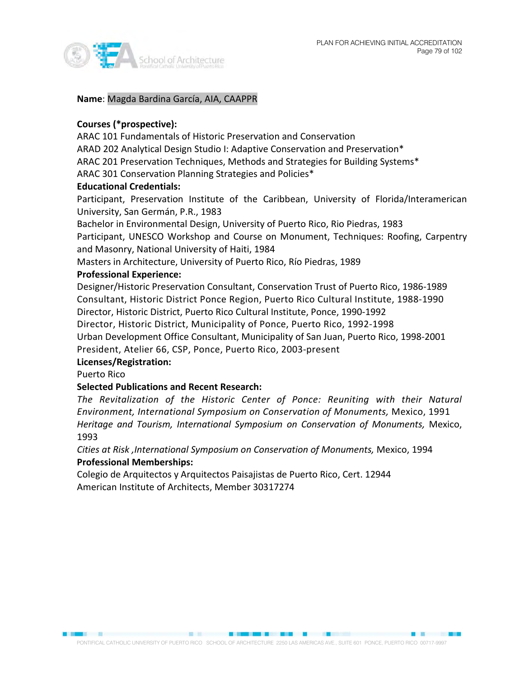

**Name**: Magda Bardina García, AIA, CAAPPR

# **Courses (\*prospective):**

ARAC 101 Fundamentals of Historic Preservation and Conservation ARAD 202 Analytical Design Studio I: Adaptive Conservation and Preservation\*

ARAC 201 Preservation Techniques, Methods and Strategies for Building Systems\*

ARAC 301 Conservation Planning Strategies and Policies\*

# **Educational Credentials:**

Participant, Preservation Institute of the Caribbean, University of Florida/Interamerican University, San Germán, P.R., 1983

Bachelor in Environmental Design, University of Puerto Rico, Rio Piedras, 1983 Participant, UNESCO Workshop and Course on Monument, Techniques: Roofing, Carpentry and Masonry, National University of Haiti, 1984

Masters in Architecture, University of Puerto Rico, Río Piedras, 1989

# **Professional Experience:**

Designer/Historic Preservation Consultant, Conservation Trust of Puerto Rico, 1986-1989 Consultant, Historic District Ponce Region, Puerto Rico Cultural Institute, 1988-1990 Director, Historic District, Puerto Rico Cultural Institute, Ponce, 1990-1992

Director, Historic District, Municipality of Ponce, Puerto Rico, 1992-1998

Urban Development Office Consultant, Municipality of San Juan, Puerto Rico, 1998-2001 President, Atelier 66, CSP, Ponce, Puerto Rico, 2003-present

# **Licenses/Registration:**

Puerto Rico

# **Selected Publications and Recent Research:**

*The Revitalization of the Historic Center of Ponce: Reuniting with their Natural Environment, International Symposium on Conservation of Monuments,* Mexico, 1991 *Heritage and Tourism, International Symposium on Conservation of Monuments,* Mexico, 1993

*Cities at Risk ,International Symposium on Conservation of Monuments,* Mexico, 1994 **Professional Memberships:**

Colegio de Arquitectos y Arquitectos Paisajistas de Puerto Rico, Cert. 12944 American Institute of Architects, Member 30317274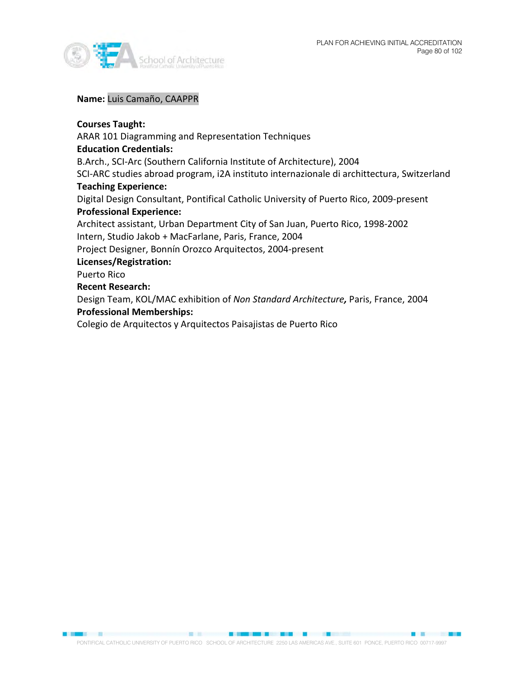

**Name:** Luis Camaño, CAAPPR

# **Courses Taught:**

ARAR 101 Diagramming and Representation Techniques **Education Credentials:** B.Arch., SCI-Arc (Southern California Institute of Architecture), 2004 SCI-ARC studies abroad program, i2A instituto internazionale di archittectura, Switzerland **Teaching Experience:** Digital Design Consultant, Pontifical Catholic University of Puerto Rico, 2009-present **Professional Experience:** Architect assistant, Urban Department City of San Juan, Puerto Rico, 1998-2002 Intern, Studio Jakob + MacFarlane, Paris, France, 2004 Project Designer, Bonnín Orozco Arquitectos, 2004-present **Licenses/Registration:** Puerto Rico **Recent Research:** Design Team, KOL/MAC exhibition of *Non Standard Architecture,* Paris, France, 2004 **Professional Memberships:** Colegio de Arquitectos y Arquitectos Paisajistas de Puerto Rico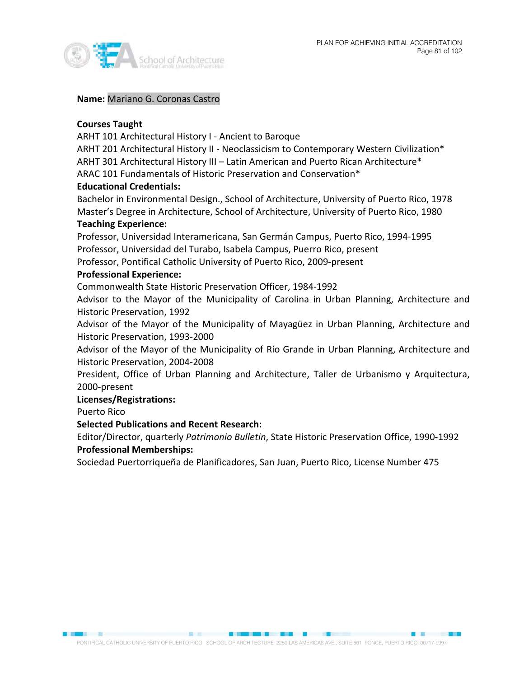

### **Name:** Mariano G. Coronas Castro

## **Courses Taught**

ARHT 101 Architectural History I - Ancient to Baroque

ARHT 201 Architectural History II - Neoclassicism to Contemporary Western Civilization\* ARHT 301 Architectural History III – Latin American and Puerto Rican Architecture\*

ARAC 101 Fundamentals of Historic Preservation and Conservation\*

### **Educational Credentials:**

Bachelor in Environmental Design., School of Architecture, University of Puerto Rico, 1978 Master's Degree in Architecture, School of Architecture, University of Puerto Rico, 1980

#### **Teaching Experience:**

Professor, Universidad Interamericana, San Germán Campus, Puerto Rico, 1994-1995 Professor, Universidad del Turabo, Isabela Campus, Puerro Rico, present Professor, Pontifical Catholic University of Puerto Rico, 2009-present

### **Professional Experience:**

Commonwealth State Historic Preservation Officer, 1984-1992

Advisor to the Mayor of the Municipality of Carolina in Urban Planning, Architecture and Historic Preservation, 1992

Advisor of the Mayor of the Municipality of Mayagüez in Urban Planning, Architecture and Historic Preservation, 1993-2000

Advisor of the Mayor of the Municipality of Río Grande in Urban Planning, Architecture and Historic Preservation, 2004-2008

President, Office of Urban Planning and Architecture, Taller de Urbanismo y Arquitectura, 2000-present

#### **Licenses/Registrations:**

Puerto Rico

# **Selected Publications and Recent Research:**

Editor/Director, quarterly *Patrimonio Bulletin*, State Historic Preservation Office, 1990-1992 **Professional Memberships:**

Sociedad Puertorriqueña de Planificadores, San Juan, Puerto Rico, License Number 475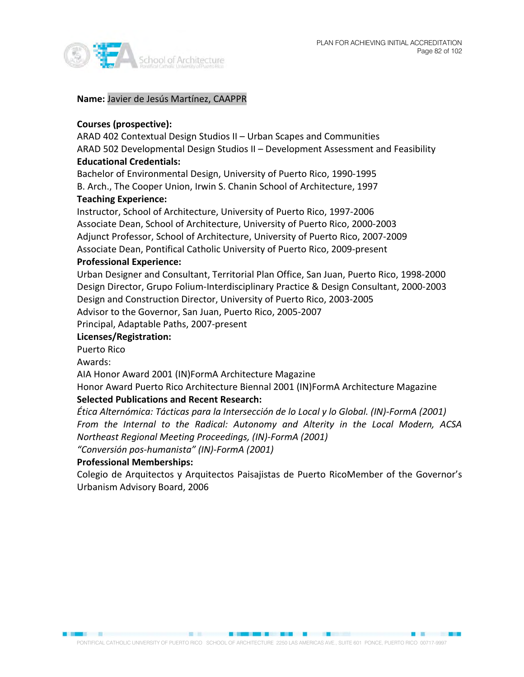

**Name:** Javier de Jesús Martínez, CAAPPR

# **Courses (prospective):**

ARAD 402 Contextual Design Studios II – Urban Scapes and Communities ARAD 502 Developmental Design Studios II – Development Assessment and Feasibility **Educational Credentials:**

Bachelor of Environmental Design, University of Puerto Rico, 1990-1995 B. Arch., The Cooper Union, Irwin S. Chanin School of Architecture, 1997

# **Teaching Experience:**

Instructor, School of Architecture, University of Puerto Rico, 1997-2006 Associate Dean, School of Architecture, University of Puerto Rico, 2000-2003 Adjunct Professor, School of Architecture, University of Puerto Rico, 2007-2009 Associate Dean, Pontifical Catholic University of Puerto Rico, 2009-present **Professional Experience:**

# Urban Designer and Consultant, Territorial Plan Office, San Juan, Puerto Rico, 1998-2000 Design Director, Grupo Folium-Interdisciplinary Practice & Design Consultant, 2000-2003 Design and Construction Director, University of Puerto Rico, 2003-2005 Advisor to the Governor, San Juan, Puerto Rico, 2005-2007

Principal, Adaptable Paths, 2007-present

## **Licenses/Registration:**

Puerto Rico

Awards:

AIA Honor Award 2001 (IN)FormA Architecture Magazine

Honor Award Puerto Rico Architecture Biennal 2001 (IN)FormA Architecture Magazine **Selected Publications and Recent Research:**

*Ética Alternómica: Tácticas para la Intersección de lo Local y lo Global. (IN)-FormA (2001) From the Internal to the Radical: Autonomy and Alterity in the Local Modern, ACSA Northeast Regional Meeting Proceedings, (IN)-FormA (2001)* 

*"Conversión pos-humanista" (IN)-FormA (2001)*

# **Professional Memberships:**

Colegio de Arquitectos y Arquitectos Paisajistas de Puerto RicoMember of the Governor's Urbanism Advisory Board, 2006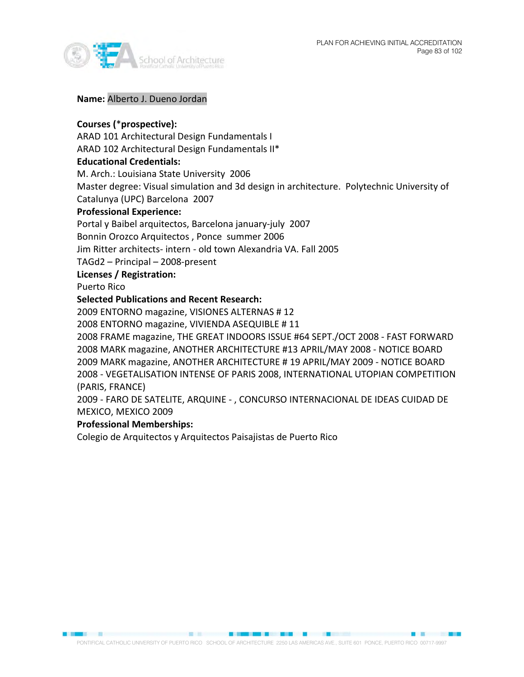

#### **Name:** Alberto J. Dueno Jordan

## **Courses (**\***prospective):**

ARAD 101 Architectural Design Fundamentals I

ARAD 102 Architectural Design Fundamentals II\*

### **Educational Credentials:**

M. Arch.: Louisiana State University 2006

Master degree: Visual simulation and 3d design in architecture. Polytechnic University of

Catalunya (UPC) Barcelona 2007

## **Professional Experience:**

Portal y Baibel arquitectos, Barcelona january-july 2007

Bonnin Orozco Arquitectos , Ponce summer 2006

Jim Ritter architects- intern - old town Alexandria VA. Fall 2005

TAGd2 – Principal – 2008-present

### **Licenses / Registration:**

Puerto Rico

### **Selected Publications and Recent Research:**

2009 ENTORNO magazine, VISIONES ALTERNAS # 12

2008 ENTORNO magazine, VIVIENDA ASEQUIBLE # 11

2008 FRAME magazine, THE GREAT INDOORS ISSUE #64 SEPT./OCT 2008 - FAST FORWARD 2008 MARK magazine, ANOTHER ARCHITECTURE #13 APRIL/MAY 2008 - NOTICE BOARD 2009 MARK magazine, ANOTHER ARCHITECTURE # 19 APRIL/MAY 2009 - NOTICE BOARD 2008 - VEGETALISATION INTENSE OF PARIS 2008, INTERNATIONAL UTOPIAN COMPETITION (PARIS, FRANCE)

2009 - FARO DE SATELITE, ARQUINE - , CONCURSO INTERNACIONAL DE IDEAS CUIDAD DE MEXICO, MEXICO 2009

# **Professional Memberships:**

Colegio de Arquitectos y Arquitectos Paisajistas de Puerto Rico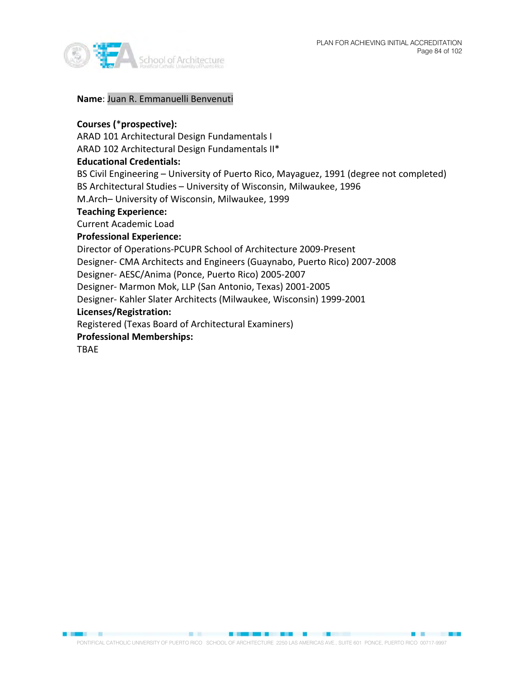

**Name**: Juan R. Emmanuelli Benvenuti

### **Courses (**\***prospective):**

ARAD 101 Architectural Design Fundamentals I

ARAD 102 Architectural Design Fundamentals II\*

### **Educational Credentials:**

BS Civil Engineering – University of Puerto Rico, Mayaguez, 1991 (degree not completed) BS Architectural Studies – University of Wisconsin, Milwaukee, 1996

M.Arch– University of Wisconsin, Milwaukee, 1999

### **Teaching Experience:**

Current Academic Load

### **Professional Experience:**

Director of Operations-PCUPR School of Architecture 2009-Present

Designer- CMA Architects and Engineers (Guaynabo, Puerto Rico) 2007-2008

Designer- AESC/Anima (Ponce, Puerto Rico) 2005-2007

Designer- Marmon Mok, LLP (San Antonio, Texas) 2001-2005

Designer- Kahler Slater Architects (Milwaukee, Wisconsin) 1999-2001

# **Licenses/Registration:**

Registered (Texas Board of Architectural Examiners)

### **Professional Memberships:**

TBAE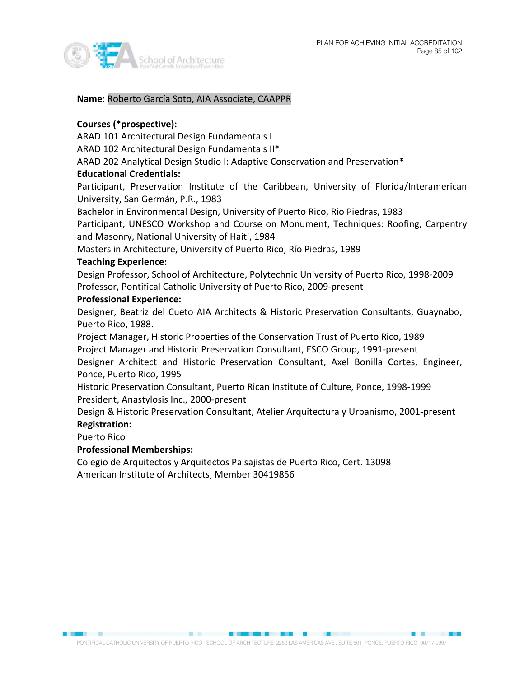

**Name**: Roberto García Soto, AIA Associate, CAAPPR

# **Courses (**\***prospective):**

ARAD 101 Architectural Design Fundamentals I

ARAD 102 Architectural Design Fundamentals II\*

ARAD 202 Analytical Design Studio I: Adaptive Conservation and Preservation\*

# **Educational Credentials:**

Participant, Preservation Institute of the Caribbean, University of Florida/Interamerican University, San Germán, P.R., 1983

Bachelor in Environmental Design, University of Puerto Rico, Rio Piedras, 1983

Participant, UNESCO Workshop and Course on Monument, Techniques: Roofing, Carpentry and Masonry, National University of Haiti, 1984

Masters in Architecture, University of Puerto Rico, Río Piedras, 1989

# **Teaching Experience:**

Design Professor, School of Architecture, Polytechnic University of Puerto Rico, 1998-2009 Professor, Pontifical Catholic University of Puerto Rico, 2009-present

### **Professional Experience:**

Designer, Beatriz del Cueto AIA Architects & Historic Preservation Consultants, Guaynabo, Puerto Rico, 1988.

Project Manager, Historic Properties of the Conservation Trust of Puerto Rico, 1989 Project Manager and Historic Preservation Consultant, ESCO Group, 1991-present Designer Architect and Historic Preservation Consultant, Axel Bonilla Cortes, Engineer, Ponce, Puerto Rico, 1995

Historic Preservation Consultant, Puerto Rican Institute of Culture, Ponce, 1998-1999 President, Anastylosis Inc., 2000-present

Design & Historic Preservation Consultant, Atelier Arquitectura y Urbanismo, 2001-present **Registration:**

#### Puerto Rico

# **Professional Memberships:**

Colegio de Arquitectos y Arquitectos Paisajistas de Puerto Rico, Cert. 13098 American Institute of Architects, Member 30419856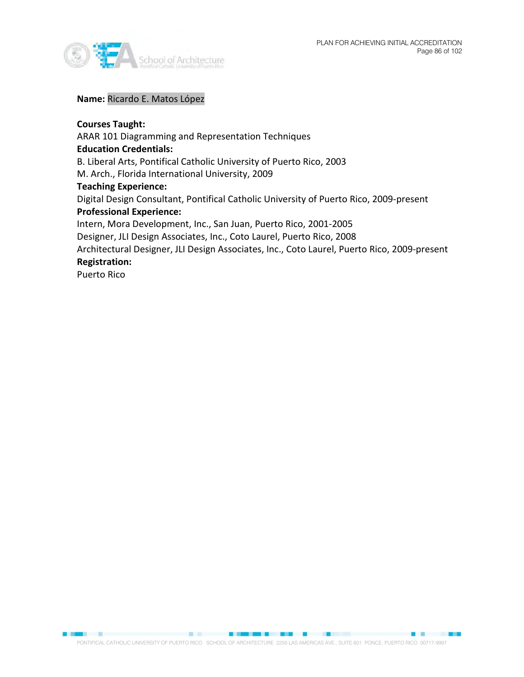

■ ■ ■ ■ ■ ■ ■ ■ ■ ■ ■ ■ ■ ■



# **Name:** Ricardo E. Matos López

# **Courses Taught:**

ARAR 101 Diagramming and Representation Techniques **Education Credentials:** B. Liberal Arts, Pontifical Catholic University of Puerto Rico, 2003 M. Arch., Florida International University, 2009 **Teaching Experience:** Digital Design Consultant, Pontifical Catholic University of Puerto Rico, 2009-present **Professional Experience:** Intern, Mora Development, Inc., San Juan, Puerto Rico, 2001-2005 Designer, JLI Design Associates, Inc., Coto Laurel, Puerto Rico, 2008 Architectural Designer, JLI Design Associates, Inc., Coto Laurel, Puerto Rico, 2009-present **Registration:**

Puerto Rico

■ 22日 ■ 25日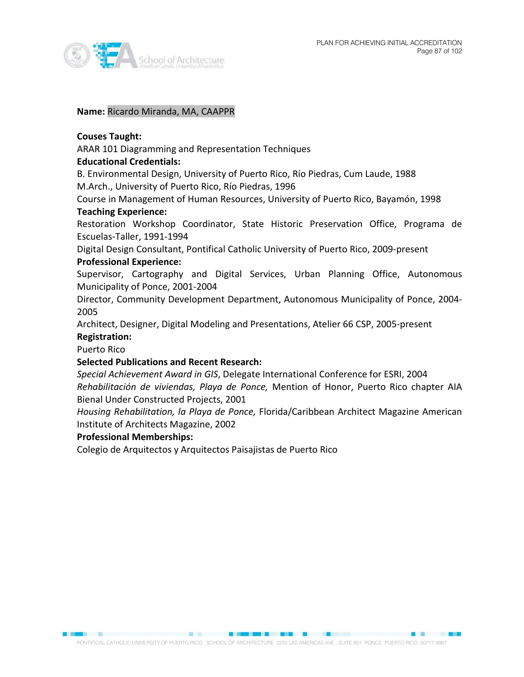

#### **Name:** Ricardo Miranda, MA, CAAPPR

#### **Couses Taught:**

ARAR 101 Diagramming and Representation Techniques

#### **Educational Credentials:**

B. Environmental Design, University of Puerto Rico, Río Piedras, Cum Laude, 1988 M.Arch., University of Puerto Rico, Río Piedras, 1996

Course in Management of Human Resources, University of Puerto Rico, Bayamón, 1998 **Teaching Experience:** 

Restoration Workshop Coordinator, State Historic Preservation Office, Programa de Escuelas-Taller, 1991-1994

Digital Design Consultant, Pontifical Catholic University of Puerto Rico, 2009-present **Professional Experience:**

Supervisor, Cartography and Digital Services, Urban Planning Office, Autonomous Municipality of Ponce, 2001-2004

Director, Community Development Department, Autonomous Municipality of Ponce, 2004- 2005

Architect, Designer, Digital Modeling and Presentations, Atelier 66 CSP, 2005-present **Registration:**

Puerto Rico

#### **Selected Publications and Recent Research:**

*Special Achievement Award in GIS*, Delegate International Conference for ESRI, 2004 *Rehabilitación de viviendas, Playa de Ponce,* Mention of Honor, Puerto Rico chapter AIA Bienal Under Constructed Projects, 2001

*Housing Rehabilitation, la Playa de Ponce,* Florida/Caribbean Architect Magazine American Institute of Architects Magazine, 2002

### **Professional Memberships:**

Colegio de Arquitectos y Arquitectos Paisajistas de Puerto Rico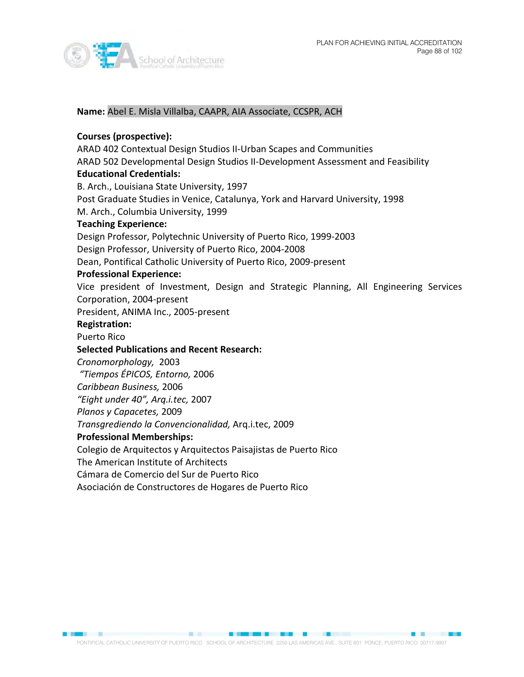



#### **Name:** Abel E. Misla Villalba, CAAPR, AIA Associate, CCSPR, ACH

#### **Courses (prospective):**

ARAD 402 Contextual Design Studios II-Urban Scapes and Communities ARAD 502 Developmental Design Studios II-Development Assessment and Feasibility **Educational Credentials:** B. Arch., Louisiana State University, 1997 Post Graduate Studies in Venice, Catalunya, York and Harvard University, 1998 M. Arch., Columbia University, 1999 **Teaching Experience:** Design Professor, Polytechnic University of Puerto Rico, 1999-2003 Design Professor, University of Puerto Rico, 2004-2008 Dean, Pontifical Catholic University of Puerto Rico, 2009-present **Professional Experience:** Vice president of Investment, Design and Strategic Planning, All Engineering Services Corporation, 2004-present President, ANIMA Inc., 2005-present **Registration:** Puerto Rico **Selected Publications and Recent Research:** *Cronomorphology,* 2003 *"Tiempos ÉPICOS, Entorno,* 2006 *Caribbean Business,* 2006 *"Eight under 40", Arq.i.tec,* 2007 *Planos y Capacetes,* 2009 *Transgrediendo la Convencionalidad,* Arq.i.tec, 2009 **Professional Memberships:** Colegio de Arquitectos y Arquitectos Paisajistas de Puerto Rico

The American Institute of Architects

Cámara de Comercio del Sur de Puerto Rico

Asociación de Constructores de Hogares de Puerto Rico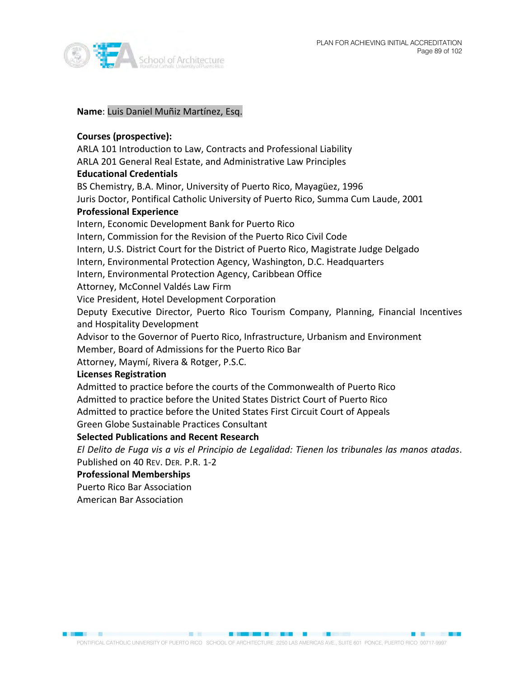



#### **Name**: Luis Daniel Muñiz Martínez, Esq.

### **Courses (prospective):**

ARLA 101 Introduction to Law, Contracts and Professional Liability ARLA 201 General Real Estate, and Administrative Law Principles **Educational Credentials** BS Chemistry, B.A. Minor, University of Puerto Rico, Mayagüez, 1996 Juris Doctor, Pontifical Catholic University of Puerto Rico, Summa Cum Laude, 2001 **Professional Experience** Intern, Economic Development Bank for Puerto Rico Intern, Commission for the Revision of the Puerto Rico Civil Code Intern, U.S. District Court for the District of Puerto Rico, Magistrate Judge Delgado Intern, Environmental Protection Agency, Washington, D.C. Headquarters Intern, Environmental Protection Agency, Caribbean Office Attorney, McConnel Valdés Law Firm Vice President, Hotel Development Corporation Deputy Executive Director, Puerto Rico Tourism Company, Planning, Financial Incentives and Hospitality Development Advisor to the Governor of Puerto Rico, Infrastructure, Urbanism and Environment

Member, Board of Admissions for the Puerto Rico Bar

Attorney, Maymí, Rivera & Rotger, P.S.C.

#### **Licenses Registration**

Admitted to practice before the courts of the Commonwealth of Puerto Rico Admitted to practice before the United States District Court of Puerto Rico Admitted to practice before the United States First Circuit Court of Appeals Green Globe Sustainable Practices Consultant

#### **Selected Publications and Recent Research**

*El Delito de Fuga vis a vis el Principio de Legalidad: Tienen los tribunales las manos atadas*. Published on 40 REV. DER. P.R. 1-2

**Professional Memberships**

Puerto Rico Bar Association

American Bar Association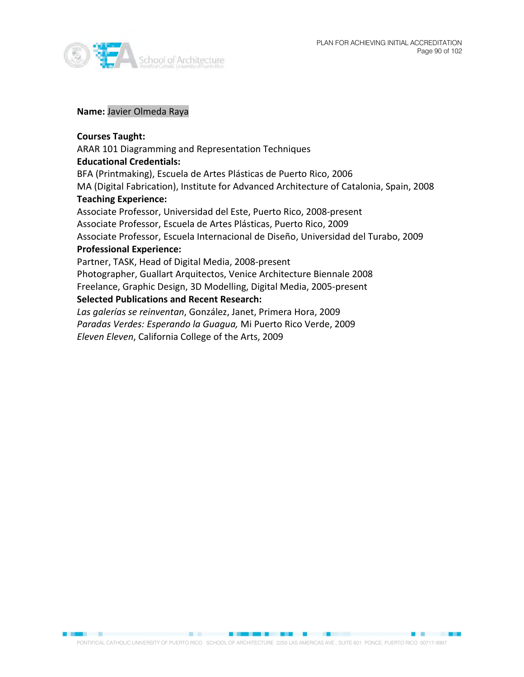



#### **Name:** Javier Olmeda Raya

#### **Courses Taught:**

### ARAR 101 Diagramming and Representation Techniques

#### **Educational Credentials:**

BFA (Printmaking), Escuela de Artes Plásticas de Puerto Rico, 2006 MA (Digital Fabrication), Institute for Advanced Architecture of Catalonia, Spain, 2008 **Teaching Experience:** Associate Professor, Universidad del Este, Puerto Rico, 2008-present

Associate Professor, Escuela de Artes Plásticas, Puerto Rico, 2009

Associate Professor, Escuela Internacional de Diseño, Universidad del Turabo, 2009

#### **Professional Experience:**

Partner, TASK, Head of Digital Media, 2008-present

Photographer, Guallart Arquitectos, Venice Architecture Biennale 2008 Freelance, Graphic Design, 3D Modelling, Digital Media, 2005-present

### **Selected Publications and Recent Research:**

*Las galerías se reinventan*, González, Janet, Primera Hora, 2009 *Paradas Verdes: Esperando la Guagua,* Mi Puerto Rico Verde, 2009 *Eleven Eleven*, California College of the Arts, 2009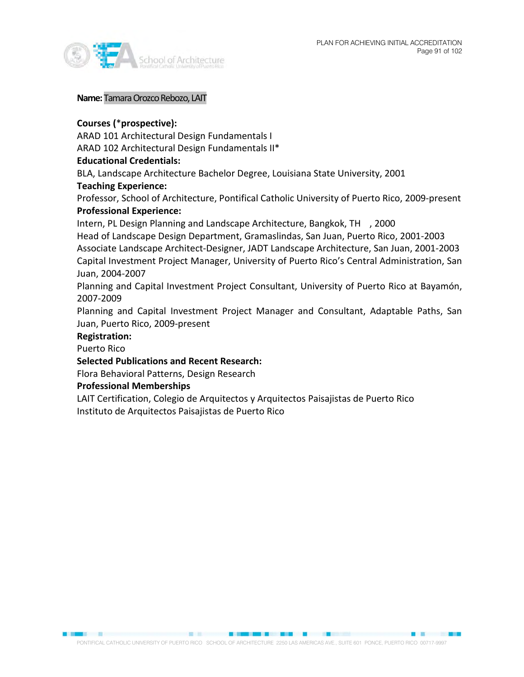

#### **Name:**Tamara Orozco Rebozo, LAIT

# **Courses (**\***prospective):**

ARAD 101 Architectural Design Fundamentals I ARAD 102 Architectural Design Fundamentals II\*

# **Educational Credentials:**

BLA, Landscape Architecture Bachelor Degree, Louisiana State University, 2001

# **Teaching Experience:**

Professor, School of Architecture, Pontifical Catholic University of Puerto Rico, 2009-present **Professional Experience:** 

Intern, PL Design Planning and Landscape Architecture, Bangkok, TH , 2000

Head of Landscape Design Department, Gramaslindas, San Juan, Puerto Rico, 2001-2003 Associate Landscape Architect-Designer, JADT Landscape Architecture, San Juan, 2001-2003 Capital Investment Project Manager, University of Puerto Rico's Central Administration, San Juan, 2004-2007

Planning and Capital Investment Project Consultant, University of Puerto Rico at Bayamón, 2007-2009

Planning and Capital Investment Project Manager and Consultant, Adaptable Paths, San Juan, Puerto Rico, 2009-present

## **Registration:**

Puerto Rico

# **Selected Publications and Recent Research:**

Flora Behavioral Patterns, Design Research

# **Professional Memberships**

LAIT Certification, Colegio de Arquitectos y Arquitectos Paisajistas de Puerto Rico Instituto de Arquitectos Paisajistas de Puerto Rico

PONTIFICAL CATHOLIC UNIVERSITY OF PUERTO RICO SCHOOL OF ARCHITECTURE 2250 LAS AMERICAS AVE., SUITE 601 PONCE, PUERTO RICO 00717-9997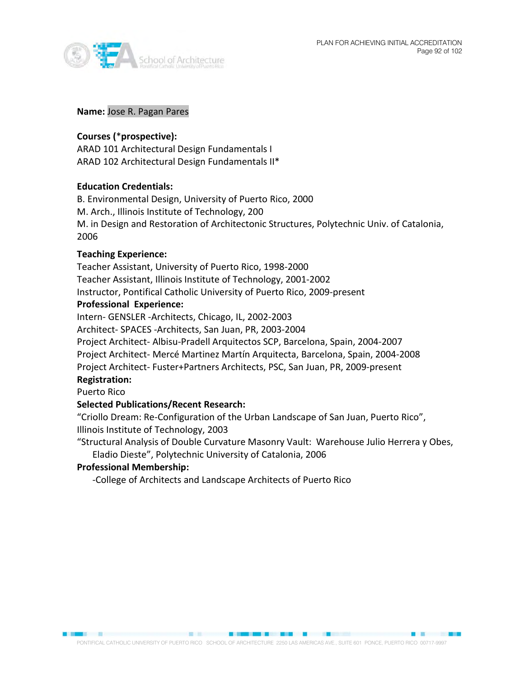

#### **Name:** Jose R. Pagan Pares

## **Courses (**\***prospective):**

ARAD 101 Architectural Design Fundamentals I ARAD 102 Architectural Design Fundamentals II\*

### **Education Credentials:**

B. Environmental Design, University of Puerto Rico, 2000 M. Arch., Illinois Institute of Technology, 200 M. in Design and Restoration of Architectonic Structures, Polytechnic Univ. of Catalonia, 2006

### **Teaching Experience:**

Teacher Assistant, University of Puerto Rico, 1998-2000 Teacher Assistant, Illinois Institute of Technology, 2001-2002 Instructor, Pontifical Catholic University of Puerto Rico, 2009-present

### **Professional Experience:**

Intern- GENSLER -Architects, Chicago, IL, 2002-2003

Architect- SPACES -Architects, San Juan, PR, 2003-2004

Project Architect- Albisu-Pradell Arquitectos SCP, Barcelona, Spain, 2004-2007 Project Architect- Mercé Martinez Martín Arquitecta, Barcelona, Spain, 2004-2008 Project Architect- Fuster+Partners Architects, PSC, San Juan, PR, 2009-present **Registration:**

#### Puerto Rico

# **Selected Publications/Recent Research:**

"Criollo Dream: Re-Configuration of the Urban Landscape of San Juan, Puerto Rico", Illinois Institute of Technology, 2003

"Structural Analysis of Double Curvature Masonry Vault: Warehouse Julio Herrera y Obes, Eladio Dieste", Polytechnic University of Catalonia, 2006

#### **Professional Membership:**

-College of Architects and Landscape Architects of Puerto Rico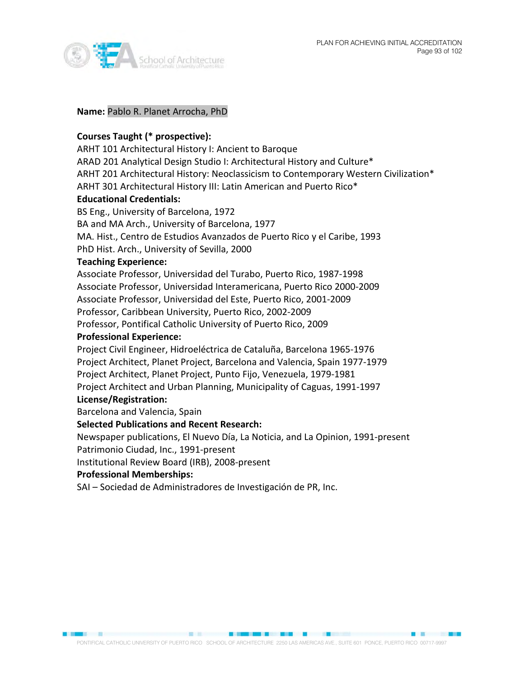



#### **Name:** Pablo R. Planet Arrocha, PhD

#### **Courses Taught (\* prospective):**

ARHT 101 Architectural History I: Ancient to Baroque ARAD 201 Analytical Design Studio I: Architectural History and Culture\* ARHT 201 Architectural History: Neoclassicism to Contemporary Western Civilization\* ARHT 301 Architectural History III: Latin American and Puerto Rico\*

# **Educational Credentials:**

BS Eng., University of Barcelona, 1972 BA and MA Arch., University of Barcelona, 1977 MA. Hist., Centro de Estudios Avanzados de Puerto Rico y el Caribe, 1993 PhD Hist. Arch., University of Sevilla, 2000

# **Teaching Experience:**

Associate Professor, Universidad del Turabo, Puerto Rico, 1987-1998 Associate Professor, Universidad Interamericana, Puerto Rico 2000-2009 Associate Professor, Universidad del Este, Puerto Rico, 2001-2009 Professor, Caribbean University, Puerto Rico, 2002-2009 Professor, Pontifical Catholic University of Puerto Rico, 2009

#### **Professional Experience:**

Project Civil Engineer, Hidroeléctrica de Cataluña, Barcelona 1965-1976 Project Architect, Planet Project, Barcelona and Valencia, Spain 1977-1979 Project Architect, Planet Project, Punto Fijo, Venezuela, 1979-1981 Project Architect and Urban Planning, Municipality of Caguas, 1991-1997 **License/Registration:**

# Barcelona and Valencia, Spain

# **Selected Publications and Recent Research:**

Newspaper publications, El Nuevo Día, La Noticia, and La Opinion, 1991-present Patrimonio Ciudad, Inc., 1991-present

Institutional Review Board (IRB), 2008-present

#### **Professional Memberships:**

SAI – Sociedad de Administradores de Investigación de PR, Inc.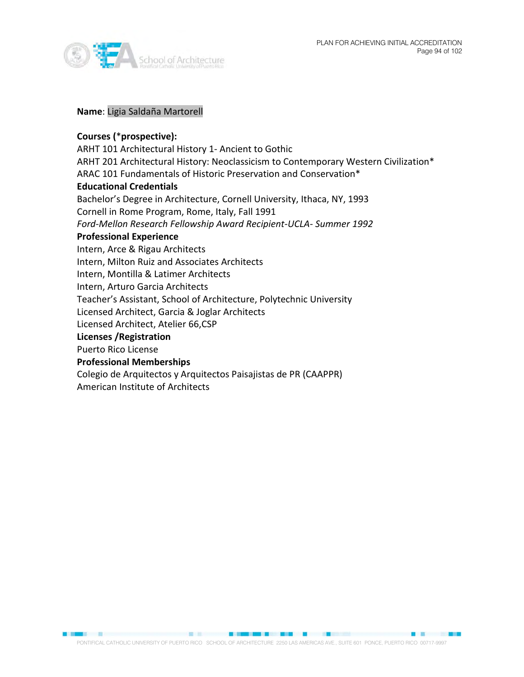



#### **Name**: Ligia Saldaña Martorell

# **Courses (**\***prospective):**

ARHT 101 Architectural History 1- Ancient to Gothic ARHT 201 Architectural History: Neoclassicism to Contemporary Western Civilization\* ARAC 101 Fundamentals of Historic Preservation and Conservation\* **Educational Credentials** Bachelor's Degree in Architecture, Cornell University, Ithaca, NY, 1993 Cornell in Rome Program, Rome, Italy, Fall 1991 *Ford-Mellon Research Fellowship Award Recipient-UCLA- Summer 1992* **Professional Experience** Intern, Arce & Rigau Architects Intern, Milton Ruiz and Associates Architects Intern, Montilla & Latimer Architects Intern, Arturo Garcia Architects Teacher's Assistant, School of Architecture, Polytechnic University Licensed Architect, Garcia & Joglar Architects Licensed Architect, Atelier 66,CSP **Licenses /Registration** Puerto Rico License **Professional Memberships** Colegio de Arquitectos y Arquitectos Paisajistas de PR (CAAPPR) American Institute of Architects

PONTIFICAL CATHOLIC UNIVERSITY OF PUERTO RICO SCHOOL OF ARCHITECTURE 2250 LAS AMERICAS AVE., SUITE 601 PONCE, PUERTO RICO 00717-9997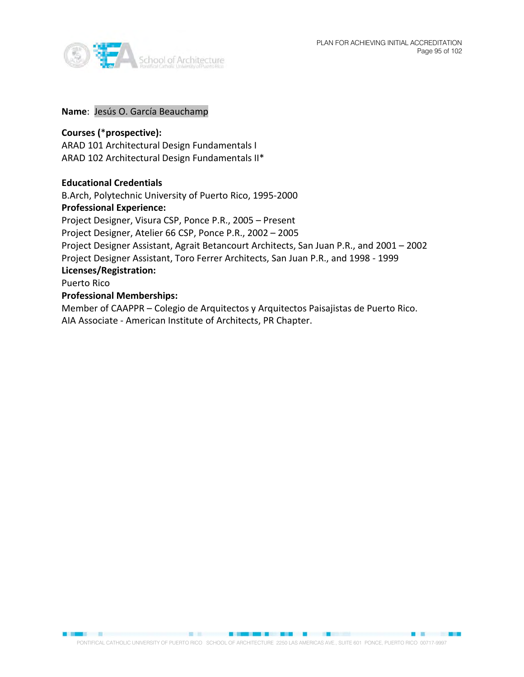

#### **Name**: Jesús O. García Beauchamp

### **Courses (**\***prospective):**

ARAD 101 Architectural Design Fundamentals I ARAD 102 Architectural Design Fundamentals II\*

#### **Educational Credentials**

B.Arch, Polytechnic University of Puerto Rico, 1995-2000 **Professional Experience:** Project Designer, Visura CSP, Ponce P.R., 2005 – Present Project Designer, Atelier 66 CSP, Ponce P.R., 2002 – 2005 Project Designer Assistant, Agrait Betancourt Architects, San Juan P.R., and 2001 – 2002 Project Designer Assistant, Toro Ferrer Architects, San Juan P.R., and 1998 - 1999 **Licenses/Registration:** Puerto Rico **Professional Memberships:**

# Member of CAAPPR – Colegio de Arquitectos y Arquitectos Paisajistas de Puerto Rico. AIA Associate - American Institute of Architects, PR Chapter.

PONTIFICAL CATHOLIC UNIVERSITY OF PUERTO RICO SCHOOL OF ARCHITECTURE 2250 LAS AMERICAS AVE., SUITE 601 PONCE, PUERTO RICO 00717-9997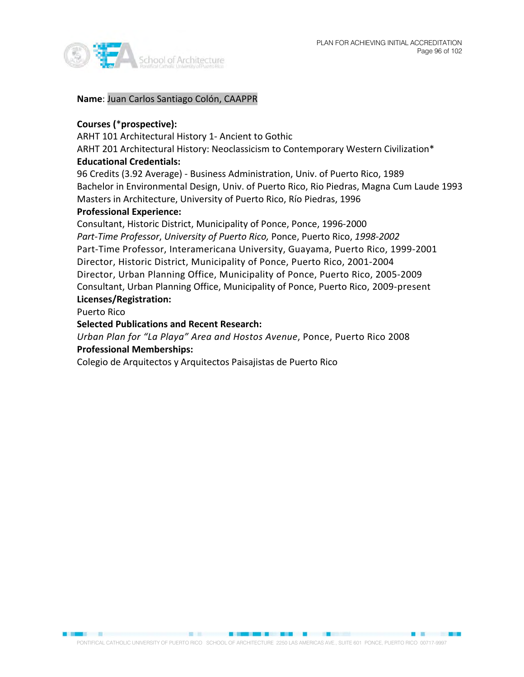

**Name**: Juan Carlos Santiago Colón, CAAPPR

# **Courses (**\***prospective):**

ARHT 101 Architectural History 1- Ancient to Gothic

ARHT 201 Architectural History: Neoclassicism to Contemporary Western Civilization\* **Educational Credentials:**

96 Credits (3.92 Average) - Business Administration, Univ. of Puerto Rico, 1989 Bachelor in Environmental Design, Univ. of Puerto Rico, Rio Piedras, Magna Cum Laude 1993 Masters in Architecture, University of Puerto Rico, Río Piedras, 1996

# **Professional Experience:**

Consultant, Historic District, Municipality of Ponce, Ponce, 1996-2000 *Part-Time Professor*, *University of Puerto Rico,* Ponce, Puerto Rico, *1998-2002* Part-Time Professor, Interamericana University, Guayama, Puerto Rico, 1999-2001 Director, Historic District, Municipality of Ponce, Puerto Rico, 2001-2004 Director, Urban Planning Office, Municipality of Ponce, Puerto Rico, 2005-2009 Consultant, Urban Planning Office, Municipality of Ponce, Puerto Rico, 2009-present **Licenses/Registration:**

Puerto Rico

# **Selected Publications and Recent Research:**

*Urban Plan for "La Playa" Area and Hostos Avenue*, Ponce, Puerto Rico 2008 **Professional Memberships:**

Colegio de Arquitectos y Arquitectos Paisajistas de Puerto Rico